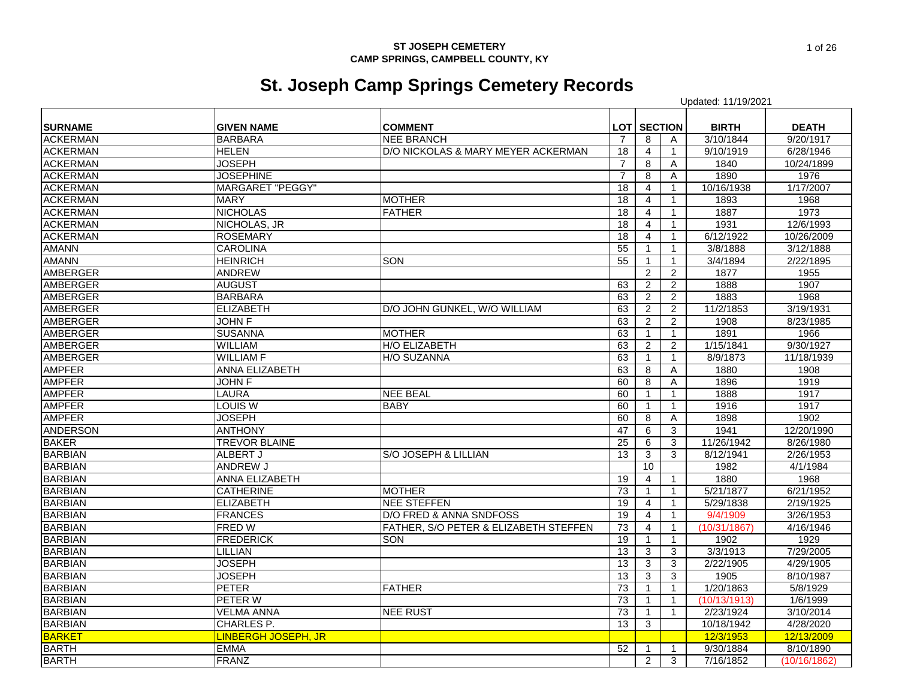# **St. Joseph Camp Springs Cemetery Records**

|                 |                            |                                       |                 |                    |                | Updated: 11/19/2021 |              |
|-----------------|----------------------------|---------------------------------------|-----------------|--------------------|----------------|---------------------|--------------|
|                 |                            |                                       |                 |                    |                |                     |              |
| <b>SURNAME</b>  | <b>GIVEN NAME</b>          | <b>COMMENT</b>                        |                 | <b>LOT SECTION</b> |                | <b>BIRTH</b>        | <b>DEATH</b> |
| <b>ACKERMAN</b> | <b>BARBARA</b>             | <b>NEE BRANCH</b>                     | -7              | 8                  | Α              | 3/10/1844           | 9/20/1917    |
| <b>ACKERMAN</b> | <b>HELEN</b>               | D/O NICKOLAS & MARY MEYER ACKERMAN    | 18              | $\overline{4}$     | $\mathbf{1}$   | 9/10/1919           | 6/28/1946    |
| <b>ACKERMAN</b> | <b>JOSEPH</b>              |                                       | 7               | 8                  | A              | 1840                | 10/24/1899   |
| <b>ACKERMAN</b> | <b>JOSEPHINE</b>           |                                       | $\overline{7}$  | 8                  | A              | 1890                | 1976         |
| <b>ACKERMAN</b> | <b>MARGARET "PEGGY"</b>    |                                       | 18              | 4                  | $\mathbf{1}$   | 10/16/1938          | 1/17/2007    |
| <b>ACKERMAN</b> | <b>MARY</b>                | <b>MOTHER</b>                         | 18              | $\overline{4}$     | $\mathbf{1}$   | 1893                | 1968         |
| <b>ACKERMAN</b> | <b>NICHOLAS</b>            | <b>FATHER</b>                         | 18              | $\overline{4}$     | 1              | 1887                | 1973         |
| <b>ACKERMAN</b> | NICHOLAS, JR               |                                       | 18              | $\overline{4}$     | $\mathbf{1}$   | 1931                | 12/6/1993    |
| <b>ACKERMAN</b> | <b>ROSEMARY</b>            |                                       | 18              | $\overline{4}$     | 1              | 6/12/1922           | 10/26/2009   |
| <b>AMANN</b>    | <b>CAROLINA</b>            |                                       | 55              |                    | $\mathbf{1}$   | 3/8/1888            | 3/12/1888    |
| <b>AMANN</b>    | <b>HEINRICH</b>            | SON                                   | 55              | -1                 | $\mathbf{1}$   | 3/4/1894            | 2/22/1895    |
| <b>AMBERGER</b> | <b>ANDREW</b>              |                                       |                 | $\mathbf{2}$       | $\overline{2}$ | 1877                | 1955         |
| <b>AMBERGER</b> | <b>AUGUST</b>              |                                       | 63              | $\overline{2}$     | $\sqrt{2}$     | 1888                | 1907         |
| <b>AMBERGER</b> | <b>BARBARA</b>             |                                       | 63              | 2                  | $\overline{2}$ | 1883                | 1968         |
| <b>AMBERGER</b> | <b>ELIZABETH</b>           | D/O JOHN GUNKEL, W/O WILLIAM          | 63              | 2                  | $\overline{2}$ | 11/2/1853           | 3/19/1931    |
| <b>AMBERGER</b> | <b>JOHN F</b>              |                                       | 63              | 2                  | $\overline{2}$ | 1908                | 8/23/1985    |
| <b>AMBERGER</b> | <b>SUSANNA</b>             | <b>MOTHER</b>                         | 63              |                    | $\mathbf{1}$   | 1891                | 1966         |
| <b>AMBERGER</b> | <b>WILLIAM</b>             | H/O ELIZABETH                         | 63              | $\overline{2}$     | $\overline{2}$ | 1/15/1841           | 9/30/1927    |
| <b>AMBERGER</b> | <b>WILLIAM F</b>           | H/O SUZANNA                           | 63              | -1                 | $\mathbf{1}$   | 8/9/1873            | 11/18/1939   |
| <b>AMPFER</b>   | <b>ANNA ELIZABETH</b>      |                                       | 63              | 8                  | Α              | 1880                | 1908         |
| <b>AMPFER</b>   | JOHN F                     |                                       | 60              | 8                  | A              | 1896                | 1919         |
| <b>AMPFER</b>   | <b>LAURA</b>               | <b>NEE BEAL</b>                       | 60              | $\mathbf 1$        | $\mathbf{1}$   | 1888                | 1917         |
| <b>AMPFER</b>   | <b>LOUIS W</b>             | <b>BABY</b>                           | 60              |                    | $\mathbf{1}$   | 1916                | 1917         |
| <b>AMPFER</b>   | <b>JOSEPH</b>              |                                       | 60              | 8                  | A              | 1898                | 1902         |
| <b>ANDERSON</b> | <b>ANTHONY</b>             |                                       | 47              | 6                  | 3              | 1941                | 12/20/1990   |
| <b>BAKER</b>    | <b>TREVOR BLAINE</b>       |                                       | 25              | 6                  | 3              | 11/26/1942          | 8/26/1980    |
| <b>BARBIAN</b>  | ALBERT J                   | S/O JOSEPH & LILLIAN                  | 13              | 3                  | 3              | 8/12/1941           | 2/26/1953    |
| <b>BARBIAN</b>  | <b>ANDREW J</b>            |                                       |                 | 10                 |                | 1982                | 4/1/1984     |
| <b>BARBIAN</b>  | <b>ANNA ELIZABETH</b>      |                                       | $\overline{19}$ | $\overline{4}$     | $\mathbf{1}$   | 1880                | 1968         |
| <b>BARBIAN</b>  | <b>CATHERINE</b>           | <b>MOTHER</b>                         | 73              | $\mathbf 1$        | $\mathbf{1}$   | 5/21/1877           | 6/21/1952    |
| <b>BARBIAN</b>  | <b>ELIZABETH</b>           | <b>NEE STEFFEN</b>                    | 19              | $\overline{4}$     | $\mathbf{1}$   | 5/29/1838           | 2/19/1925    |
| <b>BARBIAN</b>  | <b>FRANCES</b>             | D/O FRED & ANNA SNDFOSS               | 19              | $\overline{4}$     | $\mathbf{1}$   | 9/4/1909            | 3/26/1953    |
| <b>BARBIAN</b>  | <b>FRED W</b>              | FATHER. S/O PETER & ELIZABETH STEFFEN | 73              | 4                  | $\mathbf{1}$   | (10/31/1867)        | 4/16/1946    |
| <b>BARBIAN</b>  | <b>FREDERICK</b>           | SON                                   | 19              |                    | $\mathbf{1}$   | 1902                | 1929         |
| <b>BARBIAN</b>  | LILLIAN                    |                                       | 13              | 3                  | 3              | 3/3/1913            | 7/29/2005    |
| <b>BARBIAN</b>  | <b>JOSEPH</b>              |                                       | 13              | 3                  | 3              | 2/22/1905           | 4/29/1905    |
| <b>BARBIAN</b>  | <b>JOSEPH</b>              |                                       | 13              | 3                  | 3              | 1905                | 8/10/1987    |
| <b>BARBIAN</b>  | <b>PETER</b>               | <b>FATHER</b>                         | 73              | $\mathbf{1}$       | $\mathbf{1}$   | 1/20/1863           | 5/8/1929     |
| <b>BARBIAN</b>  | <b>PETER W</b>             |                                       | 73              |                    | $\mathbf{1}$   | (10/13/1913)        | 1/6/1999     |
| <b>BARBIAN</b>  | <b>VELMA ANNA</b>          | <b>NEE RUST</b>                       | 73              |                    | $\mathbf{1}$   | 2/23/1924           | 3/10/2014    |
| <b>BARBIAN</b>  | <b>CHARLES P.</b>          |                                       | 13              | 3                  |                | 10/18/1942          | 4/28/2020    |
| <b>BARKET</b>   | <b>LINBERGH JOSEPH, JR</b> |                                       |                 |                    |                | 12/3/1953           | 12/13/2009   |
| <b>BARTH</b>    | <b>EMMA</b>                |                                       | 52              | $\mathbf 1$        | 1              | 9/30/1884           | 8/10/1890    |
| <b>BARTH</b>    | <b>FRANZ</b>               |                                       |                 | 2                  | 3              | 7/16/1852           | (10/16/1862) |
|                 |                            |                                       |                 |                    |                |                     |              |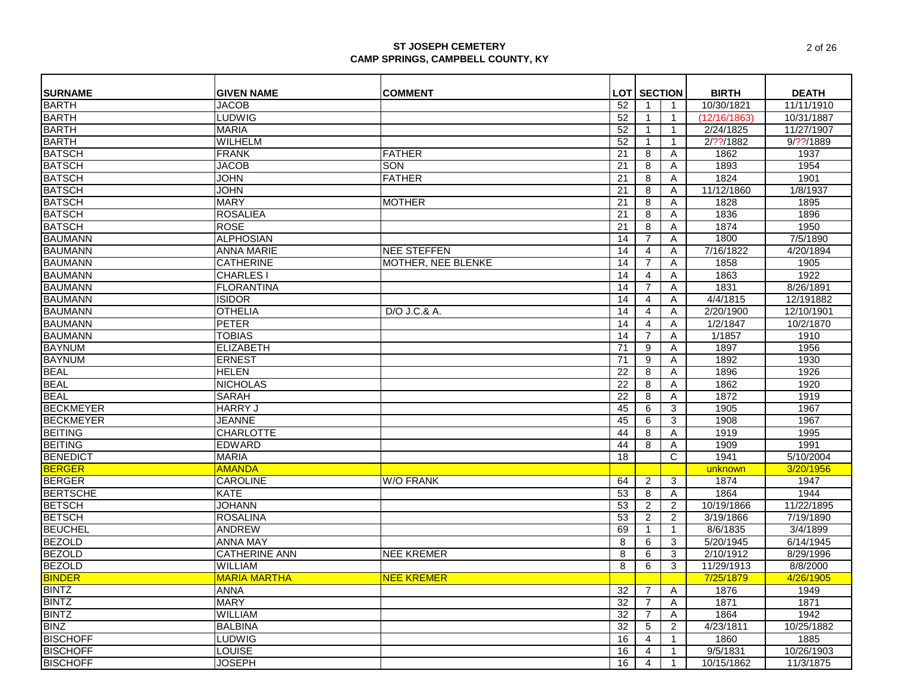| <b>SURNAME</b>   | <b>GIVEN NAME</b>    | <b>COMMENT</b>          |                 | <b>LOT SECTION</b> |              | <b>BIRTH</b> | <b>DEATH</b> |
|------------------|----------------------|-------------------------|-----------------|--------------------|--------------|--------------|--------------|
| <b>BARTH</b>     | <b>JACOB</b>         |                         | 52              | -1                 | $\mathbf{1}$ | 10/30/1821   | 11/11/1910   |
| <b>BARTH</b>     | LUDWIG               |                         | 52              | $\mathbf{1}$       | $\mathbf{1}$ | (12/16/1863) | 10/31/1887   |
| <b>BARTH</b>     | <b>MARIA</b>         |                         | 52              | $\mathbf{1}$       | $\mathbf{1}$ | 2/24/1825    | 11/27/1907   |
| <b>BARTH</b>     | <b>WILHELM</b>       |                         | 52              | $\mathbf{1}$       | $\mathbf{1}$ | 2/??/1882    | $9/?$ ?/1889 |
| <b>BATSCH</b>    | <b>FRANK</b>         | <b>FATHER</b>           | 21              | 8                  | A            | 1862         | 1937         |
| <b>BATSCH</b>    | <b>JACOB</b>         | <b>SON</b>              | 21              | 8                  | Α            | 1893         | 1954         |
| <b>BATSCH</b>    | <b>JOHN</b>          | <b>FATHER</b>           | 21              | 8                  | Α            | 1824         | 1901         |
| <b>BATSCH</b>    | <b>JOHN</b>          |                         | 21              | 8                  | Α            | 11/12/1860   | 1/8/1937     |
| <b>BATSCH</b>    | <b>MARY</b>          | <b>MOTHER</b>           | 21              | 8                  | A            | 1828         | 1895         |
| <b>BATSCH</b>    | <b>ROSALIEA</b>      |                         | 21              | 8                  | Α            | 1836         | 1896         |
| <b>BATSCH</b>    | <b>ROSE</b>          |                         | 21              | 8                  | Α            | 1874         | 1950         |
| <b>BAUMANN</b>   | <b>ALPHOSIAN</b>     |                         | 14              | $\overline{7}$     | Α            | 1800         | 7/5/1890     |
| <b>BAUMANN</b>   | <b>ANNA MARIE</b>    | <b>NEE STEFFEN</b>      | 14              | $\overline{4}$     | A            | 7/16/1822    | 4/20/1894    |
| <b>BAUMANN</b>   | <b>CATHERINE</b>     | MOTHER, NEE BLENKE      | 14              | $\overline{7}$     | Α            | 1858         | 1905         |
| <b>BAUMANN</b>   | CHARLES I            |                         | 14              | 4                  | Α            | 1863         | 1922         |
| <b>BAUMANN</b>   | <b>FLORANTINA</b>    |                         | 14              | $\overline{7}$     | A            | 1831         | 8/26/1891    |
| <b>BAUMANN</b>   | <b>ISIDOR</b>        |                         | 14              | 4                  | Α            | 4/4/1815     | 12/191882    |
| <b>BAUMANN</b>   | <b>OTHELIA</b>       | D/O J.C.& A.            | 14              | $\overline{4}$     | Α            | 2/20/1900    | 12/10/1901   |
| <b>BAUMANN</b>   | <b>PETER</b>         |                         | 14              | $\overline{4}$     | Α            | 1/2/1847     | 10/2/1870    |
| <b>BAUMANN</b>   | <b>TOBIAS</b>        |                         | 14              | $\overline{7}$     | A            | 1/1857       | 1910         |
| <b>BAYNUM</b>    | <b>ELIZABETH</b>     |                         | 71              | 9                  | A            | 1897         | 1956         |
| <b>BAYNUM</b>    | <b>ERNEST</b>        |                         | 71              | $\overline{9}$     | A            | 1892         | 1930         |
| <b>BEAL</b>      | <b>HELEN</b>         |                         | 22              | 8                  | A            | 1896         | 1926         |
| <b>BEAL</b>      | <b>NICHOLAS</b>      |                         | 22              | 8                  | A            | 1862         | 1920         |
| <b>BEAL</b>      | <b>SARAH</b>         |                         | $\overline{22}$ | 8                  | Α            | 1872         | 1919         |
| <b>BECKMEYER</b> | <b>HARRY J</b>       |                         | 45              | 6                  | 3            | 1905         | 1967         |
| <b>BECKMEYER</b> | <b>JEANNE</b>        |                         | 45              | 6                  | 3            | 1908         | 1967         |
| <b>BEITING</b>   | <b>CHARLOTTE</b>     |                         | 44              | 8                  | A            | 1919         | 1995         |
| <b>BEITING</b>   | <b>EDWARD</b>        |                         | 44              | 8                  | Α            | 1909         | 1991         |
| <b>BENEDICT</b>  | <b>MARIA</b>         |                         | 18              |                    | C            | 1941         | 5/10/2004    |
| <b>BERGER</b>    | <b>AMANDA</b>        |                         |                 |                    |              | unknown      | 3/20/1956    |
| <b>BERGER</b>    | CAROLINE             | <b>W/O FRANK</b>        | 64              | 2                  | 3            | 1874         | 1947         |
| <b>BERTSCHE</b>  | <b>KATE</b>          |                         | 53              | 8                  | Α            | 1864         | 1944         |
| <b>BETSCH</b>    | <b>JOHANN</b>        |                         | 53              | $\overline{2}$     | 2            | 10/19/1866   | 11/22/1895   |
| <b>BETSCH</b>    | <b>ROSALINA</b>      |                         | 53              | 2                  | 2            | 3/19/1866    | 7/19/1890    |
| <b>BEUCHEL</b>   | <b>ANDREW</b>        |                         | 69              | $\mathbf{1}$       | $\mathbf{1}$ | 8/6/1835     | 3/4/1899     |
| <b>BEZOLD</b>    | <b>ANNA MAY</b>      |                         | 8               | 6                  | 3            | 5/20/1945    | 6/14/1945    |
| <b>BEZOLD</b>    | <b>CATHERINE ANN</b> | <b>NEE KREMER</b>       | 8               | 6                  | 3            | 2/10/1912    | 8/29/1996    |
| <b>BEZOLD</b>    | <b>WILLIAM</b>       |                         | 8               | 6                  | 3            | 11/29/1913   | 8/8/2000     |
| <b>BINDER</b>    | <b>MARIA MARTHA</b>  | <mark>NEE KREMER</mark> |                 |                    |              | 7/25/1879    | 4/26/1905    |
| <b>BINTZ</b>     | <b>ANNA</b>          |                         | 32              | 7                  | A            | 1876         | 1949         |
| <b>BINTZ</b>     | <b>MARY</b>          |                         | 32              | $\overline{7}$     | A            | 1871         | 1871         |
| <b>BINTZ</b>     | <b>WILLIAM</b>       |                         | 32              | 7                  | A            | 1864         | 1942         |
| <b>BINZ</b>      | <b>BALBINA</b>       |                         | $\overline{32}$ | 5                  | 2            | 4/23/1811    | 10/25/1882   |
| <b>BISCHOFF</b>  | <b>LUDWIG</b>        |                         | 16              | 4                  | $\mathbf{1}$ | 1860         | 1885         |
| <b>BISCHOFF</b>  | <b>LOUISE</b>        |                         | 16              | $\overline{4}$     | $\mathbf{1}$ | 9/5/1831     | 10/26/1903   |
| <b>BISCHOFF</b>  | <b>JOSEPH</b>        |                         | 16              | $\overline{4}$     | $\mathbf{1}$ | 10/15/1862   | 11/3/1875    |
|                  |                      |                         |                 |                    |              |              |              |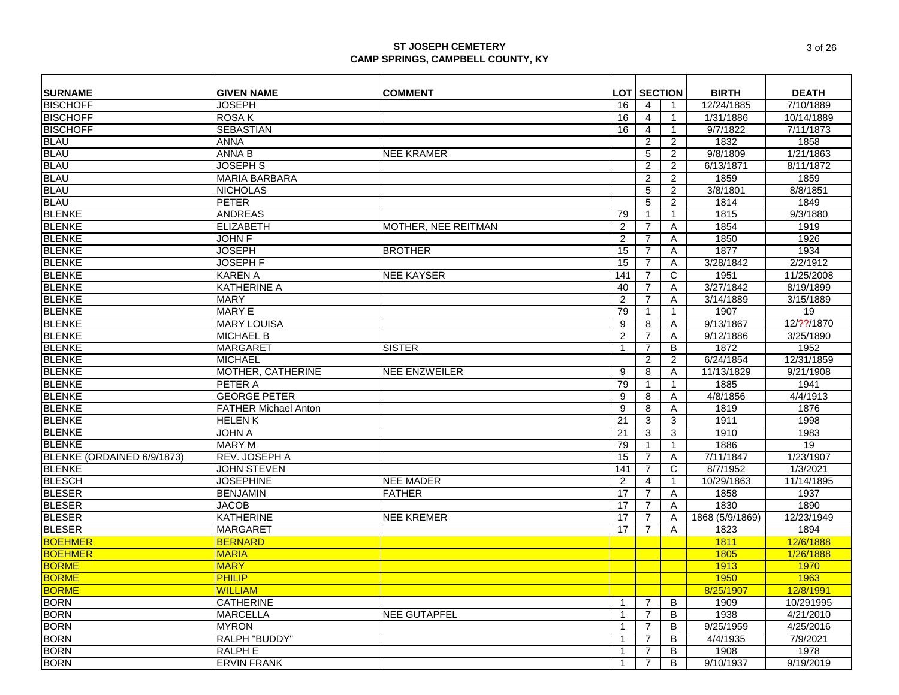| <b>SURNAME</b>                 | <b>GIVEN NAME</b>           | <b>COMMENT</b>       |                 | <b>LOT SECTION</b> |                | <b>BIRTH</b>    | <b>DEATH</b> |
|--------------------------------|-----------------------------|----------------------|-----------------|--------------------|----------------|-----------------|--------------|
| <b>BISCHOFF</b>                | <b>JOSEPH</b>               |                      | 16              | $\overline{4}$     | $\mathbf{1}$   | 12/24/1885      | 7/10/1889    |
| <b>BISCHOFF</b>                | <b>ROSAK</b>                |                      | 16              | 4                  | $\mathbf{1}$   | 1/31/1886       | 10/14/1889   |
| <b>BISCHOFF</b>                | <b>SEBASTIAN</b>            |                      | 16              | $\overline{4}$     | $\mathbf{1}$   | 9/7/1822        | 7/11/1873    |
|                                | <b>ANNA</b>                 |                      |                 | $\overline{2}$     | 2              | 1832            | 1858         |
| <b>BLAU</b><br><b>BLAU</b>     | <b>ANNA B</b>               | <b>NEE KRAMER</b>    |                 | 5                  | 2              | 9/8/1809        | 1/21/1863    |
| <b>BLAU</b>                    | <b>JOSEPH S</b>             |                      |                 | 2                  | 2              | 6/13/1871       | 8/11/1872    |
| <b>BLAU</b>                    | <b>MARIA BARBARA</b>        |                      |                 | $\overline{2}$     | $\overline{2}$ | 1859            | 1859         |
|                                | <b>NICHOLAS</b>             |                      |                 | 5                  | $\overline{2}$ | 3/8/1801        | 8/8/1851     |
| <b>BLAU</b><br>BLAU            | <b>PETER</b>                |                      |                 | $\sqrt{5}$         | $\overline{c}$ | 1814            | 1849         |
| <b>BLENKE</b>                  | <b>ANDREAS</b>              |                      | 79              |                    | $\mathbf{1}$   | 1815            | 9/3/1880     |
| <b>BLENKE</b>                  | <b>ELIZABETH</b>            | MOTHER, NEE REITMAN  | $\overline{2}$  | $\overline{7}$     | Α              | 1854            | 1919         |
| <b>BLENKE</b>                  | <b>JOHN F</b>               |                      | $\overline{2}$  | $\overline{7}$     | Α              | 1850            | 1926         |
| <b>BLENKE</b>                  | <b>JOSEPH</b>               | <b>BROTHER</b>       | 15              | $\overline{7}$     | A              | 1877            | 1934         |
| <b>BLENKE</b>                  | <b>JOSEPH F</b>             |                      | 15              | $\overline{7}$     | A              | 3/28/1842       | 2/2/1912     |
| <b>BLENKE</b>                  | <b>KAREN A</b>              | <b>NEE KAYSER</b>    | 141             | $\overline{7}$     | C              | 1951            | 11/25/2008   |
| <b>BLENKE</b>                  | <b>KATHERINE A</b>          |                      | 40              | $\overline{7}$     | A              | 3/27/1842       | 8/19/1899    |
|                                | <b>MARY</b>                 |                      | 2               | $\overline{7}$     | A              | 3/14/1889       | 3/15/1889    |
| BLENKE<br>BLENKE               | <b>MARY E</b>               |                      | 79              | $\mathbf 1$        | $\mathbf{1}$   | 1907            | 19           |
|                                | <b>MARY LOUISA</b>          |                      | 9               | 8                  | A              | 9/13/1867       | 12/??/1870   |
| <b>BLENKE</b><br><b>BLENKE</b> | <b>MICHAEL B</b>            |                      | 2               | $\overline{7}$     | A              | 9/12/1886       | 3/25/1890    |
| <b>BLENKE</b>                  | <b>MARGARET</b>             | <b>SISTER</b>        | $\mathbf 1$     | $\overline{7}$     | B              | 1872            | 1952         |
| <b>BLENKE</b>                  | <b>MICHAEL</b>              |                      |                 | $\overline{2}$     | $\overline{2}$ | 6/24/1854       | 12/31/1859   |
| <b>BLENKE</b>                  | MOTHER, CATHERINE           | <b>NEE ENZWEILER</b> | 9               | 8                  | Α              | 11/13/1829      | 9/21/1908    |
| <b>BLENKE</b>                  | PETER A                     |                      | 79              | $\mathbf{1}$       | $\mathbf{1}$   | 1885            | 1941         |
| <b>BLENKE</b>                  | <b>GEORGE PETER</b>         |                      | 9               | 8                  | Α              | 4/8/1856        | 4/4/1913     |
| <b>BLENKE</b>                  | <b>FATHER Michael Anton</b> |                      | 9               | 8                  | Α              | 1819            | 1876         |
| <b>BLENKE</b>                  | <b>HELENK</b>               |                      | $\overline{21}$ | 3                  | 3              | 1911            | 1998         |
| <b>BLENKE</b>                  | <b>JOHN A</b>               |                      | 21              | 3                  | 3              | 1910            | 1983         |
| <b>BLENKE</b>                  | <b>MARY M</b>               |                      | 79              | $\mathbf{1}$       | $\mathbf{1}$   | 1886            | 19           |
| BLENKE (ORDAINED 6/9/1873)     | REV. JOSEPH A               |                      | 15              | $\overline{7}$     | Α              | 7/11/1847       | 1/23/1907    |
| <b>BLENKE</b>                  | <b>JOHN STEVEN</b>          |                      | 141             | $\overline{7}$     | C              | 8/7/1952        | 1/3/2021     |
| <b>BLESCH</b>                  | <b>JOSEPHINE</b>            | <b>NEE MADER</b>     | 2               | $\overline{4}$     | $\mathbf{1}$   | 10/29/1863      | 11/14/1895   |
| <b>BLESER</b>                  | <b>BENJAMIN</b>             | <b>FATHER</b>        | 17              | $\overline{7}$     | $\overline{A}$ | 1858            | 1937         |
| <b>BLESER</b>                  | <b>JACOB</b>                |                      | 17              | $\overline{7}$     | A              | 1830            | 1890         |
| <b>BLESER</b>                  | <b>KATHERINE</b>            | <b>NEE KREMER</b>    | 17              | $\overline{7}$     | A              | 1868 (5/9/1869) | 12/23/1949   |
| <b>BLESER</b>                  | <b>MARGARET</b>             |                      | 17              | $\overline{7}$     | A              | 1823            | 1894         |
| <b>BOEHMER</b>                 | <b>BERNARD</b>              |                      |                 |                    |                | 1811            | 12/6/1888    |
| <b>BOEHMER</b>                 | <b>MARIA</b>                |                      |                 |                    |                | 1805            | 1/26/1888    |
| <b>BORME</b>                   | <b>MARY</b>                 |                      |                 |                    |                | 1913            | 1970         |
| <b>BORME</b>                   | <b>PHILIP</b>               |                      |                 |                    |                | 1950            | 1963         |
| <b>BORME</b>                   | <b>WILLIAM</b>              |                      |                 |                    |                | 8/25/1907       | 12/8/1991    |
| <b>BORN</b>                    | <b>CATHERINE</b>            |                      | $\mathbf 1$     | $\overline{7}$     | B              | 1909            | 10/291995    |
| <b>BORN</b>                    | <b>MARCELLA</b>             | <b>NEE GUTAPFEL</b>  | $\mathbf{1}$    | $\overline{7}$     | B              | 1938            | 4/21/2010    |
| <b>BORN</b>                    | <b>MYRON</b>                |                      | 1               | 7                  | B              | 9/25/1959       | 4/25/2016    |
| <b>BORN</b>                    | RALPH "BUDDY"               |                      | 1               | 7                  | B              | 4/4/1935        | 7/9/2021     |
| <b>BORN</b>                    | <b>RALPHE</b>               |                      | $\mathbf 1$     | 7                  | B              | 1908            | 1978         |
| <b>BORN</b>                    | <b>ERVIN FRANK</b>          |                      | $\mathbf 1$     | $\overline{7}$     | B              | 9/10/1937       | 9/19/2019    |
|                                |                             |                      |                 |                    |                |                 |              |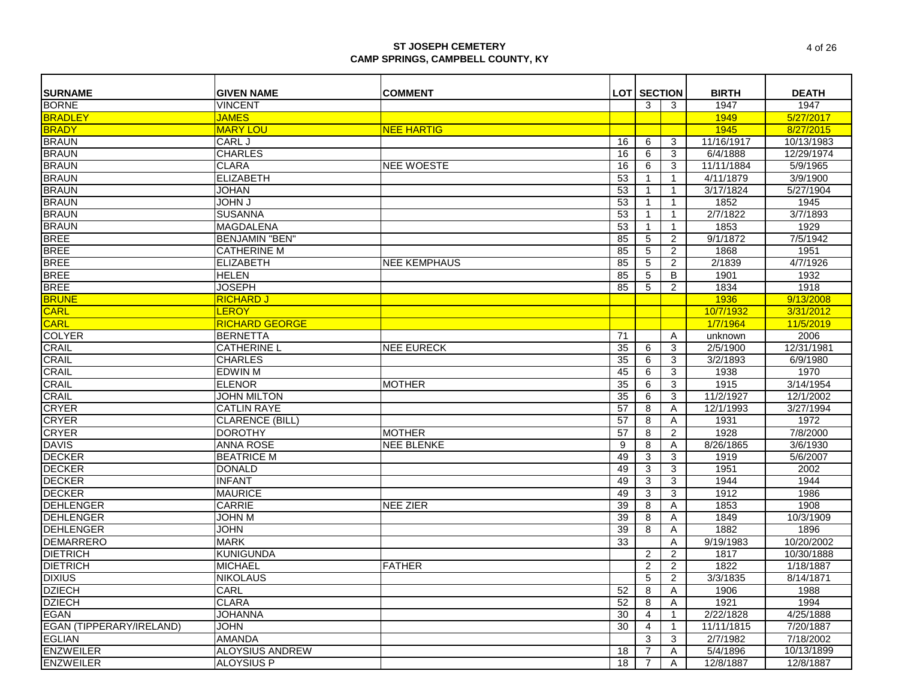| <b>SURNAME</b>           | <b>GIVEN NAME</b>      | <b>COMMENT</b>      |    | <b>LOT SECTION</b> |                | <b>BIRTH</b> | <b>DEATH</b> |
|--------------------------|------------------------|---------------------|----|--------------------|----------------|--------------|--------------|
| <b>BORNE</b>             | <b>VINCENT</b>         |                     |    | 3                  | 3              | 1947         | 1947         |
| <b>BRADLEY</b>           | <b>JAMES</b>           |                     |    |                    |                | 1949         | 5/27/2017    |
| <b>BRADY</b>             | <b>MARY LOU</b>        | <b>NEE HARTIG</b>   |    |                    |                | 1945         | 8/27/2015    |
| <b>BRAUN</b>             | CARL J                 |                     | 16 | 6                  | 3              | 11/16/1917   | 10/13/1983   |
| <b>BRAUN</b>             | <b>CHARLES</b>         |                     | 16 | 6                  | 3              | 6/4/1888     | 12/29/1974   |
| <b>BRAUN</b>             | <b>CLARA</b>           | <b>NEE WOESTE</b>   | 16 | 6                  | 3              | 11/11/1884   | 5/9/1965     |
| <b>BRAUN</b>             | <b>ELIZABETH</b>       |                     | 53 | -1                 | $\mathbf{1}$   | 4/11/1879    | 3/9/1900     |
| <b>BRAUN</b>             | <b>JOHAN</b>           |                     | 53 | -1                 | $\mathbf{1}$   | 3/17/1824    | 5/27/1904    |
| <b>BRAUN</b>             | <b>L NHOL</b>          |                     | 53 | -1                 | $\mathbf{1}$   | 1852         | 1945         |
| <b>BRAUN</b>             | <b>SUSANNA</b>         |                     | 53 |                    | $\mathbf{1}$   | 2/7/1822     | 3/7/1893     |
| <b>BRAUN</b>             | <b>MAGDALENA</b>       |                     | 53 | -1                 | $\mathbf{1}$   | 1853         | 1929         |
| <b>BREE</b>              | <b>BENJAMIN "BEN"</b>  |                     | 85 | 5                  | 2              | 9/1/1872     | 7/5/1942     |
| <b>BREE</b>              | <b>CATHERINE M</b>     |                     | 85 | 5                  | 2              | 1868         | 1951         |
| <b>BREE</b>              | <b>ELIZABETH</b>       | <b>NEE KEMPHAUS</b> | 85 | 5                  | $\overline{2}$ | 2/1839       | 4/7/1926     |
| <b>BREE</b>              | <b>HELEN</b>           |                     | 85 | 5                  | B              | 1901         | 1932         |
| <b>BREE</b>              | <b>JOSEPH</b>          |                     | 85 | 5                  | $\overline{2}$ | 1834         | 1918         |
| <b>BRUNE</b>             | <b>RICHARD J</b>       |                     |    |                    |                | 1936         | 9/13/2008    |
| <b>CARL</b>              | <b>LEROY</b>           |                     |    |                    |                | 10/7/1932    | 3/31/2012    |
| <b>CARL</b>              | <b>RICHARD GEORGE</b>  |                     |    |                    |                | 1/7/1964     | 11/5/2019    |
| <b>COLYER</b>            | <b>BERNETTA</b>        |                     | 71 |                    | A              | unknown      | 2006         |
| <b>CRAIL</b>             | <b>CATHERINE L</b>     | <b>NEE EURECK</b>   | 35 |                    | 3              | 2/5/1900     | 12/31/1981   |
| <b>CRAIL</b>             | <b>CHARLES</b>         |                     | 35 | 6<br>6             | 3              | 3/2/1893     | 6/9/1980     |
|                          |                        |                     |    |                    | 3              | 1938         |              |
| <b>CRAIL</b>             | <b>EDWIN M</b>         | <b>MOTHER</b>       | 45 | 6                  |                |              | 1970         |
| <b>CRAIL</b>             | <b>ELENOR</b>          |                     | 35 | 6                  | 3              | 1915         | 3/14/1954    |
| <b>CRAIL</b>             | <b>JOHN MILTON</b>     |                     | 35 | 6                  | 3              | 11/2/1927    | 12/1/2002    |
| <b>CRYER</b>             | <b>CATLIN RAYE</b>     |                     | 57 | 8                  | Α              | 12/1/1993    | 3/27/1994    |
| <b>CRYER</b>             | CLARENCE (BILL)        |                     | 57 | 8                  | Α              | 1931         | 1972         |
| <b>CRYER</b>             | <b>DOROTHY</b>         | <b>MOTHER</b>       | 57 | 8                  | 2              | 1928         | 7/8/2000     |
| <b>DAVIS</b>             | <b>ANNA ROSE</b>       | <b>NEE BLENKE</b>   | 9  | 8                  | Α              | 8/26/1865    | 3/6/1930     |
| <b>DECKER</b>            | <b>BEATRICE M</b>      |                     | 49 | 3                  | 3              | 1919         | 5/6/2007     |
| <b>DECKER</b>            | <b>DONALD</b>          |                     | 49 | 3                  | 3              | 1951         | 2002         |
| <b>DECKER</b>            | <b>INFANT</b>          |                     | 49 | 3                  | 3              | 1944         | 1944         |
| <b>DECKER</b>            | <b>MAURICE</b>         |                     | 49 | 3                  | 3              | 1912         | 1986         |
| <b>DEHLENGER</b>         | <b>CARRIE</b>          | <b>NEE ZIER</b>     | 39 | 8                  | Α              | 1853         | 1908         |
| <b>DEHLENGER</b>         | <b>JOHN M</b>          |                     | 39 | 8                  | Α              | 1849         | 10/3/1909    |
| <b>DEHLENGER</b>         | <b>JOHN</b>            |                     | 39 | 8                  | A              | 1882         | 1896         |
| <b>DEMARRERO</b>         | <b>MARK</b>            |                     | 33 |                    | Α              | 9/19/1983    | 10/20/2002   |
| <b>DIETRICH</b>          | <b>KUNIGUNDA</b>       |                     |    | 2                  | $\overline{2}$ | 1817         | 10/30/1888   |
| <b>DIETRICH</b>          | <b>MICHAEL</b>         | <b>FATHER</b>       |    | 2                  | 2              | 1822         | 1/18/1887    |
| <b>DIXIUS</b>            | <b>NIKOLAUS</b>        |                     |    | 5                  | $\overline{2}$ | 3/3/1835     | 8/14/1871    |
| <b>DZIECH</b>            | <b>CARL</b>            |                     | 52 | 8                  | A              | 1906         | 1988         |
| <b>DZIECH</b>            | <b>CLARA</b>           |                     | 52 | 8                  | Α              | 1921         | 1994         |
| <b>EGAN</b>              | <b>JOHANNA</b>         |                     | 30 | 4                  | 1              | 2/22/1828    | 4/25/1888    |
| EGAN (TIPPERARY/IRELAND) | <b>JOHN</b>            |                     | 30 | 4                  | $\mathbf{1}$   | 11/11/1815   | 7/20/1887    |
| <b>EGLIAN</b>            | <b>AMANDA</b>          |                     |    | 3                  | 3              | 2/7/1982     | 7/18/2002    |
| <b>ENZWEILER</b>         | <b>ALOYSIUS ANDREW</b> |                     | 18 | 7                  | Α              | 5/4/1896     | 10/13/1899   |
| <b>ENZWEILER</b>         | <b>ALOYSIUS P</b>      |                     | 18 | 7                  | Α              | 12/8/1887    | 12/8/1887    |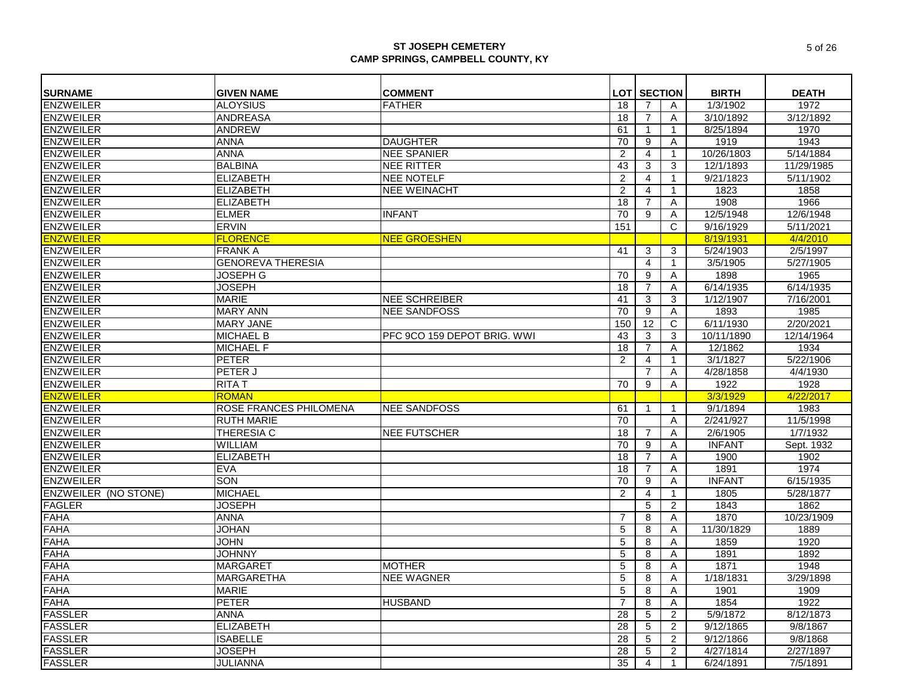| <b>SURNAME</b>              | <b>GIVEN NAME</b>             | <b>COMMENT</b>              |     | <b>LOT SECTION</b> |                | <b>BIRTH</b>  | <b>DEATH</b> |
|-----------------------------|-------------------------------|-----------------------------|-----|--------------------|----------------|---------------|--------------|
| <b>ENZWEILER</b>            | <b>ALOYSIUS</b>               | <b>FATHER</b>               | 18  | 7                  | A              | 1/3/1902      | 1972         |
| <b>ENZWEILER</b>            | <b>ANDREASA</b>               |                             | 18  | 7                  | Α              | 3/10/1892     | 3/12/1892    |
| <b>ENZWEILER</b>            | <b>ANDREW</b>                 |                             | 61  |                    | $\mathbf{1}$   | 8/25/1894     | 1970         |
| <b>ENZWEILER</b>            | <b>ANNA</b>                   | <b>DAUGHTER</b>             | 70  | 9                  | A              | 1919          | 1943         |
| <b>ENZWEILER</b>            | <b>ANNA</b>                   | <b>NEE SPANIER</b>          | 2   | 4                  | 1              | 10/26/1803    | 5/14/1884    |
| <b>ENZWEILER</b>            | <b>BALBINA</b>                | NEE RITTER                  | 43  | 3                  | 3              | 12/1/1893     | 11/29/1985   |
| <b>ENZWEILER</b>            | <b>ELIZABETH</b>              | <b>NEE NOTELF</b>           | 2   | 4                  | $\mathbf{1}$   | 9/21/1823     | 5/11/1902    |
| <b>ENZWEILER</b>            | <b>ELIZABETH</b>              | <b>NEE WEINACHT</b>         | 2   | 4                  | $\mathbf{1}$   | 1823          | 1858         |
| <b>ENZWEILER</b>            | <b>ELIZABETH</b>              |                             | 18  | $\overline{7}$     | A              | 1908          | 1966         |
| <b>ENZWEILER</b>            | <b>ELMER</b>                  | <b>INFANT</b>               | 70  | 9                  | A              | 12/5/1948     | 12/6/1948    |
| <b>ENZWEILER</b>            | <b>ERVIN</b>                  |                             | 151 |                    | C              | 9/16/1929     | 5/11/2021    |
| <b>ENZWEILER</b>            | <b>FLORENCE</b>               | <b>NEE GROESHEN</b>         |     |                    |                | 8/19/1931     | 4/4/2010     |
| <b>ENZWEILER</b>            | <b>FRANK A</b>                |                             | 41  | 3                  | 3              | 5/24/1903     | 2/5/1997     |
| <b>ENZWEILER</b>            | <b>GENOREVA THERESIA</b>      |                             |     | 4                  | 1              | 3/5/1905      | 5/27/1905    |
| <b>ENZWEILER</b>            | <b>JOSEPH G</b>               |                             | 70  | 9                  | Α              | 1898          | 1965         |
| <b>ENZWEILER</b>            | <b>JOSEPH</b>                 |                             | 18  | 7                  | Α              | 6/14/1935     | 6/14/1935    |
| <b>ENZWEILER</b>            | <b>MARIE</b>                  | <b>NEE SCHREIBER</b>        | 41  | 3                  | 3              | 1/12/1907     | 7/16/2001    |
| <b>ENZWEILER</b>            | <b>MARY ANN</b>               | <b>NEE SANDFOSS</b>         | 70  | 9                  | A              | 1893          | 1985         |
| <b>ENZWEILER</b>            | <b>MARY JANE</b>              |                             | 150 | 12                 | C              | 6/11/1930     | 2/20/2021    |
| <b>ENZWEILER</b>            | <b>MICHAEL B</b>              | PFC 9CO 159 DEPOT BRIG. WWI | 43  | 3                  | 3              | 10/11/1890    | 12/14/1964   |
| <b>ENZWEILER</b>            | <b>MICHAEL F</b>              |                             | 18  | $\overline{7}$     | A              | 12/1862       | 1934         |
| <b>ENZWEILER</b>            | <b>PETER</b>                  |                             | 2   | 4                  | $\mathbf{1}$   | 3/1/1827      | 5/22/1906    |
| <b>ENZWEILER</b>            | PETER J                       |                             |     | 7                  | Α              | 4/28/1858     | 4/4/1930     |
| <b>ENZWEILER</b>            | <b>RITAT</b>                  |                             | 70  | 9                  | Α              | 1922          | 1928         |
| <b>ENZWEILER</b>            | <b>ROMAN</b>                  |                             |     |                    |                | 3/3/1929      | 4/22/2017    |
| <b>ENZWEILER</b>            | <b>ROSE FRANCES PHILOMENA</b> | <b>NEE SANDFOSS</b>         | 61  |                    | $\mathbf{1}$   | 9/1/1894      | 1983         |
| <b>ENZWEILER</b>            | <b>RUTH MARIE</b>             |                             | 70  |                    | A              | 2/241/927     | 11/5/1998    |
| <b>ENZWEILER</b>            | THERESIA C                    | <b>NEE FUTSCHER</b>         | 18  | 7                  | Α              | 2/6/1905      | 1/7/1932     |
| <b>ENZWEILER</b>            | WILLIAM                       |                             | 70  | 9                  | Α              | <b>INFANT</b> | Sept. 1932   |
| <b>ENZWEILER</b>            | <b>ELIZABETH</b>              |                             | 18  | 7                  | A              | 1900          | 1902         |
| <b>ENZWEILER</b>            | <b>EVA</b>                    |                             | 18  | 7                  | Α              | 1891          | 1974         |
| <b>ENZWEILER</b>            | <b>SON</b>                    |                             | 70  | 9                  | A              | <b>INFANT</b> | 6/15/1935    |
| <b>ENZWEILER (NO STONE)</b> | <b>MICHAEL</b>                |                             | 2   | 4                  | $\mathbf{1}$   | 1805          | 5/28/1877    |
| <b>FAGLER</b>               | <b>JOSEPH</b>                 |                             |     | 5                  | 2              | 1843          | 1862         |
| <b>FAHA</b>                 | <b>ANNA</b>                   |                             | -7  | 8                  | A              | 1870          | 10/23/1909   |
| <b>FAHA</b>                 | <b>JOHAN</b>                  |                             | 5   | 8                  | A              | 11/30/1829    | 1889         |
| <b>FAHA</b>                 | <b>JOHN</b>                   |                             | 5   | 8                  | Α              | 1859          | 1920         |
| <b>FAHA</b>                 | <b>JOHNNY</b>                 |                             | 5   | 8                  | A              | 1891          | 1892         |
| <b>FAHA</b>                 | <b>MARGARET</b>               | <b>MOTHER</b>               | 5   | 8                  | A              | 1871          | 1948         |
| <b>FAHA</b>                 | <b>MARGARETHA</b>             | <b>NEE WAGNER</b>           | 5   | 8                  | Α              | 1/18/1831     | 3/29/1898    |
| <b>FAHA</b>                 | <b>MARIE</b>                  |                             | 5   | 8                  | A              | 1901          | 1909         |
| <b>FAHA</b>                 | <b>PETER</b>                  | <b>HUSBAND</b>              | 7   | 8                  | Α              | 1854          | 1922         |
| <b>FASSLER</b>              | <b>ANNA</b>                   |                             | 28  | 5                  | 2              | 5/9/1872      | 8/12/1873    |
| <b>FASSLER</b>              | <b>ELIZABETH</b>              |                             | 28  | 5                  | 2              | 9/12/1865     | 9/8/1867     |
| <b>FASSLER</b>              | <b>ISABELLE</b>               |                             | 28  | 5                  | $\overline{2}$ | 9/12/1866     | 9/8/1868     |
| <b>FASSLER</b>              | <b>JOSEPH</b>                 |                             | 28  | 5                  | 2              | 4/27/1814     | 2/27/1897    |
| <b>FASSLER</b>              | <b>JULIANNA</b>               |                             | 35  | 4                  | 1              | 6/24/1891     | 7/5/1891     |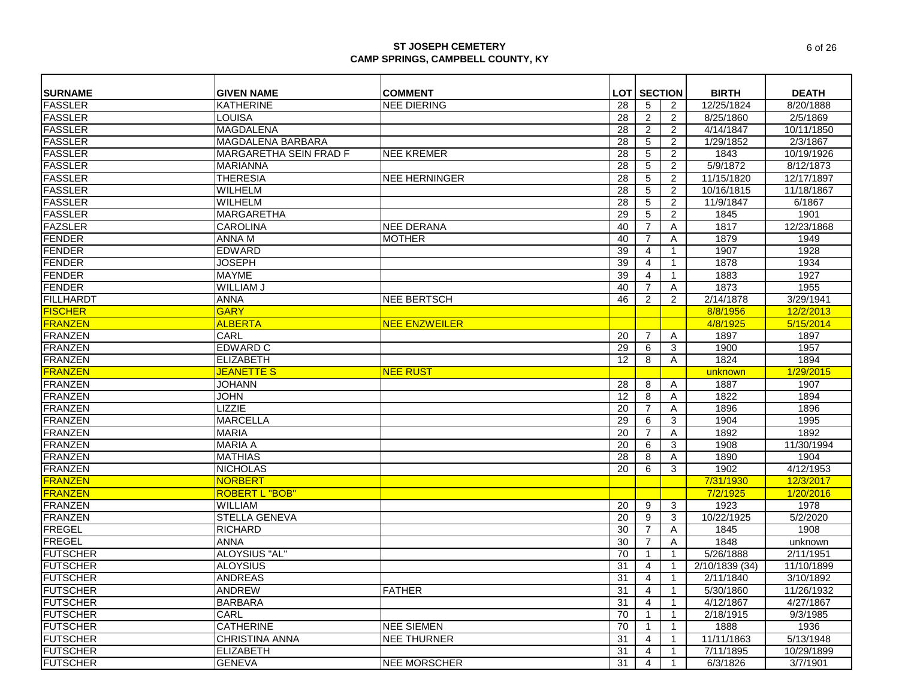| <b>SURNAME</b>   | <b>GIVEN NAME</b>                 | <b>COMMENT</b>       |    | <b>LOT SECTION</b> |                | <b>BIRTH</b>   | <b>DEATH</b> |
|------------------|-----------------------------------|----------------------|----|--------------------|----------------|----------------|--------------|
| <b>FASSLER</b>   | <b>KATHERINE</b>                  | <b>NEE DIERING</b>   | 28 | 5                  | 2              | 12/25/1824     | 8/20/1888    |
| <b>FASSLER</b>   | LOUISA                            |                      | 28 | 2                  | $\overline{2}$ | 8/25/1860      | 2/5/1869     |
| <b>FASSLER</b>   | <b>MAGDALENA</b>                  |                      | 28 | 2                  | $\overline{2}$ | 4/14/1847      | 10/11/1850   |
| <b>FASSLER</b>   | <b>MAGDALENA BARBARA</b>          |                      | 28 | 5                  | 2              | 1/29/1852      | 2/3/1867     |
| <b>FASSLER</b>   | <b>MARGARETHA SEIN FRAD F</b>     | <b>NEE KREMER</b>    | 28 | 5                  | $\overline{2}$ | 1843           | 10/19/1926   |
| <b>FASSLER</b>   | <b>MARIANNA</b>                   |                      | 28 | 5                  | 2              | 5/9/1872       | 8/12/1873    |
| <b>FASSLER</b>   | <b>THERESIA</b>                   | <b>NEE HERNINGER</b> | 28 | 5                  | $\overline{2}$ | 11/15/1820     | 12/17/1897   |
| <b>FASSLER</b>   | <b>WILHELM</b>                    |                      | 28 | 5                  | $\overline{2}$ | 10/16/1815     | 11/18/1867   |
| <b>FASSLER</b>   | <b>WILHELM</b>                    |                      | 28 | 5                  | 2              | 11/9/1847      | 6/1867       |
| <b>FASSLER</b>   | <b>MARGARETHA</b>                 |                      | 29 | 5                  | $\overline{2}$ | 1845           | 1901         |
| <b>FAZSLER</b>   | <b>CAROLINA</b>                   | <b>NEE DERANA</b>    | 40 | $\overline{7}$     | Α              | 1817           | 12/23/1868   |
| <b>FENDER</b>    | ANNA M                            | <b>MOTHER</b>        | 40 | 7                  | A              | 1879           | 1949         |
| <b>FENDER</b>    | <b>EDWARD</b>                     |                      | 39 | 4                  | $\mathbf{1}$   | 1907           | 1928         |
| <b>FENDER</b>    | <b>JOSEPH</b>                     |                      | 39 | $\overline{4}$     | $\mathbf{1}$   | 1878           | 1934         |
| <b>FENDER</b>    | <b>MAYME</b>                      |                      | 39 | 4                  | $\mathbf{1}$   | 1883           | 1927         |
| <b>FENDER</b>    | <b>WILLIAM J</b>                  |                      | 40 | 7                  | Α              | 1873           | 1955         |
| <b>FILLHARDT</b> | <b>ANNA</b>                       | <b>NEE BERTSCH</b>   | 46 | 2                  | 2              | 2/14/1878      | 3/29/1941    |
| <b>FISCHER</b>   | <b>GARY</b>                       |                      |    |                    |                | 8/8/1956       | 12/2/2013    |
| <b>FRANZEN</b>   | <b>ALBERTA</b>                    | <b>NEE ENZWEILER</b> |    |                    |                | 4/8/1925       | 5/15/2014    |
| <b>FRANZEN</b>   | CARL                              |                      | 20 | 7                  | Α              | 1897           | 1897         |
| <b>FRANZEN</b>   | <b>EDWARD C</b>                   |                      | 29 | 6                  | 3              | 1900           | 1957         |
| <b>FRANZEN</b>   | <b>ELIZABETH</b>                  |                      | 12 | 8                  | Α              | 1824           | 1894         |
| <b>FRANZEN</b>   | <b>JEANETTE S</b>                 | <b>NEE RUST</b>      |    |                    |                | unknown        | 1/29/2015    |
| <b>FRANZEN</b>   | <b>JOHANN</b>                     |                      | 28 | 8                  | Α              | 1887           | 1907         |
| <b>FRANZEN</b>   | <b>JOHN</b>                       |                      | 12 | 8                  | Α              | 1822           | 1894         |
| <b>FRANZEN</b>   | <b>LIZZIE</b>                     |                      | 20 | 7                  | Α              | 1896           | 1896         |
| <b>FRANZEN</b>   | <b>MARCELLA</b>                   |                      | 29 | 6                  | 3              | 1904           | 1995         |
| <b>FRANZEN</b>   | <b>MARIA</b>                      |                      | 20 | $\overline{7}$     | Α              | 1892           | 1892         |
| <b>FRANZEN</b>   | <b>MARIA A</b>                    |                      | 20 | 6                  | 3              | 1908           | 11/30/1994   |
| <b>FRANZEN</b>   | <b>MATHIAS</b>                    |                      | 28 | 8                  |                | 1890           | 1904         |
| <b>FRANZEN</b>   |                                   |                      | 20 | 6                  | Α<br>3         | 1902           | 4/12/1953    |
| <b>FRANZEN</b>   | <b>NICHOLAS</b><br><b>NORBERT</b> |                      |    |                    |                |                |              |
|                  |                                   |                      |    |                    |                | 7/31/1930      | 12/3/2017    |
| <b>FRANZEN</b>   | <b>ROBERT L "BOB"</b>             |                      |    |                    |                | 7/2/1925       | 1/20/2016    |
| <b>FRANZEN</b>   | <b>WILLIAM</b>                    |                      | 20 | 9                  | 3              | 1923           | 1978         |
| <b>FRANZEN</b>   | <b>STELLA GENEVA</b>              |                      | 20 | 9                  | 3              | 10/22/1925     | 5/2/2020     |
| <b>FREGEL</b>    | <b>RICHARD</b>                    |                      | 30 | $\overline{7}$     | A              | 1845           | 1908         |
| <b>FREGEL</b>    | <b>ANNA</b>                       |                      | 30 | $\overline{7}$     | Α              | 1848           | unknown      |
| <b>FUTSCHER</b>  | ALOYSIUS "AL"                     |                      | 70 |                    | $\mathbf 1$    | 5/26/1888      | 2/11/1951    |
| <b>FUTSCHER</b>  | <b>ALOYSIUS</b>                   |                      | 31 | 4                  | 1              | 2/10/1839 (34) | 11/10/1899   |
| <b>FUTSCHER</b>  | <b>ANDREAS</b>                    |                      | 31 | 4                  | $\mathbf{1}$   | 2/11/1840      | 3/10/1892    |
| <b>FUTSCHER</b>  | <b>ANDREW</b>                     | <b>FATHER</b>        | 31 | 4                  | $\mathbf{1}$   | 5/30/1860      | 11/26/1932   |
| <b>FUTSCHER</b>  | <b>BARBARA</b>                    |                      | 31 | 4                  | $\mathbf{1}$   | 4/12/1867      | 4/27/1867    |
| <b>FUTSCHER</b>  | CARL                              |                      | 70 | -1                 | -1             | 2/18/1915      | 9/3/1985     |
| <b>FUTSCHER</b>  | <b>CATHERINE</b>                  | <b>NEE SIEMEN</b>    | 70 |                    | -1             | 1888           | 1936         |
| <b>FUTSCHER</b>  | <b>CHRISTINA ANNA</b>             | <b>NEE THURNER</b>   | 31 | 4                  | -1             | 11/11/1863     | 5/13/1948    |
| <b>FUTSCHER</b>  | <b>ELIZABETH</b>                  |                      | 31 | 4                  | $\mathbf{1}$   | 7/11/1895      | 10/29/1899   |
| <b>FUTSCHER</b>  | <b>GENEVA</b>                     | <b>NEE MORSCHER</b>  | 31 | 4                  | $\mathbf{1}$   | 6/3/1826       | 3/7/1901     |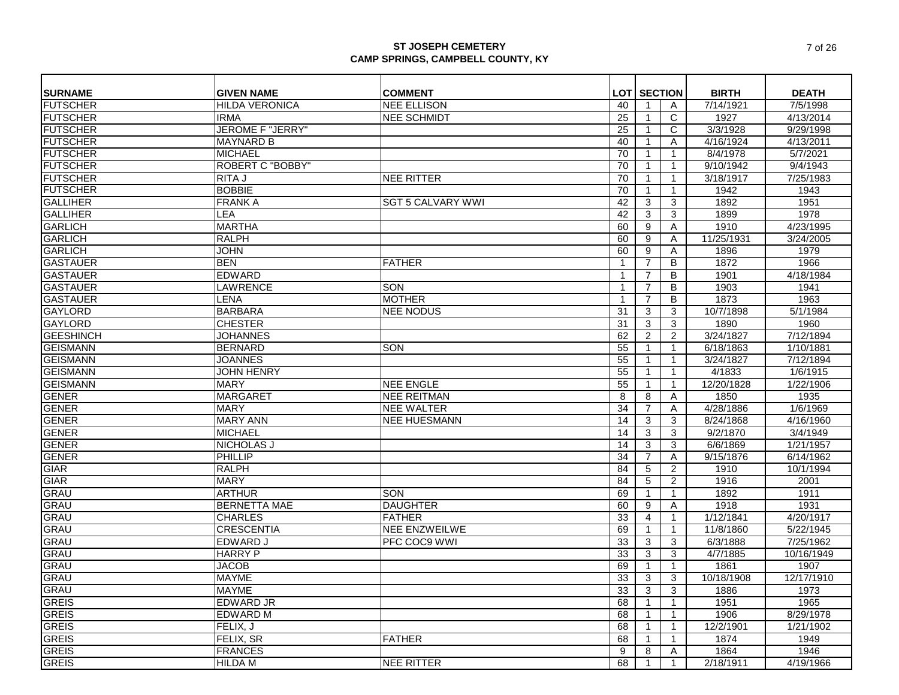| <b>SURNAME</b>   | <b>GIVEN NAME</b>       | <b>COMMENT</b>           |                | <b>LOT SECTION</b> |                | <b>BIRTH</b> | <b>DEATH</b>           |
|------------------|-------------------------|--------------------------|----------------|--------------------|----------------|--------------|------------------------|
| <b>FUTSCHER</b>  | <b>HILDA VERONICA</b>   | <b>NEE ELLISON</b>       | 40             |                    | A              | 7/14/1921    | 7/5/1998               |
| <b>FUTSCHER</b>  | <b>IRMA</b>             | <b>NEE SCHMIDT</b>       | 25             | -1                 | C              | 1927         | 4/13/2014              |
| <b>FUTSCHER</b>  | <b>JEROME F "JERRY"</b> |                          | 25             |                    | C              | 3/3/1928     | 9/29/1998              |
| <b>FUTSCHER</b>  | <b>MAYNARD B</b>        |                          | 40             | -1                 | Α              | 4/16/1924    | 4/13/2011              |
| <b>FUTSCHER</b>  | <b>MICHAEL</b>          |                          | 70             |                    | $\mathbf{1}$   | 8/4/1978     | 5/7/2021               |
| <b>FUTSCHER</b>  | <b>ROBERT C "BOBBY"</b> |                          | 70             |                    | $\mathbf{1}$   | 9/10/1942    | 9/4/1943               |
| <b>FUTSCHER</b>  | <b>RITA J</b>           | <b>NEE RITTER</b>        | 70             | -1                 | $\mathbf{1}$   | 3/18/1917    | 7/25/1983              |
| <b>FUTSCHER</b>  | <b>BOBBIE</b>           |                          | 70             |                    | $\mathbf{1}$   | 1942         | 1943                   |
| <b>GALLIHER</b>  | <b>FRANKA</b>           | <b>SGT 5 CALVARY WWI</b> | 42             | 3                  | 3              | 1892         | 1951                   |
| <b>GALLIHER</b>  | <b>LEA</b>              |                          | 42             | 3                  | 3              | 1899         | 1978                   |
| <b>GARLICH</b>   | <b>MARTHA</b>           |                          | 60             | 9                  | Α              | 1910         | 4/23/1995              |
| <b>GARLICH</b>   | <b>RALPH</b>            |                          | 60             | 9                  | Α              | 11/25/1931   | 3/24/2005              |
| <b>GARLICH</b>   | <b>JOHN</b>             |                          | 60             | 9                  | Α              | 1896         | 1979                   |
| <b>GASTAUER</b>  | <b>BEN</b>              | <b>FATHER</b>            |                | 7                  | B              | 1872         | 1966                   |
| <b>GASTAUER</b>  | <b>EDWARD</b>           |                          | $\overline{1}$ | 7                  | B              | 1901         | 4/18/1984              |
| <b>GASTAUER</b>  | <b>LAWRENCE</b>         | SON                      | -1             | 7                  | B              | 1903         | 1941                   |
| <b>GASTAUER</b>  | <b>LENA</b>             | <b>MOTHER</b>            | -1             | 7                  | B              | 1873         | 1963                   |
| <b>GAYLORD</b>   | <b>BARBARA</b>          | <b>NEE NODUS</b>         | 31             | 3                  | 3              | 10/7/1898    | 5/1/1984               |
| <b>GAYLORD</b>   | <b>CHESTER</b>          |                          | 31             | 3                  | 3              | 1890         | 1960                   |
| <b>GEESHINCH</b> | <b>JOHANNES</b>         |                          | 62             | 2                  | 2              | 3/24/1827    | 7/12/1894              |
| <b>GEISMANN</b>  | <b>BERNARD</b>          | SON                      | 55             | -1                 | $\mathbf{1}$   | 6/18/1863    | 1/10/1881              |
| <b>GEISMANN</b>  | <b>JOANNES</b>          |                          | 55             |                    | $\mathbf{1}$   | 3/24/1827    | 7/12/1894              |
| <b>GEISMANN</b>  | <b>JOHN HENRY</b>       |                          | 55             | -1                 | $\mathbf{1}$   | 4/1833       | 1/6/1915               |
| <b>GEISMANN</b>  | <b>MARY</b>             | <b>NEE ENGLE</b>         | 55             | -1                 | $\mathbf{1}$   | 12/20/1828   | 1/22/1906              |
| <b>GENER</b>     | <b>MARGARET</b>         | <b>NEE REITMAN</b>       | 8              | 8                  | Α              | 1850         | 1935                   |
| <b>GENER</b>     | <b>MARY</b>             | <b>NEE WALTER</b>        | 34             | 7                  | Α              | 4/28/1886    | 1/6/1969               |
| <b>GENER</b>     | <b>MARY ANN</b>         | <b>NEE HUESMANN</b>      | 14             | 3                  | 3              | 8/24/1868    | 4/16/1960              |
| <b>GENER</b>     | <b>MICHAEL</b>          |                          | 14             | 3                  | 3              | 9/2/1870     | 3/4/1949               |
| <b>GENER</b>     | <b>NICHOLAS J</b>       |                          | 14             | 3                  | 3              | 6/6/1869     | 1/21/1957              |
| <b>GENER</b>     | <b>PHILLIP</b>          |                          | 34             | 7                  | Α              | 9/15/1876    | 6/14/1962              |
| <b>GIAR</b>      | <b>RALPH</b>            |                          | 84             | 5                  | $\overline{2}$ | 1910         | 10/1/1994              |
| <b>GIAR</b>      | <b>MARY</b>             |                          | 84             | 5                  | 2              | 1916         | 2001                   |
| <b>GRAU</b>      | <b>ARTHUR</b>           | <b>SON</b>               | 69             | $\mathbf 1$        | $\mathbf{1}$   | 1892         | 1911                   |
| <b>GRAU</b>      | <b>BERNETTA MAE</b>     | <b>DAUGHTER</b>          | 60             | 9                  | Α              | 1918         | 1931                   |
| <b>GRAU</b>      | <b>CHARLES</b>          | <b>FATHER</b>            | 33             | 4                  | $\mathbf{1}$   | 1/12/1841    | 4/20/1917              |
| <b>GRAU</b>      | <b>CRESCENTIA</b>       | <b>NEE ENZWEILWE</b>     | 69             | -1                 | $\mathbf{1}$   | 11/8/1860    | 5/22/1945              |
| <b>GRAU</b>      | <b>EDWARD J</b>         | <b>IPFC COC9 WWI</b>     | 33             | 3                  | 3              | 6/3/1888     | 7/25/1962              |
| <b>GRAU</b>      | <b>HARRY P</b>          |                          | 33             | 3                  | 3              | 4/7/1885     | 10/16/1949             |
| <b>GRAU</b>      | <b>JACOB</b>            |                          | 69             |                    | -1             | 1861         | 1907                   |
| <b>GRAU</b>      | <b>MAYME</b>            |                          | 33             | 3                  | 3              | 10/18/1908   | 12/17/1910             |
| <b>GRAU</b>      | <b>MAYME</b>            |                          | 33             | 3                  | 3              | 1886         | 1973                   |
| <b>GREIS</b>     | <b>EDWARD JR</b>        |                          | 68             |                    |                | 1951         | 1965                   |
| <b>GREIS</b>     | <b>EDWARD M</b>         |                          | 68             | -1                 | 1              | 1906         | 8/29/1978              |
| <b>GREIS</b>     | FELIX, J                |                          | 68             | -1                 | 1              | 12/2/1901    | 1/21/1902              |
| <b>GREIS</b>     | FELIX, SR               | <b>FATHER</b>            | 68             | -1                 | -1             | 1874         | 1949                   |
| <b>GREIS</b>     | <b>FRANCES</b>          |                          | 9              | 8                  | Α              | 1864         | 1946                   |
| <b>GREIS</b>     | <b>HILDA M</b>          | <b>NEE RITTER</b>        | 68             |                    | $\mathbf{1}$   | 2/18/1911    | $4/\overline{19}/1966$ |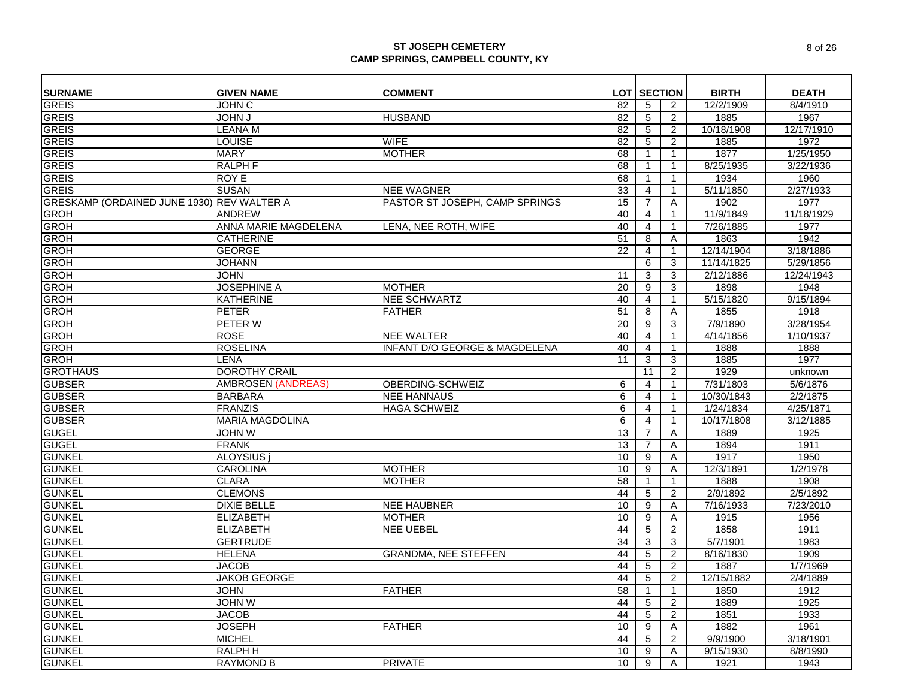| <b>SURNAME</b>                             | <b>GIVEN NAME</b>         | <b>COMMENT</b>                           |                | <b>LOT SECTION</b> |                | <b>BIRTH</b> | <b>DEATH</b> |
|--------------------------------------------|---------------------------|------------------------------------------|----------------|--------------------|----------------|--------------|--------------|
| <b>GREIS</b>                               | JOHN C                    |                                          | 82             | 5                  | 2              | 12/2/1909    | 8/4/1910     |
| <b>GREIS</b>                               | <b>L NHOL</b>             | <b>HUSBAND</b>                           | 82             | 5                  | 2              | 1885         | 1967         |
| <b>GREIS</b>                               | <b>LEANA M</b>            |                                          | 82             | 5                  | 2              | 10/18/1908   | 12/17/1910   |
| <b>GREIS</b>                               | <b>LOUISE</b>             | <b>WIFE</b>                              | 82             | 5                  | 2              | 1885         | 1972         |
|                                            |                           |                                          |                |                    |                |              |              |
| <b>GREIS</b>                               | <b>MARY</b>               | <b>MOTHER</b>                            | 68             |                    | $\mathbf{1}$   | 1877         | 1/25/1950    |
| <b>GREIS</b>                               | <b>RALPH F</b>            |                                          | 68             | $\mathbf{1}$       | $\mathbf{1}$   | 8/25/1935    | 3/22/1936    |
| <b>GREIS</b>                               | ROY E                     |                                          | 68             |                    | $\mathbf{1}$   | 1934         | 1960         |
| <b>GREIS</b>                               | <b>SUSAN</b>              | <b>NEE WAGNER</b>                        | 33             | 4                  | $\mathbf{1}$   | 5/11/1850    | 2/27/1933    |
| GRESKAMP (ORDAINED JUNE 1930) REV WALTER A |                           | PASTOR ST JOSEPH, CAMP SPRINGS           | 15             | $\overline{7}$     | Α              | 1902         | 1977         |
| GROH                                       | <b>ANDREW</b>             |                                          | 40             | $\overline{4}$     | $\mathbf{1}$   | 11/9/1849    | 11/18/1929   |
| <b>GROH</b>                                | ANNA MARIE MAGDELENA      | LENA, NEE ROTH, WIFE                     | 40             | $\overline{4}$     | $\mathbf{1}$   | 7/26/1885    | 1977         |
| <b>GROH</b>                                | <b>CATHERINE</b>          |                                          | 51             | 8                  | A              | 1863         | 1942         |
| <b>GROH</b>                                | <b>GEORGE</b>             |                                          | 22             | $\overline{4}$     | $\mathbf{1}$   | 12/14/1904   | 3/18/1886    |
| <b>GROH</b>                                | <b>JOHANN</b>             |                                          |                | 6                  | 3              | 11/14/1825   | 5/29/1856    |
| <b>GROH</b>                                | <b>JOHN</b>               |                                          | 11             | 3                  | 3              | 2/12/1886    | 12/24/1943   |
| GROH                                       | <b>JOSEPHINE A</b>        | <b>MOTHER</b>                            | 20             | 9                  | 3              | 1898         | 1948         |
| <b>GROH</b>                                | <b>KATHERINE</b>          | <b>NEE SCHWARTZ</b>                      | 40             | $\overline{4}$     | $\mathbf{1}$   | 5/15/1820    | 9/15/1894    |
| <b>GROH</b>                                | <b>PETER</b>              | <b>FATHER</b>                            | 51             | 8                  | A              | 1855         | 1918         |
| <b>GROH</b>                                | PETER W                   |                                          | 20             | 9                  | 3              | 7/9/1890     | 3/28/1954    |
| <b>GROH</b>                                | <b>ROSE</b>               | <b>NEE WALTER</b>                        | 40             | 4                  | $\mathbf{1}$   | 4/14/1856    | 1/10/1937    |
| <b>GROH</b>                                | <b>ROSELINA</b>           | <b>INFANT D/O GEORGE &amp; MAGDELENA</b> | 40             | $\overline{4}$     | $\mathbf{1}$   | 1888         | 1888         |
| <b>GROH</b>                                | <b>LENA</b>               |                                          | 11             | 3                  | 3              | 1885         | 1977         |
| <b>GROTHAUS</b>                            | <b>DOROTHY CRAIL</b>      |                                          |                | 11                 | $\mathbf{2}$   | 1929         | unknown      |
| <b>GUBSER</b>                              | <b>AMBROSEN (ANDREAS)</b> | OBERDING-SCHWEIZ                         | 6              | 4                  | $\mathbf{1}$   | 7/31/1803    | 5/6/1876     |
| <b>GUBSER</b>                              | <b>BARBARA</b>            | <b>NEE HANNAUS</b>                       | $\overline{6}$ | 4                  | $\mathbf{1}$   | 10/30/1843   | 2/2/1875     |
| <b>GUBSER</b>                              | <b>FRANZIS</b>            | <b>HAGA SCHWEIZ</b>                      | 6              | 4                  | $\mathbf{1}$   | 1/24/1834    | 4/25/1871    |
| <b>GUBSER</b>                              | <b>MARIA MAGDOLINA</b>    |                                          | 6              | $\overline{4}$     | $\mathbf{1}$   | 10/17/1808   | 3/12/1885    |
| <b>GUGEL</b>                               | JOHN W                    |                                          | 13             | 7                  | Α              | 1889         | 1925         |
| <b>GUGEL</b>                               | <b>FRANK</b>              |                                          | 13             | $\overline{7}$     | A              | 1894         | 1911         |
| <b>GUNKEL</b>                              | <b>ALOYSIUS</b>           |                                          | 10             | 9                  | A              | 1917         | 1950         |
| <b>GUNKEL</b>                              | <b>CAROLINA</b>           | <b>MOTHER</b>                            | 10             | 9                  | A              | 12/3/1891    | 1/2/1978     |
| <b>GUNKEL</b>                              | <b>CLARA</b>              | <b>MOTHER</b>                            | 58             | $\mathbf 1$        | $\mathbf{1}$   | 1888         | 1908         |
| <b>GUNKEL</b>                              | <b>CLEMONS</b>            |                                          | 44             | 5                  | 2              | 2/9/1892     | 2/5/1892     |
| <b>GUNKEL</b>                              | <b>DIXIE BELLE</b>        | <b>NEE HAUBNER</b>                       | 10             | 9                  | Α              | 7/16/1933    | 7/23/2010    |
| <b>GUNKEL</b>                              | <b>ELIZABETH</b>          | <b>MOTHER</b>                            | 10             | 9                  | Α              | 1915         | 1956         |
| <b>GUNKEL</b>                              | <b>ELIZABETH</b>          | <b>NEE UEBEL</b>                         | 44             | 5                  | 2              | 1858         | 1911         |
| <b>GUNKEL</b>                              | <b>GERTRUDE</b>           |                                          | 34             | 3                  | 3              | 5/7/1901     | 1983         |
| <b>GUNKEL</b>                              | <b>HELENA</b>             | <b>GRANDMA, NEE STEFFEN</b>              | 44             | 5                  | 2              | 8/16/1830    | 1909         |
| <b>GUNKEL</b>                              | <b>JACOB</b>              |                                          | 44             | 5                  | 2              | 1887         | 1/7/1969     |
| <b>GUNKEL</b>                              | <b>JAKOB GEORGE</b>       |                                          | 44             | 5                  | 2              | 12/15/1882   | 2/4/1889     |
| <b>GUNKEL</b>                              | <b>JOHN</b>               | <b>FATHER</b>                            | 58             | $\mathbf{1}$       | $\mathbf{1}$   | 1850         | 1912         |
| <b>GUNKEL</b>                              | <b>JOHN W</b>             |                                          | 44             | 5                  | $\overline{2}$ | 1889         | 1925         |
| <b>GUNKEL</b>                              | <b>JACOB</b>              |                                          | 44             | 5                  | $\overline{2}$ | 1851         | 1933         |
| <b>GUNKEL</b>                              | <b>JOSEPH</b>             | <b>FATHER</b>                            | 10             | 9                  | A              | 1882         | 1961         |
| <b>GUNKEL</b>                              | <b>MICHEL</b>             |                                          | 44             | 5                  | 2              | 9/9/1900     | 3/18/1901    |
| <b>GUNKEL</b>                              | RALPH H                   |                                          | 10             | 9                  | Α              | 9/15/1930    | 8/8/1990     |
| <b>GUNKEL</b>                              | <b>RAYMOND B</b>          | <b>PRIVATE</b>                           | 10             | 9                  | A              | 1921         | 1943         |
|                                            |                           |                                          |                |                    |                |              |              |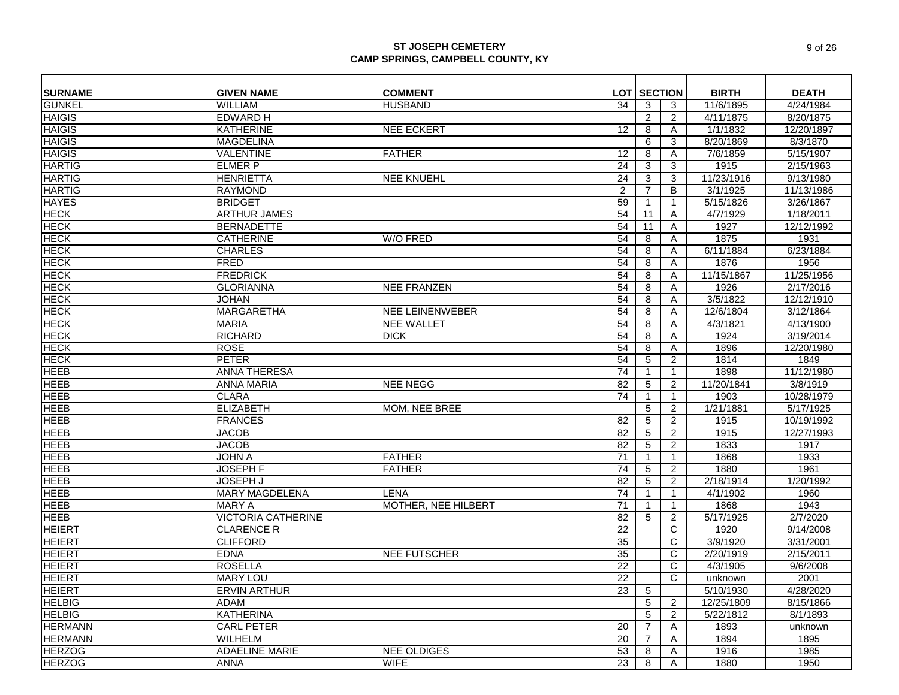| <b>SURNAME</b> | <b>GIVEN NAME</b>         | <b>COMMENT</b>         |                | <b>LOT SECTION</b> |                     | <b>BIRTH</b> | <b>DEATH</b> |
|----------------|---------------------------|------------------------|----------------|--------------------|---------------------|--------------|--------------|
| <b>GUNKEL</b>  | <b>WILLIAM</b>            | <b>HUSBAND</b>         | 34             | 3                  | 3                   | 11/6/1895    | 4/24/1984    |
| <b>HAIGIS</b>  | <b>EDWARD H</b>           |                        |                | 2                  | $\overline{2}$      | 4/11/1875    | 8/20/1875    |
| <b>HAIGIS</b>  | <b>KATHERINE</b>          | <b>NEE ECKERT</b>      | 12             | 8                  | Α                   | 1/1/1832     | 12/20/1897   |
| <b>HAIGIS</b>  | <b>MAGDELINA</b>          |                        |                | 6                  | 3                   | 8/20/1869    | 8/3/1870     |
| <b>HAIGIS</b>  | <b>VALENTINE</b>          | <b>FATHER</b>          | 12             | 8                  | Α                   | 7/6/1859     | 5/15/1907    |
| <b>HARTIG</b>  | <b>ELMER P</b>            |                        | 24             | 3                  | 3                   | 1915         | 2/15/1963    |
| <b>HARTIG</b>  | <b>HENRIETTA</b>          | <b>NEE KNUEHL</b>      | 24             | 3                  | 3                   | 11/23/1916   | 9/13/1980    |
| <b>HARTIG</b>  | <b>RAYMOND</b>            |                        | $\overline{2}$ | 7                  | B                   | 3/1/1925     | 11/13/1986   |
| <b>HAYES</b>   | <b>BRIDGET</b>            |                        | 59             | $\mathbf{1}$       | $\mathbf{1}$        | 5/15/1826    | 3/26/1867    |
| <b>HECK</b>    | <b>ARTHUR JAMES</b>       |                        | 54             | 11                 | Α                   | 4/7/1929     | 1/18/2011    |
| <b>HECK</b>    | <b>BERNADETTE</b>         |                        | 54             | 11                 | Α                   | 1927         | 12/12/1992   |
| <b>HECK</b>    | <b>CATHERINE</b>          | <b>W/O FRED</b>        | 54             | 8                  | A                   | 1875         | 1931         |
| <b>HECK</b>    | <b>CHARLES</b>            |                        | 54             | 8                  | Α                   | 6/11/1884    | 6/23/1884    |
| <b>HECK</b>    | <b>FRED</b>               |                        | 54             | 8                  | Α                   | 1876         | 1956         |
| <b>HECK</b>    | <b>FREDRICK</b>           |                        | 54             | 8                  | Α                   | 11/15/1867   | 11/25/1956   |
| <b>HECK</b>    | <b>GLORIANNA</b>          | <b>NEE FRANZEN</b>     | 54             | 8                  | Α                   | 1926         | 2/17/2016    |
| <b>HECK</b>    | <b>JOHAN</b>              |                        | 54             | 8                  | Α                   | 3/5/1822     | 12/12/1910   |
| <b>HECK</b>    | <b>MARGARETHA</b>         | <b>NEE LEINENWEBER</b> | 54             | 8                  | A                   | 12/6/1804    | 3/12/1864    |
| <b>HECK</b>    | <b>MARIA</b>              | <b>NEE WALLET</b>      | 54             | 8                  | Α                   | 4/3/1821     | 4/13/1900    |
| <b>HECK</b>    | <b>RICHARD</b>            | <b>DICK</b>            | 54             | 8                  | Α                   | 1924         | 3/19/2014    |
| <b>HECK</b>    | <b>ROSE</b>               |                        | 54             | 8                  | Α                   | 1896         | 12/20/1980   |
| <b>HECK</b>    | <b>PETER</b>              |                        | 54             | 5                  | 2                   | 1814         | 1849         |
| <b>HEEB</b>    | <b>ANNA THERESA</b>       |                        | 74             |                    | $\mathbf{1}$        | 1898         | 11/12/1980   |
| <b>HEEB</b>    | <b>ANNA MARIA</b>         | <b>NEE NEGG</b>        | 82             | 5                  | 2                   | 11/20/1841   | 3/8/1919     |
| <b>HEEB</b>    | <b>CLARA</b>              |                        | 74             | $\mathbf 1$        | $\mathbf{1}$        | 1903         | 10/28/1979   |
| <b>HEEB</b>    | <b>ELIZABETH</b>          | MOM, NEE BREE          |                | 5                  | $\overline{2}$      | 1/21/1881    | 5/17/1925    |
| <b>HEEB</b>    | <b>FRANCES</b>            |                        | 82             | 5                  | 2                   | 1915         | 10/19/1992   |
| <b>HEEB</b>    | <b>JACOB</b>              |                        | 82             | 5                  | $\overline{2}$      | 1915         | 12/27/1993   |
| <b>HEEB</b>    | <b>JACOB</b>              |                        | 82             | 5                  | 2                   | 1833         | 1917         |
| <b>HEEB</b>    | <b>JOHN A</b>             | <b>FATHER</b>          | 71             |                    | $\mathbf{1}$        | 1868         | 1933         |
| <b>HEEB</b>    | <b>JOSEPH F</b>           |                        | 74             |                    |                     | 1880         | 1961         |
| <b>HEEB</b>    | <b>JOSEPH J</b>           | <b>FATHER</b>          |                | 5<br>5             | $\overline{2}$<br>2 | 2/18/1914    | 1/20/1992    |
|                |                           |                        | 82             |                    |                     |              |              |
| <b>HEEB</b>    | <b>MARY MAGDELENA</b>     | LENA                   | 74             |                    | $\mathbf{1}$        | 4/1/1902     | 1960         |
| <b>HEEB</b>    | <b>MARY A</b>             | MOTHER, NEE HILBERT    | 71             | -1                 | $\mathbf{1}$        | 1868         | 1943         |
| <b>HEEB</b>    | <b>VICTORIA CATHERINE</b> |                        | 82             | 5                  | $\overline{2}$      | 5/17/1925    | 2/7/2020     |
| <b>HEIERT</b>  | <b>CLARENCE R</b>         |                        | 22             |                    | C                   | 1920         | 9/14/2008    |
| <b>HEIERT</b>  | <b>CLIFFORD</b>           |                        | 35             |                    | C                   | 3/9/1920     | 3/31/2001    |
| <b>HEIERT</b>  | <b>EDNA</b>               | <b>NEE FUTSCHER</b>    | 35             |                    | C                   | 2/20/1919    | 2/15/2011    |
| <b>HEIERT</b>  | <b>ROSELLA</b>            |                        | 22             |                    | C                   | 4/3/1905     | 9/6/2008     |
| <b>HEIERT</b>  | <b>MARY LOU</b>           |                        | 22             |                    | C                   | unknown      | 2001         |
| <b>HEIERT</b>  | <b>ERVIN ARTHUR</b>       |                        | 23             | 5                  |                     | 5/10/1930    | 4/28/2020    |
| <b>HELBIG</b>  | <b>ADAM</b>               |                        |                | 5                  | 2                   | 12/25/1809   | 8/15/1866    |
| <b>HELBIG</b>  | <b>KATHERINA</b>          |                        |                | 5                  | $\overline{2}$      | 5/22/1812    | 8/1/1893     |
| <b>HERMANN</b> | <b>CARL PETER</b>         |                        | 20             | 7                  | Α                   | 1893         | unknown      |
| <b>HERMANN</b> | <b>WILHELM</b>            |                        | 20             | $\overline{7}$     | Α                   | 1894         | 1895         |
| <b>HERZOG</b>  | <b>ADAELINE MARIE</b>     | <b>NEE OLDIGES</b>     | 53             | 8                  | Α                   | 1916         | 1985         |
| <b>HERZOG</b>  | <b>ANNA</b>               | <b>WIFE</b>            | 23             | 8                  | A                   | 1880         | 1950         |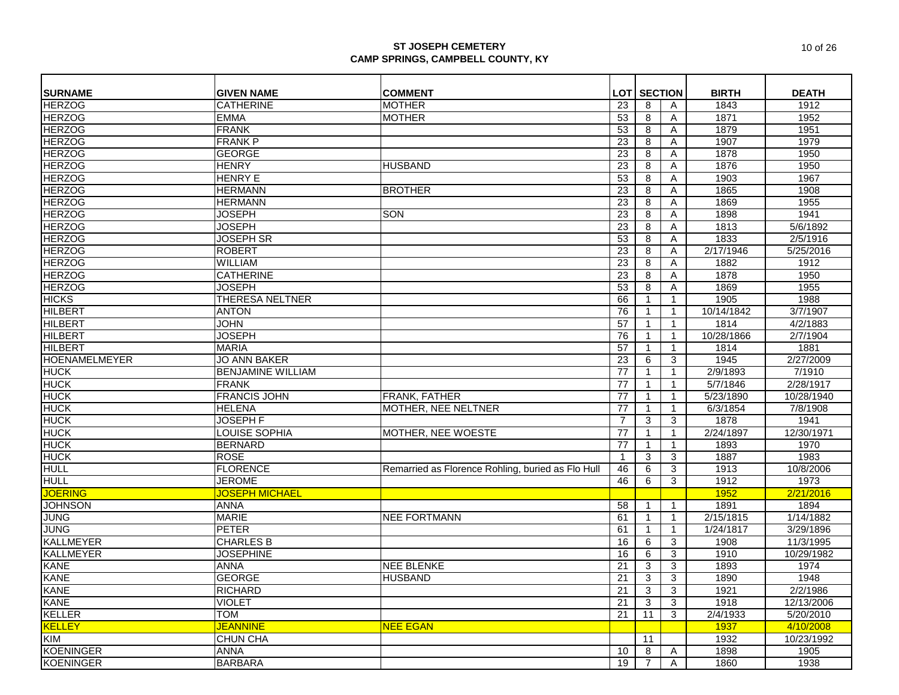| <b>SURNAME</b>       | <b>GIVEN NAME</b>        | <b>COMMENT</b>                                    |                 | <b>LOT   SECTION</b>    |              | <b>BIRTH</b> | <b>DEATH</b> |
|----------------------|--------------------------|---------------------------------------------------|-----------------|-------------------------|--------------|--------------|--------------|
| <b>HERZOG</b>        | <b>CATHERINE</b>         | <b>MOTHER</b>                                     | 23              | 8                       |              | 1843         | 1912         |
| <b>HERZOG</b>        | <b>EMMA</b>              | <b>MOTHER</b>                                     | 53              | 8                       | Α            | 1871         | 1952         |
| <b>HERZOG</b>        | <b>FRANK</b>             |                                                   | 53              | $\overline{\mathbf{8}}$ | Α<br>A       | 1879         | 1951         |
| <b>HERZOG</b>        | <b>FRANK P</b>           |                                                   | 23              | 8                       | A            | 1907         | 1979         |
| <b>HERZOG</b>        | <b>GEORGE</b>            |                                                   | 23              | 8                       |              | 1878         | 1950         |
|                      |                          |                                                   |                 |                         | A            |              |              |
| <b>HERZOG</b>        | <b>HENRY</b>             | <b>HUSBAND</b>                                    | 23              | 8                       | Α            | 1876         | 1950         |
| <b>HERZOG</b>        | <b>HENRY E</b>           |                                                   | 53              | 8                       | Α            | 1903         | 1967         |
| <b>HERZOG</b>        | <b>HERMANN</b>           | <b>BROTHER</b>                                    | 23              | 8                       | Α            | 1865         | 1908         |
| <b>HERZOG</b>        | <b>HERMANN</b>           |                                                   | $\overline{23}$ | 8                       | Α            | 1869         | 1955         |
| <b>HERZOG</b>        | <b>JOSEPH</b>            | SON                                               | 23              | 8                       | Α            | 1898         | 1941         |
| <b>HERZOG</b>        | <b>JOSEPH</b>            |                                                   | 23              | 8                       | Α            | 1813         | 5/6/1892     |
| <b>HERZOG</b>        | <b>JOSEPH SR</b>         |                                                   | 53              | 8                       | Α            | 1833         | 2/5/1916     |
| <b>HERZOG</b>        | <b>ROBERT</b>            |                                                   | 23              | 8                       | Α            | 2/17/1946    | 5/25/2016    |
| <b>HERZOG</b>        | <b>WILLIAM</b>           |                                                   | 23              | 8                       | A            | 1882         | 1912         |
| <b>HERZOG</b>        | <b>CATHERINE</b>         |                                                   | 23              | 8                       | Α            | 1878         | 1950         |
| <b>HERZOG</b>        | <b>JOSEPH</b>            |                                                   | 53              | 8                       | A            | 1869         | 1955         |
| <b>HICKS</b>         | <b>THERESA NELTNER</b>   |                                                   | 66              | $\mathbf{1}$            | $\mathbf{1}$ | 1905         | 1988         |
| <b>HILBERT</b>       | <b>ANTON</b>             |                                                   | 76              | $\mathbf{1}$            | $\mathbf{1}$ | 10/14/1842   | 3/7/1907     |
| <b>HILBERT</b>       | <b>JOHN</b>              |                                                   | 57              | $\mathbf{1}$            | $\mathbf{1}$ | 1814         | 4/2/1883     |
| <b>HILBERT</b>       | <b>JOSEPH</b>            |                                                   | 76              | $\mathbf{1}$            | $\mathbf{1}$ | 10/28/1866   | 2/7/1904     |
| <b>HILBERT</b>       | <b>MARIA</b>             |                                                   | 57              | $\mathbf{1}$            | $\mathbf{1}$ | 1814         | 1881         |
| <b>HOENAMELMEYER</b> | <b>JO ANN BAKER</b>      |                                                   | 23              | 6                       | 3            | 1945         | 2/27/2009    |
| <b>HUCK</b>          | <b>BENJAMINE WILLIAM</b> |                                                   | 77              | $\mathbf{1}$            | $\mathbf{1}$ | 2/9/1893     | 7/1910       |
| <b>HUCK</b>          | <b>FRANK</b>             |                                                   | 77              | $\mathbf{1}$            | $\mathbf{1}$ | 5/7/1846     | 2/28/1917    |
| <b>HUCK</b>          | <b>FRANCIS JOHN</b>      | FRANK, FATHER                                     | 77              | $\mathbf{1}$            |              | 5/23/1890    | 10/28/1940   |
| <b>HUCK</b>          | <b>HELENA</b>            | MOTHER, NEE NELTNER                               | 77              | $\mathbf{1}$            |              | 6/3/1854     | 7/8/1908     |
| <b>HUCK</b>          | <b>JOSEPH F</b>          |                                                   | $\overline{7}$  | 3                       | 3            | 1878         | 1941         |
| <b>HUCK</b>          | <b>LOUISE SOPHIA</b>     | <b>MOTHER, NEE WOESTE</b>                         | 77              | $\mathbf{1}$            | 1            | 2/24/1897    | 12/30/1971   |
| <b>HUCK</b>          | <b>BERNARD</b>           |                                                   | 77              | $\mathbf{1}$            | $\mathbf{1}$ | 1893         | 1970         |
| <b>HUCK</b>          | <b>ROSE</b>              |                                                   | $\overline{1}$  | 3                       | 3            | 1887         | 1983         |
| <b>HULL</b>          | <b>FLORENCE</b>          | Remarried as Florence Rohling, buried as Flo Hull | 46              | 6                       | 3            | 1913         | 10/8/2006    |
| <b>HULL</b>          | <b>JEROME</b>            |                                                   | 46              | 6                       | 3            | 1912         | 1973         |
| <b>JOERING</b>       | JOSEPH MICHAEL           |                                                   |                 |                         |              | 1952         | 2/21/2016    |
| <b>JOHNSON</b>       | <b>ANNA</b>              |                                                   | 58              | $\mathbf{1}$            | $\mathbf{1}$ | 1891         | 1894         |
| <b>JUNG</b>          | <b>MARIE</b>             | <b>NEE FORTMANN</b>                               | 61              | $\mathbf{1}$            | $\mathbf{1}$ | 2/15/1815    | 1/14/1882    |
| <b>JUNG</b>          | <b>PETER</b>             |                                                   | 61              | $\mathbf{1}$            | $\mathbf{1}$ | 1/24/1817    | 3/29/1896    |
| <b>KALLMEYER</b>     | <b>CHARLES B</b>         |                                                   | 16              | 6                       | 3            | 1908         | 11/3/1995    |
| <b>KALLMEYER</b>     | <b>JOSEPHINE</b>         |                                                   | 16              | 6                       | 3            | 1910         | 10/29/1982   |
| <b>KANE</b>          | <b>ANNA</b>              | <b>NEE BLENKE</b>                                 | 21              | 3                       | 3            | 1893         | 1974         |
| <b>KANE</b>          | <b>GEORGE</b>            | <b>HUSBAND</b>                                    | 21              | 3                       | 3            | 1890         | 1948         |
| <b>KANE</b>          | <b>RICHARD</b>           |                                                   | 21              | 3                       | 3            | 1921         | 2/2/1986     |
| <b>KANE</b>          | <b>VIOLET</b>            |                                                   | 21              | 3                       | 3            | 1918         | 12/13/2006   |
| <b>KELLER</b>        | <b>TOM</b>               |                                                   | 21              | 11                      | 3            | 2/4/1933     | 5/20/2010    |
| <b>KELLEY</b>        | <b>JEANNINE</b>          | NEE EGAN                                          |                 |                         |              | 1937         | 4/10/2008    |
| KIM                  | <b>CHUN CHA</b>          |                                                   |                 | 11                      |              | 1932         | 10/23/1992   |
| <b>KOENINGER</b>     | <b>ANNA</b>              |                                                   | 10              | 8                       | Α            | 1898         | 1905         |
| <b>KOENINGER</b>     | <b>BARBARA</b>           |                                                   | 19              | $\overline{7}$          | A            | 1860         | 1938         |
|                      |                          |                                                   |                 |                         |              |              |              |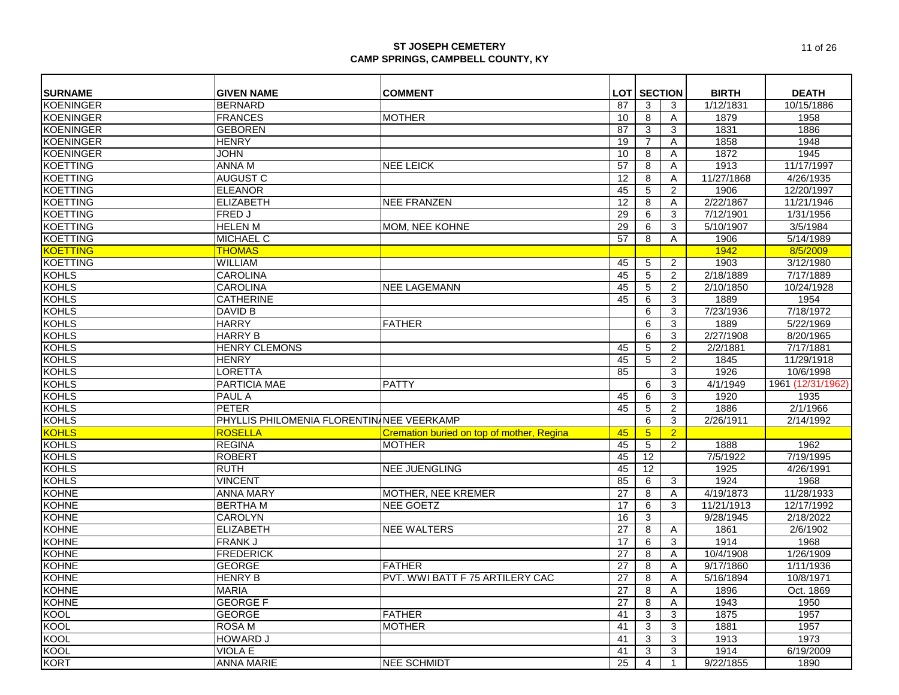| <b>SURNAME</b>   | <b>GIVEN NAME</b>                         | <b>COMMENT</b>                            |                 | <b>LOT SECTION</b>      |                | <b>BIRTH</b> | <b>DEATH</b>      |
|------------------|-------------------------------------------|-------------------------------------------|-----------------|-------------------------|----------------|--------------|-------------------|
| <b>KOENINGER</b> | <b>BERNARD</b>                            |                                           | 87              | 3                       | 3              | 1/12/1831    | 10/15/1886        |
| <b>KOENINGER</b> | <b>FRANCES</b>                            | <b>MOTHER</b>                             | 10              | 8                       | A              | 1879         | 1958              |
| <b>KOENINGER</b> | <b>GEBOREN</b>                            |                                           | 87              | 3                       | 3              | 1831         | 1886              |
| <b>KOENINGER</b> | <b>HENRY</b>                              |                                           | 19              | $\overline{7}$          | Α              | 1858         | 1948              |
| <b>KOENINGER</b> | <b>JOHN</b>                               |                                           | 10              | 8                       | A              | 1872         | 1945              |
| <b>KOETTING</b>  | <b>ANNA M</b>                             | <b>NEE LEICK</b>                          | 57              | 8                       | A              | 1913         | 11/17/1997        |
| <b>KOETTING</b>  | <b>AUGUST C</b>                           |                                           | $\overline{12}$ | $\overline{8}$          | A              | 11/27/1868   | 4/26/1935         |
| <b>KOETTING</b>  | <b>ELEANOR</b>                            |                                           | 45              | $\overline{5}$          | $\overline{2}$ | 1906         | 12/20/1997        |
| <b>KOETTING</b>  | <b>ELIZABETH</b>                          | <b>NEE FRANZEN</b>                        | 12              | $\overline{\mathbf{8}}$ | Α              | 2/22/1867    | 11/21/1946        |
| <b>KOETTING</b>  | <b>FRED J</b>                             |                                           | 29              | $6\overline{6}$         | 3              | 7/12/1901    | 1/31/1956         |
| <b>KOETTING</b>  | <b>HELEN M</b>                            | MOM, NEE KOHNE                            | 29              | 6                       | 3              | 5/10/1907    | 3/5/1984          |
| <b>KOETTING</b>  | <b>MICHAEL C</b>                          |                                           | 57              | 8                       | $\overline{A}$ | 1906         | 5/14/1989         |
| <b>KOETTING</b>  | <b>THOMAS</b>                             |                                           |                 |                         |                | 1942         | 8/5/2009          |
| <b>KOETTING</b>  | WILLIAM                                   |                                           | 45              | 5                       | $\overline{2}$ | 1903         | 3/12/1980         |
| <b>KOHLS</b>     | <b>CAROLINA</b>                           |                                           | 45              | 5                       | $\overline{2}$ | 2/18/1889    | 7/17/1889         |
| <b>KOHLS</b>     | <b>CAROLINA</b>                           | <b>NEE LAGEMANN</b>                       | 45              | 5                       | $\overline{2}$ | 2/10/1850    | 10/24/1928        |
| <b>KOHLS</b>     | <b>CATHERINE</b>                          |                                           | 45              | 6                       | $\mathbf{3}$   | 1889         | 1954              |
| <b>KOHLS</b>     | <b>DAVID B</b>                            |                                           |                 | 6                       | 3              | 7/23/1936    | 7/18/1972         |
| <b>KOHLS</b>     | <b>HARRY</b>                              | <b>FATHER</b>                             |                 | 6                       | 3              | 1889         | 5/22/1969         |
| <b>KOHLS</b>     | <b>HARRY B</b>                            |                                           |                 | $\overline{6}$          | $\overline{3}$ | 2/27/1908    | 8/20/1965         |
| <b>KOHLS</b>     | <b>HENRY CLEMONS</b>                      |                                           | 45              | $\overline{5}$          | $\overline{2}$ | 2/2/1881     | 7/17/1881         |
| <b>KOHLS</b>     | <b>HENRY</b>                              |                                           | 45              | $\overline{5}$          | 2              | 1845         | 11/29/1918        |
| <b>KOHLS</b>     | <b>LORETTA</b>                            |                                           | 85              |                         | 3              | 1926         | 10/6/1998         |
| <b>KOHLS</b>     | PARTICIA MAE                              | <b>PATTY</b>                              |                 | 6                       | 3              | 4/1/1949     | 1961 (12/31/1962) |
| <b>KOHLS</b>     | <b>PAUL A</b>                             |                                           | 45              | 6                       | 3              | 1920         | 1935              |
| <b>KOHLS</b>     | <b>PETER</b>                              |                                           | 45              | $\overline{5}$          | $\overline{2}$ | 1886         | 2/1/1966          |
| <b>KOHLS</b>     | PHYLLIS PHILOMENIA FLORENTIN NEE VEERKAMP |                                           |                 | 6                       | 3              | 2/26/1911    | 2/14/1992         |
| <b>KOHLS</b>     | <b>ROSELLA</b>                            | Cremation buried on top of mother, Regina | 45              | $5\overline{)}$         | $\overline{2}$ |              |                   |
| <b>KOHLS</b>     | <b>REGINA</b>                             | <b>MOTHER</b>                             | 45              | $\overline{5}$          | 2              | 1888         | 1962              |
| <b>KOHLS</b>     | <b>ROBERT</b>                             |                                           | 45              | 12                      |                | 7/5/1922     | 7/19/1995         |
| <b>KOHLS</b>     | <b>RUTH</b>                               | <b>NEE JUENGLING</b>                      | 45              | 12                      |                | 1925         | 4/26/1991         |
| <b>KOHLS</b>     | <b>VINCENT</b>                            |                                           | 85              | 6                       | 3              | 1924         | 1968              |
| <b>KOHNE</b>     | <b>ANNA MARY</b>                          | <b>MOTHER, NEE KREMER</b>                 | 27              | 8                       | Α              | 4/19/1873    | 11/28/1933        |
| <b>KOHNE</b>     | <b>BERTHAM</b>                            | <b>NEE GOETZ</b>                          | 17              | 6                       | 3              | 11/21/1913   | 12/17/1992        |
| <b>KOHNE</b>     | <b>CAROLYN</b>                            |                                           | 16              | 3                       |                | 9/28/1945    | 2/18/2022         |
| <b>KOHNE</b>     | <b>ELIZABETH</b>                          | <b>NEE WALTERS</b>                        | 27              | 8                       | A              | 1861         | 2/6/1902          |
| <b>KOHNE</b>     | <b>FRANK J</b>                            |                                           | 17              | 6                       | 3              | 1914         | 1968              |
| <b>KOHNE</b>     | <b>FREDERICK</b>                          |                                           | 27              | 8                       | A              | 10/4/1908    | 1/26/1909         |
| <b>KOHNE</b>     | <b>GEORGE</b>                             | <b>FATHER</b>                             | 27              | 8                       | $\overline{A}$ | 9/17/1860    | 1/11/1936         |
| <b>KOHNE</b>     | <b>HENRY B</b>                            | PVT. WWI BATT F 75 ARTILERY CAC           | 27              | 8                       | Α              | 5/16/1894    | 10/8/1971         |
| <b>KOHNE</b>     | <b>MARIA</b>                              |                                           | 27              | 8                       | A              | 1896         | Oct. 1869         |
| <b>KOHNE</b>     | <b>GEORGE F</b>                           |                                           | 27              | 8                       | A              | 1943         | 1950              |
| <b>KOOL</b>      | <b>GEORGE</b>                             | <b>FATHER</b>                             | 41              | 3                       | 3              | 1875         | 1957              |
| <b>KOOL</b>      | <b>ROSAM</b>                              | MOTHER                                    | 41              | 3                       | 3              | 1881         | 1957              |
| <b>KOOL</b>      | <b>HOWARD J</b>                           |                                           | 41              | 3                       | 3              | 1913         | 1973              |
| <b>KOOL</b>      | <b>VIOLA E</b>                            |                                           | 41              | $\overline{3}$          | 3              | 1914         | 6/19/2009         |
| <b>KORT</b>      | <b>ANNA MARIE</b>                         | <b>NEE SCHMIDT</b>                        | 25              | $\overline{4}$          | $\mathbf{1}$   | 9/22/1855    | 1890              |
|                  |                                           |                                           |                 |                         |                |              |                   |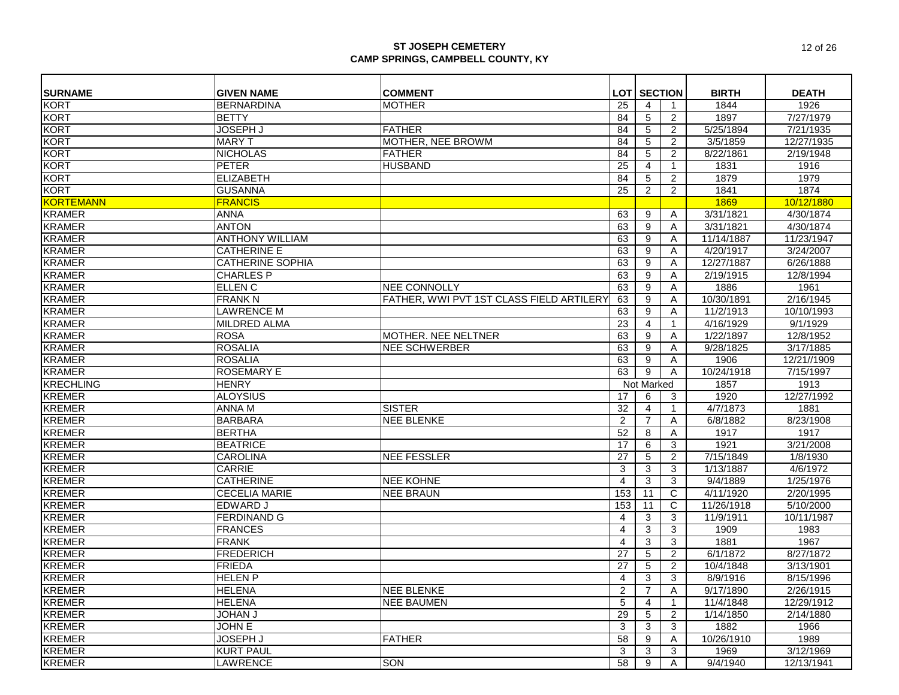| <b>SURNAME</b><br><b>GIVEN NAME</b><br><b>COMMENT</b><br><b>LOT SECTION</b><br><b>BIRTH</b><br><b>DEATH</b><br><b>KORT</b><br>1926<br><b>BERNARDINA</b><br><b>MOTHER</b><br>1844<br>25<br>4<br>$\mathbf{1}$<br><b>KORT</b><br><b>BETTY</b><br>5<br>1897<br>7/27/1979<br>84<br>2<br><b>KORT</b><br><b>JOSEPH J</b><br><b>FATHER</b><br>5<br>5/25/1894<br>7/21/1935<br>84<br>2<br><b>KORT</b><br><b>MARY T</b><br><b>MOTHER, NEE BROWM</b><br>3/5/1859<br>12/27/1935<br>84<br>5<br>2<br><b>KORT</b><br><b>NICHOLAS</b><br>84<br>$\overline{5}$<br>$\overline{2}$<br>8/22/1861<br>2/19/1948<br><b>FATHER</b><br><b>KORT</b><br><b>PETER</b><br><b>HUSBAND</b><br>25<br>1831<br>$\mathbf{1}$<br>1916<br>4<br><b>KORT</b><br>1879<br>1979<br><b>ELIZABETH</b><br>84<br>$\overline{5}$<br>$\overline{2}$<br><b>KORT</b><br>$\overline{2}$<br>$\overline{2}$<br>1841<br>25<br>1874<br><b>GUSANNA</b><br><b>KORTEMANN</b><br>1869<br><b>FRANCIS</b><br>10/12/1880<br><b>KRAMER</b><br><b>ANNA</b><br>3/31/1821<br>4/30/1874<br>63<br>9<br>Α<br><b>KRAMER</b><br>4/30/1874<br><b>ANTON</b><br>63<br>9<br>3/31/1821<br>A<br><b>KRAMER</b><br>11/23/1947<br><b>ANTHONY WILLIAM</b><br>63<br>9<br>11/14/1887<br>Α<br><b>KRAMER</b><br><b>CATHERINE E</b><br>4/20/1917<br>3/24/2007<br>63<br>9<br>Α<br><b>KRAMER</b><br><b>CATHERINE SOPHIA</b><br>63<br>9<br>12/27/1887<br>6/26/1888<br>Α<br><b>KRAMER</b><br><b>CHARLES P</b><br>63<br>9<br>2/19/1915<br>12/8/1994<br>Α<br><b>KRAMER</b><br>$\overline{9}$<br>1886<br>1961<br>ELLEN <sub>C</sub><br><b>NEE CONNOLLY</b><br>63<br>A<br><b>KRAMER</b><br>FATHER, WWI PVT 1ST CLASS FIELD ARTILERY<br>63<br>9<br>2/16/1945<br><b>FRANK N</b><br>10/30/1891<br>A<br><b>KRAMER</b><br><b>LAWRENCE M</b><br>63<br>9<br>10/10/1993<br>11/2/1913<br>A<br><b>KRAMER</b><br><b>MILDRED ALMA</b><br>4/16/1929<br>9/1/1929<br>23<br>4<br>$\mathbf{1}$<br><b>KRAMER</b><br>12/8/1952<br><b>ROSA</b><br>MOTHER. NEE NELTNER<br>9<br>63<br>Α<br>1/22/1897<br><b>KRAMER</b><br><b>ROSALIA</b><br><b>NEE SCHWERBER</b><br>63<br>9<br>9/28/1825<br>3/17/1885<br>Α<br><b>KRAMER</b><br><b>ROSALIA</b><br>63<br>9<br>1906<br>12/21//1909<br>Α<br><b>KRAMER</b><br><b>ROSEMARY E</b><br>63<br>9<br>A<br>10/24/1918<br>7/15/1997<br><b>KRECHLING</b><br><b>HENRY</b><br>Not Marked<br>1857<br>1913<br><b>KREMER</b><br><b>ALOYSIUS</b><br>12/27/1992<br>17<br>3<br>1920<br>6<br><b>KREMER</b><br>32<br><b>ANNA M</b><br><b>SISTER</b><br>4/7/1873<br>1881<br>4<br>$\mathbf{1}$<br><b>KREMER</b><br><b>BARBARA</b><br>$\overline{2}$<br>$\overline{7}$<br>8/23/1908<br><b>NEE BLENKE</b><br>6/8/1882<br>Α<br><b>KREMER</b><br>1917<br><b>BERTHA</b><br>52<br>1917<br>8<br>Α<br><b>KREMER</b><br><b>BEATRICE</b><br>1921<br>3/21/2008<br>17<br>6<br>3<br><b>KREMER</b><br>1/8/1930<br><b>CAROLINA</b><br><b>NEE FESSLER</b><br>27<br>5<br>7/15/1849<br>2<br><b>KREMER</b><br>4/6/1972<br><b>CARRIE</b><br>3<br>3<br>1/13/1887<br>3<br><b>KREMER</b><br><b>CATHERINE</b><br>9/4/1889<br>1/25/1976<br><b>NEE KOHNE</b><br>$\overline{4}$<br>3<br>3 |
|---------------------------------------------------------------------------------------------------------------------------------------------------------------------------------------------------------------------------------------------------------------------------------------------------------------------------------------------------------------------------------------------------------------------------------------------------------------------------------------------------------------------------------------------------------------------------------------------------------------------------------------------------------------------------------------------------------------------------------------------------------------------------------------------------------------------------------------------------------------------------------------------------------------------------------------------------------------------------------------------------------------------------------------------------------------------------------------------------------------------------------------------------------------------------------------------------------------------------------------------------------------------------------------------------------------------------------------------------------------------------------------------------------------------------------------------------------------------------------------------------------------------------------------------------------------------------------------------------------------------------------------------------------------------------------------------------------------------------------------------------------------------------------------------------------------------------------------------------------------------------------------------------------------------------------------------------------------------------------------------------------------------------------------------------------------------------------------------------------------------------------------------------------------------------------------------------------------------------------------------------------------------------------------------------------------------------------------------------------------------------------------------------------------------------------------------------------------------------------------------------------------------------------------------------------------------------------------------------------------------------------------------------------------------------------------------------------------------------------------------------------------------------------------------------------------------------------------------------------------------------------------------------------------------------------------------------------------------------------------------------------------------------------------------------------------|
|                                                                                                                                                                                                                                                                                                                                                                                                                                                                                                                                                                                                                                                                                                                                                                                                                                                                                                                                                                                                                                                                                                                                                                                                                                                                                                                                                                                                                                                                                                                                                                                                                                                                                                                                                                                                                                                                                                                                                                                                                                                                                                                                                                                                                                                                                                                                                                                                                                                                                                                                                                                                                                                                                                                                                                                                                                                                                                                                                                                                                                                               |
|                                                                                                                                                                                                                                                                                                                                                                                                                                                                                                                                                                                                                                                                                                                                                                                                                                                                                                                                                                                                                                                                                                                                                                                                                                                                                                                                                                                                                                                                                                                                                                                                                                                                                                                                                                                                                                                                                                                                                                                                                                                                                                                                                                                                                                                                                                                                                                                                                                                                                                                                                                                                                                                                                                                                                                                                                                                                                                                                                                                                                                                               |
|                                                                                                                                                                                                                                                                                                                                                                                                                                                                                                                                                                                                                                                                                                                                                                                                                                                                                                                                                                                                                                                                                                                                                                                                                                                                                                                                                                                                                                                                                                                                                                                                                                                                                                                                                                                                                                                                                                                                                                                                                                                                                                                                                                                                                                                                                                                                                                                                                                                                                                                                                                                                                                                                                                                                                                                                                                                                                                                                                                                                                                                               |
|                                                                                                                                                                                                                                                                                                                                                                                                                                                                                                                                                                                                                                                                                                                                                                                                                                                                                                                                                                                                                                                                                                                                                                                                                                                                                                                                                                                                                                                                                                                                                                                                                                                                                                                                                                                                                                                                                                                                                                                                                                                                                                                                                                                                                                                                                                                                                                                                                                                                                                                                                                                                                                                                                                                                                                                                                                                                                                                                                                                                                                                               |
|                                                                                                                                                                                                                                                                                                                                                                                                                                                                                                                                                                                                                                                                                                                                                                                                                                                                                                                                                                                                                                                                                                                                                                                                                                                                                                                                                                                                                                                                                                                                                                                                                                                                                                                                                                                                                                                                                                                                                                                                                                                                                                                                                                                                                                                                                                                                                                                                                                                                                                                                                                                                                                                                                                                                                                                                                                                                                                                                                                                                                                                               |
|                                                                                                                                                                                                                                                                                                                                                                                                                                                                                                                                                                                                                                                                                                                                                                                                                                                                                                                                                                                                                                                                                                                                                                                                                                                                                                                                                                                                                                                                                                                                                                                                                                                                                                                                                                                                                                                                                                                                                                                                                                                                                                                                                                                                                                                                                                                                                                                                                                                                                                                                                                                                                                                                                                                                                                                                                                                                                                                                                                                                                                                               |
|                                                                                                                                                                                                                                                                                                                                                                                                                                                                                                                                                                                                                                                                                                                                                                                                                                                                                                                                                                                                                                                                                                                                                                                                                                                                                                                                                                                                                                                                                                                                                                                                                                                                                                                                                                                                                                                                                                                                                                                                                                                                                                                                                                                                                                                                                                                                                                                                                                                                                                                                                                                                                                                                                                                                                                                                                                                                                                                                                                                                                                                               |
|                                                                                                                                                                                                                                                                                                                                                                                                                                                                                                                                                                                                                                                                                                                                                                                                                                                                                                                                                                                                                                                                                                                                                                                                                                                                                                                                                                                                                                                                                                                                                                                                                                                                                                                                                                                                                                                                                                                                                                                                                                                                                                                                                                                                                                                                                                                                                                                                                                                                                                                                                                                                                                                                                                                                                                                                                                                                                                                                                                                                                                                               |
|                                                                                                                                                                                                                                                                                                                                                                                                                                                                                                                                                                                                                                                                                                                                                                                                                                                                                                                                                                                                                                                                                                                                                                                                                                                                                                                                                                                                                                                                                                                                                                                                                                                                                                                                                                                                                                                                                                                                                                                                                                                                                                                                                                                                                                                                                                                                                                                                                                                                                                                                                                                                                                                                                                                                                                                                                                                                                                                                                                                                                                                               |
|                                                                                                                                                                                                                                                                                                                                                                                                                                                                                                                                                                                                                                                                                                                                                                                                                                                                                                                                                                                                                                                                                                                                                                                                                                                                                                                                                                                                                                                                                                                                                                                                                                                                                                                                                                                                                                                                                                                                                                                                                                                                                                                                                                                                                                                                                                                                                                                                                                                                                                                                                                                                                                                                                                                                                                                                                                                                                                                                                                                                                                                               |
|                                                                                                                                                                                                                                                                                                                                                                                                                                                                                                                                                                                                                                                                                                                                                                                                                                                                                                                                                                                                                                                                                                                                                                                                                                                                                                                                                                                                                                                                                                                                                                                                                                                                                                                                                                                                                                                                                                                                                                                                                                                                                                                                                                                                                                                                                                                                                                                                                                                                                                                                                                                                                                                                                                                                                                                                                                                                                                                                                                                                                                                               |
|                                                                                                                                                                                                                                                                                                                                                                                                                                                                                                                                                                                                                                                                                                                                                                                                                                                                                                                                                                                                                                                                                                                                                                                                                                                                                                                                                                                                                                                                                                                                                                                                                                                                                                                                                                                                                                                                                                                                                                                                                                                                                                                                                                                                                                                                                                                                                                                                                                                                                                                                                                                                                                                                                                                                                                                                                                                                                                                                                                                                                                                               |
|                                                                                                                                                                                                                                                                                                                                                                                                                                                                                                                                                                                                                                                                                                                                                                                                                                                                                                                                                                                                                                                                                                                                                                                                                                                                                                                                                                                                                                                                                                                                                                                                                                                                                                                                                                                                                                                                                                                                                                                                                                                                                                                                                                                                                                                                                                                                                                                                                                                                                                                                                                                                                                                                                                                                                                                                                                                                                                                                                                                                                                                               |
|                                                                                                                                                                                                                                                                                                                                                                                                                                                                                                                                                                                                                                                                                                                                                                                                                                                                                                                                                                                                                                                                                                                                                                                                                                                                                                                                                                                                                                                                                                                                                                                                                                                                                                                                                                                                                                                                                                                                                                                                                                                                                                                                                                                                                                                                                                                                                                                                                                                                                                                                                                                                                                                                                                                                                                                                                                                                                                                                                                                                                                                               |
|                                                                                                                                                                                                                                                                                                                                                                                                                                                                                                                                                                                                                                                                                                                                                                                                                                                                                                                                                                                                                                                                                                                                                                                                                                                                                                                                                                                                                                                                                                                                                                                                                                                                                                                                                                                                                                                                                                                                                                                                                                                                                                                                                                                                                                                                                                                                                                                                                                                                                                                                                                                                                                                                                                                                                                                                                                                                                                                                                                                                                                                               |
|                                                                                                                                                                                                                                                                                                                                                                                                                                                                                                                                                                                                                                                                                                                                                                                                                                                                                                                                                                                                                                                                                                                                                                                                                                                                                                                                                                                                                                                                                                                                                                                                                                                                                                                                                                                                                                                                                                                                                                                                                                                                                                                                                                                                                                                                                                                                                                                                                                                                                                                                                                                                                                                                                                                                                                                                                                                                                                                                                                                                                                                               |
|                                                                                                                                                                                                                                                                                                                                                                                                                                                                                                                                                                                                                                                                                                                                                                                                                                                                                                                                                                                                                                                                                                                                                                                                                                                                                                                                                                                                                                                                                                                                                                                                                                                                                                                                                                                                                                                                                                                                                                                                                                                                                                                                                                                                                                                                                                                                                                                                                                                                                                                                                                                                                                                                                                                                                                                                                                                                                                                                                                                                                                                               |
|                                                                                                                                                                                                                                                                                                                                                                                                                                                                                                                                                                                                                                                                                                                                                                                                                                                                                                                                                                                                                                                                                                                                                                                                                                                                                                                                                                                                                                                                                                                                                                                                                                                                                                                                                                                                                                                                                                                                                                                                                                                                                                                                                                                                                                                                                                                                                                                                                                                                                                                                                                                                                                                                                                                                                                                                                                                                                                                                                                                                                                                               |
|                                                                                                                                                                                                                                                                                                                                                                                                                                                                                                                                                                                                                                                                                                                                                                                                                                                                                                                                                                                                                                                                                                                                                                                                                                                                                                                                                                                                                                                                                                                                                                                                                                                                                                                                                                                                                                                                                                                                                                                                                                                                                                                                                                                                                                                                                                                                                                                                                                                                                                                                                                                                                                                                                                                                                                                                                                                                                                                                                                                                                                                               |
|                                                                                                                                                                                                                                                                                                                                                                                                                                                                                                                                                                                                                                                                                                                                                                                                                                                                                                                                                                                                                                                                                                                                                                                                                                                                                                                                                                                                                                                                                                                                                                                                                                                                                                                                                                                                                                                                                                                                                                                                                                                                                                                                                                                                                                                                                                                                                                                                                                                                                                                                                                                                                                                                                                                                                                                                                                                                                                                                                                                                                                                               |
|                                                                                                                                                                                                                                                                                                                                                                                                                                                                                                                                                                                                                                                                                                                                                                                                                                                                                                                                                                                                                                                                                                                                                                                                                                                                                                                                                                                                                                                                                                                                                                                                                                                                                                                                                                                                                                                                                                                                                                                                                                                                                                                                                                                                                                                                                                                                                                                                                                                                                                                                                                                                                                                                                                                                                                                                                                                                                                                                                                                                                                                               |
|                                                                                                                                                                                                                                                                                                                                                                                                                                                                                                                                                                                                                                                                                                                                                                                                                                                                                                                                                                                                                                                                                                                                                                                                                                                                                                                                                                                                                                                                                                                                                                                                                                                                                                                                                                                                                                                                                                                                                                                                                                                                                                                                                                                                                                                                                                                                                                                                                                                                                                                                                                                                                                                                                                                                                                                                                                                                                                                                                                                                                                                               |
|                                                                                                                                                                                                                                                                                                                                                                                                                                                                                                                                                                                                                                                                                                                                                                                                                                                                                                                                                                                                                                                                                                                                                                                                                                                                                                                                                                                                                                                                                                                                                                                                                                                                                                                                                                                                                                                                                                                                                                                                                                                                                                                                                                                                                                                                                                                                                                                                                                                                                                                                                                                                                                                                                                                                                                                                                                                                                                                                                                                                                                                               |
|                                                                                                                                                                                                                                                                                                                                                                                                                                                                                                                                                                                                                                                                                                                                                                                                                                                                                                                                                                                                                                                                                                                                                                                                                                                                                                                                                                                                                                                                                                                                                                                                                                                                                                                                                                                                                                                                                                                                                                                                                                                                                                                                                                                                                                                                                                                                                                                                                                                                                                                                                                                                                                                                                                                                                                                                                                                                                                                                                                                                                                                               |
|                                                                                                                                                                                                                                                                                                                                                                                                                                                                                                                                                                                                                                                                                                                                                                                                                                                                                                                                                                                                                                                                                                                                                                                                                                                                                                                                                                                                                                                                                                                                                                                                                                                                                                                                                                                                                                                                                                                                                                                                                                                                                                                                                                                                                                                                                                                                                                                                                                                                                                                                                                                                                                                                                                                                                                                                                                                                                                                                                                                                                                                               |
|                                                                                                                                                                                                                                                                                                                                                                                                                                                                                                                                                                                                                                                                                                                                                                                                                                                                                                                                                                                                                                                                                                                                                                                                                                                                                                                                                                                                                                                                                                                                                                                                                                                                                                                                                                                                                                                                                                                                                                                                                                                                                                                                                                                                                                                                                                                                                                                                                                                                                                                                                                                                                                                                                                                                                                                                                                                                                                                                                                                                                                                               |
|                                                                                                                                                                                                                                                                                                                                                                                                                                                                                                                                                                                                                                                                                                                                                                                                                                                                                                                                                                                                                                                                                                                                                                                                                                                                                                                                                                                                                                                                                                                                                                                                                                                                                                                                                                                                                                                                                                                                                                                                                                                                                                                                                                                                                                                                                                                                                                                                                                                                                                                                                                                                                                                                                                                                                                                                                                                                                                                                                                                                                                                               |
|                                                                                                                                                                                                                                                                                                                                                                                                                                                                                                                                                                                                                                                                                                                                                                                                                                                                                                                                                                                                                                                                                                                                                                                                                                                                                                                                                                                                                                                                                                                                                                                                                                                                                                                                                                                                                                                                                                                                                                                                                                                                                                                                                                                                                                                                                                                                                                                                                                                                                                                                                                                                                                                                                                                                                                                                                                                                                                                                                                                                                                                               |
|                                                                                                                                                                                                                                                                                                                                                                                                                                                                                                                                                                                                                                                                                                                                                                                                                                                                                                                                                                                                                                                                                                                                                                                                                                                                                                                                                                                                                                                                                                                                                                                                                                                                                                                                                                                                                                                                                                                                                                                                                                                                                                                                                                                                                                                                                                                                                                                                                                                                                                                                                                                                                                                                                                                                                                                                                                                                                                                                                                                                                                                               |
|                                                                                                                                                                                                                                                                                                                                                                                                                                                                                                                                                                                                                                                                                                                                                                                                                                                                                                                                                                                                                                                                                                                                                                                                                                                                                                                                                                                                                                                                                                                                                                                                                                                                                                                                                                                                                                                                                                                                                                                                                                                                                                                                                                                                                                                                                                                                                                                                                                                                                                                                                                                                                                                                                                                                                                                                                                                                                                                                                                                                                                                               |
|                                                                                                                                                                                                                                                                                                                                                                                                                                                                                                                                                                                                                                                                                                                                                                                                                                                                                                                                                                                                                                                                                                                                                                                                                                                                                                                                                                                                                                                                                                                                                                                                                                                                                                                                                                                                                                                                                                                                                                                                                                                                                                                                                                                                                                                                                                                                                                                                                                                                                                                                                                                                                                                                                                                                                                                                                                                                                                                                                                                                                                                               |
|                                                                                                                                                                                                                                                                                                                                                                                                                                                                                                                                                                                                                                                                                                                                                                                                                                                                                                                                                                                                                                                                                                                                                                                                                                                                                                                                                                                                                                                                                                                                                                                                                                                                                                                                                                                                                                                                                                                                                                                                                                                                                                                                                                                                                                                                                                                                                                                                                                                                                                                                                                                                                                                                                                                                                                                                                                                                                                                                                                                                                                                               |
|                                                                                                                                                                                                                                                                                                                                                                                                                                                                                                                                                                                                                                                                                                                                                                                                                                                                                                                                                                                                                                                                                                                                                                                                                                                                                                                                                                                                                                                                                                                                                                                                                                                                                                                                                                                                                                                                                                                                                                                                                                                                                                                                                                                                                                                                                                                                                                                                                                                                                                                                                                                                                                                                                                                                                                                                                                                                                                                                                                                                                                                               |
| <b>KREMER</b><br><b>CECELIA MARIE</b><br><b>NEE BRAUN</b><br>153<br>11<br>$\mathsf{C}$<br>4/11/1920<br>2/20/1995                                                                                                                                                                                                                                                                                                                                                                                                                                                                                                                                                                                                                                                                                                                                                                                                                                                                                                                                                                                                                                                                                                                                                                                                                                                                                                                                                                                                                                                                                                                                                                                                                                                                                                                                                                                                                                                                                                                                                                                                                                                                                                                                                                                                                                                                                                                                                                                                                                                                                                                                                                                                                                                                                                                                                                                                                                                                                                                                              |
| <b>KREMER</b><br>11/26/1918<br>5/10/2000<br>EDWARD J<br>C<br>153<br>11                                                                                                                                                                                                                                                                                                                                                                                                                                                                                                                                                                                                                                                                                                                                                                                                                                                                                                                                                                                                                                                                                                                                                                                                                                                                                                                                                                                                                                                                                                                                                                                                                                                                                                                                                                                                                                                                                                                                                                                                                                                                                                                                                                                                                                                                                                                                                                                                                                                                                                                                                                                                                                                                                                                                                                                                                                                                                                                                                                                        |
| <b>KREMER</b><br><b>FERDINAND G</b><br>3<br>10/11/1987<br>3<br>11/9/1911<br>4                                                                                                                                                                                                                                                                                                                                                                                                                                                                                                                                                                                                                                                                                                                                                                                                                                                                                                                                                                                                                                                                                                                                                                                                                                                                                                                                                                                                                                                                                                                                                                                                                                                                                                                                                                                                                                                                                                                                                                                                                                                                                                                                                                                                                                                                                                                                                                                                                                                                                                                                                                                                                                                                                                                                                                                                                                                                                                                                                                                 |
| <b>KREMER</b><br>1909<br><b>FRANCES</b><br>4<br>3<br>3<br>1983                                                                                                                                                                                                                                                                                                                                                                                                                                                                                                                                                                                                                                                                                                                                                                                                                                                                                                                                                                                                                                                                                                                                                                                                                                                                                                                                                                                                                                                                                                                                                                                                                                                                                                                                                                                                                                                                                                                                                                                                                                                                                                                                                                                                                                                                                                                                                                                                                                                                                                                                                                                                                                                                                                                                                                                                                                                                                                                                                                                                |
| <b>KREMER</b><br><b>FRANK</b><br>1881<br>3<br>3<br>1967<br>$\overline{4}$                                                                                                                                                                                                                                                                                                                                                                                                                                                                                                                                                                                                                                                                                                                                                                                                                                                                                                                                                                                                                                                                                                                                                                                                                                                                                                                                                                                                                                                                                                                                                                                                                                                                                                                                                                                                                                                                                                                                                                                                                                                                                                                                                                                                                                                                                                                                                                                                                                                                                                                                                                                                                                                                                                                                                                                                                                                                                                                                                                                     |
| <b>KREMER</b><br><b>FREDERICH</b><br>5<br>6/1/1872<br>8/27/1872<br>27<br>$\overline{c}$                                                                                                                                                                                                                                                                                                                                                                                                                                                                                                                                                                                                                                                                                                                                                                                                                                                                                                                                                                                                                                                                                                                                                                                                                                                                                                                                                                                                                                                                                                                                                                                                                                                                                                                                                                                                                                                                                                                                                                                                                                                                                                                                                                                                                                                                                                                                                                                                                                                                                                                                                                                                                                                                                                                                                                                                                                                                                                                                                                       |
| <b>KREMER</b><br>5<br>3/13/1901<br><b>FRIEDA</b><br>27<br>2<br>10/4/1848                                                                                                                                                                                                                                                                                                                                                                                                                                                                                                                                                                                                                                                                                                                                                                                                                                                                                                                                                                                                                                                                                                                                                                                                                                                                                                                                                                                                                                                                                                                                                                                                                                                                                                                                                                                                                                                                                                                                                                                                                                                                                                                                                                                                                                                                                                                                                                                                                                                                                                                                                                                                                                                                                                                                                                                                                                                                                                                                                                                      |
| <b>KREMER</b><br><b>HELEN P</b><br>3<br>8/9/1916<br>8/15/1996<br>$\overline{4}$<br>3                                                                                                                                                                                                                                                                                                                                                                                                                                                                                                                                                                                                                                                                                                                                                                                                                                                                                                                                                                                                                                                                                                                                                                                                                                                                                                                                                                                                                                                                                                                                                                                                                                                                                                                                                                                                                                                                                                                                                                                                                                                                                                                                                                                                                                                                                                                                                                                                                                                                                                                                                                                                                                                                                                                                                                                                                                                                                                                                                                          |
| <b>KREMER</b><br>2/26/1915<br><b>HELENA</b><br><b>NEE BLENKE</b><br>$\overline{7}$<br>9/17/1890<br>$\overline{2}$<br>A                                                                                                                                                                                                                                                                                                                                                                                                                                                                                                                                                                                                                                                                                                                                                                                                                                                                                                                                                                                                                                                                                                                                                                                                                                                                                                                                                                                                                                                                                                                                                                                                                                                                                                                                                                                                                                                                                                                                                                                                                                                                                                                                                                                                                                                                                                                                                                                                                                                                                                                                                                                                                                                                                                                                                                                                                                                                                                                                        |
| <b>KREMER</b><br>12/29/1912<br><b>HELENA</b><br><b>NEE BAUMEN</b><br>5<br>11/4/1848<br>4<br>$\mathbf 1$                                                                                                                                                                                                                                                                                                                                                                                                                                                                                                                                                                                                                                                                                                                                                                                                                                                                                                                                                                                                                                                                                                                                                                                                                                                                                                                                                                                                                                                                                                                                                                                                                                                                                                                                                                                                                                                                                                                                                                                                                                                                                                                                                                                                                                                                                                                                                                                                                                                                                                                                                                                                                                                                                                                                                                                                                                                                                                                                                       |
| <b>KREMER</b><br>29<br>1/14/1850<br><b>JOHAN J</b><br>5<br>$\overline{c}$<br>2/14/1880                                                                                                                                                                                                                                                                                                                                                                                                                                                                                                                                                                                                                                                                                                                                                                                                                                                                                                                                                                                                                                                                                                                                                                                                                                                                                                                                                                                                                                                                                                                                                                                                                                                                                                                                                                                                                                                                                                                                                                                                                                                                                                                                                                                                                                                                                                                                                                                                                                                                                                                                                                                                                                                                                                                                                                                                                                                                                                                                                                        |
| <b>KREMER</b><br><b>JOHN E</b><br>1882<br>3<br>3<br>3<br>1966                                                                                                                                                                                                                                                                                                                                                                                                                                                                                                                                                                                                                                                                                                                                                                                                                                                                                                                                                                                                                                                                                                                                                                                                                                                                                                                                                                                                                                                                                                                                                                                                                                                                                                                                                                                                                                                                                                                                                                                                                                                                                                                                                                                                                                                                                                                                                                                                                                                                                                                                                                                                                                                                                                                                                                                                                                                                                                                                                                                                 |
| <b>KREMER</b><br>10/26/1910<br>1989<br>JOSEPH J<br><b>FATHER</b><br>58<br>9<br>Α                                                                                                                                                                                                                                                                                                                                                                                                                                                                                                                                                                                                                                                                                                                                                                                                                                                                                                                                                                                                                                                                                                                                                                                                                                                                                                                                                                                                                                                                                                                                                                                                                                                                                                                                                                                                                                                                                                                                                                                                                                                                                                                                                                                                                                                                                                                                                                                                                                                                                                                                                                                                                                                                                                                                                                                                                                                                                                                                                                              |
| <b>KREMER</b><br><b>KURT PAUL</b><br>3<br>1969<br>3/12/1969<br>3<br>3                                                                                                                                                                                                                                                                                                                                                                                                                                                                                                                                                                                                                                                                                                                                                                                                                                                                                                                                                                                                                                                                                                                                                                                                                                                                                                                                                                                                                                                                                                                                                                                                                                                                                                                                                                                                                                                                                                                                                                                                                                                                                                                                                                                                                                                                                                                                                                                                                                                                                                                                                                                                                                                                                                                                                                                                                                                                                                                                                                                         |
| <b>KREMER</b><br><b>SON</b><br>9/4/1940<br>LAWRENCE<br>58<br>9<br>12/13/1941<br>A                                                                                                                                                                                                                                                                                                                                                                                                                                                                                                                                                                                                                                                                                                                                                                                                                                                                                                                                                                                                                                                                                                                                                                                                                                                                                                                                                                                                                                                                                                                                                                                                                                                                                                                                                                                                                                                                                                                                                                                                                                                                                                                                                                                                                                                                                                                                                                                                                                                                                                                                                                                                                                                                                                                                                                                                                                                                                                                                                                             |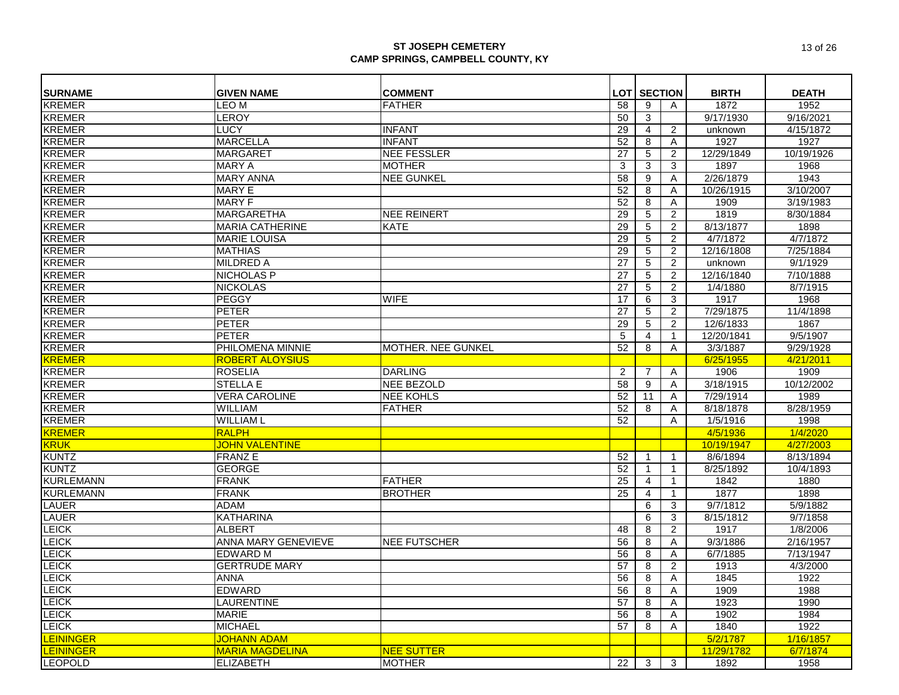| <b>SURNAME</b>   | <b>GIVEN NAME</b>          | <b>COMMENT</b>      | <b>LOT</b>      | <b>SECTION</b> |                | <b>BIRTH</b> | <b>DEATH</b> |
|------------------|----------------------------|---------------------|-----------------|----------------|----------------|--------------|--------------|
| <b>KREMER</b>    | LEO M                      | <b>FATHER</b>       | 58              | 9              | Α              | 1872         | 1952         |
| <b>KREMER</b>    | <b>LEROY</b>               |                     | 50              | 3              |                | 9/17/1930    | 9/16/2021    |
| <b>KREMER</b>    | <b>LUCY</b>                | <b>INFANT</b>       | 29              | 4              | $\overline{c}$ | unknown      | 4/15/1872    |
| <b>KREMER</b>    | <b>MARCELLA</b>            | <b>INFANT</b>       | 52              | 8              | Α              | 1927         | 1927         |
| <b>KREMER</b>    | <b>MARGARET</b>            | <b>NEE FESSLER</b>  | 27              | 5              | 2              | 12/29/1849   | 10/19/1926   |
| <b>KREMER</b>    | <b>MARY A</b>              | <b>MOTHER</b>       | 3               | 3              | 3              | 1897         | 1968         |
| <b>KREMER</b>    | <b>MARY ANNA</b>           | <b>NEE GUNKEL</b>   | 58              | 9              | Α              | 2/26/1879    | 1943         |
| <b>KREMER</b>    | <b>MARY E</b>              |                     | 52              | 8              | A              | 10/26/1915   | 3/10/2007    |
| <b>KREMER</b>    | <b>MARY F</b>              |                     | 52              | 8              | Α              | 1909         | 3/19/1983    |
| <b>KREMER</b>    | <b>MARGARETHA</b>          | <b>NEE REINERT</b>  | $\overline{29}$ | 5              | $\overline{2}$ | 1819         | 8/30/1884    |
| <b>KREMER</b>    | <b>MARIA CATHERINE</b>     | <b>KATE</b>         | 29              | 5              | $\overline{2}$ | 8/13/1877    | 1898         |
| <b>KREMER</b>    | <b>MARIE LOUISA</b>        |                     | 29              | $\overline{5}$ | $\overline{2}$ | 4/7/1872     | 4/7/1872     |
| <b>KREMER</b>    | <b>MATHIAS</b>             |                     | 29              | 5              | 2              | 12/16/1808   | 7/25/1884    |
| <b>KREMER</b>    | <b>MILDRED A</b>           |                     | 27              | 5              | 2              | unknown      | 9/1/1929     |
| <b>KREMER</b>    | <b>NICHOLAS P</b>          |                     | 27              | $\overline{5}$ | $\overline{2}$ | 12/16/1840   | 7/10/1888    |
| <b>KREMER</b>    | <b>NICKOLAS</b>            |                     | 27              | 5              | 2              | 1/4/1880     | 8/7/1915     |
| <b>KREMER</b>    | PEGGY                      | <b>WIFE</b>         | 17              | 6              | 3              | 1917         | 1968         |
| <b>KREMER</b>    | <b>PETER</b>               |                     | 27              | 5              | $\overline{c}$ | 7/29/1875    | 11/4/1898    |
| <b>KREMER</b>    | <b>PETER</b>               |                     | 29              | 5              | $\overline{c}$ | 12/6/1833    | 1867         |
| <b>KREMER</b>    | <b>PETER</b>               |                     | 5               | $\overline{4}$ | $\mathbf{1}$   | 12/20/1841   | 9/5/1907     |
| <b>KREMER</b>    | PHILOMENA MINNIE           | MOTHER. NEE GUNKEL  | 52              | 8              | A              | 3/3/1887     | 9/29/1928    |
| <b>KREMER</b>    | <b>ROBERT ALOYSIUS</b>     |                     |                 |                |                | 6/25/1955    | 4/21/2011    |
| <b>KREMER</b>    | <b>ROSELIA</b>             | <b>DARLING</b>      | $\overline{2}$  | 7              | Α              | 1906         | 1909         |
| <b>KREMER</b>    | <b>STELLA E</b>            | <b>NEE BEZOLD</b>   | 58              | 9              | Α              | 3/18/1915    | 10/12/2002   |
| <b>KREMER</b>    | <b>VERA CAROLINE</b>       | <b>NEE KOHLS</b>    | 52              | 11             | A              | 7/29/1914    | 1989         |
| <b>KREMER</b>    | <b>WILLIAM</b>             | <b>FATHER</b>       | 52              | 8              | Α              | 8/18/1878    | 8/28/1959    |
| <b>KREMER</b>    | <b>WILLIAM L</b>           |                     | 52              |                | A              | 1/5/1916     | 1998         |
| <b>KREMER</b>    | <b>RALPH</b>               |                     |                 |                |                | 4/5/1936     | 1/4/2020     |
| <b>KRUK</b>      | <b>JOHN VALENTINE</b>      |                     |                 |                |                | 10/19/1947   | 4/27/2003    |
| <b>KUNTZ</b>     | <b>FRANZE</b>              |                     | 52              | $\mathbf 1$    | $\mathbf{1}$   | 8/6/1894     | 8/13/1894    |
| <b>KUNTZ</b>     | <b>GEORGE</b>              |                     | 52              | $\mathbf{1}$   | $\mathbf{1}$   | 8/25/1892    | 10/4/1893    |
| <b>KURLEMANN</b> | <b>FRANK</b>               | <b>FATHER</b>       | 25              | $\overline{4}$ | $\mathbf{1}$   | 1842         | 1880         |
| <b>KURLEMANN</b> | <b>FRANK</b>               | <b>BROTHER</b>      | 25              | $\overline{4}$ | $\mathbf{1}$   | 1877         | 1898         |
| <b>LAUER</b>     | <b>ADAM</b>                |                     |                 | 6              | 3              | 9/7/1812     | 5/9/1882     |
| <b>LAUER</b>     | <b>KATHARINA</b>           |                     |                 | 6              | 3              | 8/15/1812    | 9/7/1858     |
| <b>LEICK</b>     | <b>ALBERT</b>              |                     | 48              | 8              | $\overline{c}$ | 1917         | 1/8/2006     |
| <b>LEICK</b>     | <b>ANNA MARY GENEVIEVE</b> | <b>NEE FUTSCHER</b> | 56              | 8              | A              | 9/3/1886     | 2/16/1957    |
| <b>LEICK</b>     | <b>EDWARD M</b>            |                     | 56              | 8              | Α              | 6/7/1885     | 7/13/1947    |
| <b>LEICK</b>     | <b>GERTRUDE MARY</b>       |                     | 57              | 8              | $\overline{c}$ | 1913         | 4/3/2000     |
| <b>LEICK</b>     | <b>ANNA</b>                |                     | 56              | 8              | Α              | 1845         | 1922         |
| <b>LEICK</b>     | <b>EDWARD</b>              |                     | $\overline{56}$ | 8              | Α              | 1909         | 1988         |
| <b>LEICK</b>     | <b>LAURENTINE</b>          |                     | 57              | 8              | A              | 1923         | 1990         |
| <b>LEICK</b>     | <b>MARIE</b>               |                     | 56              | 8              | Α              | 1902         | 1984         |
| <b>LEICK</b>     | <b>MICHAEL</b>             |                     | 57              | 8              | Α              | 1840         | 1922         |
| <b>LEININGER</b> | <b>JOHANN ADAM</b>         |                     |                 |                |                | 5/2/1787     | 1/16/1857    |
| <b>LEININGER</b> | <b>MARIA MAGDELINA</b>     | <b>NEE SUTTER</b>   |                 |                |                | 11/29/1782   | 6/7/1874     |
| <b>LEOPOLD</b>   | <b>ELIZABETH</b>           | <b>MOTHER</b>       | 22              | 3              | 3              | 1892         | 1958         |
|                  |                            |                     |                 |                |                |              |              |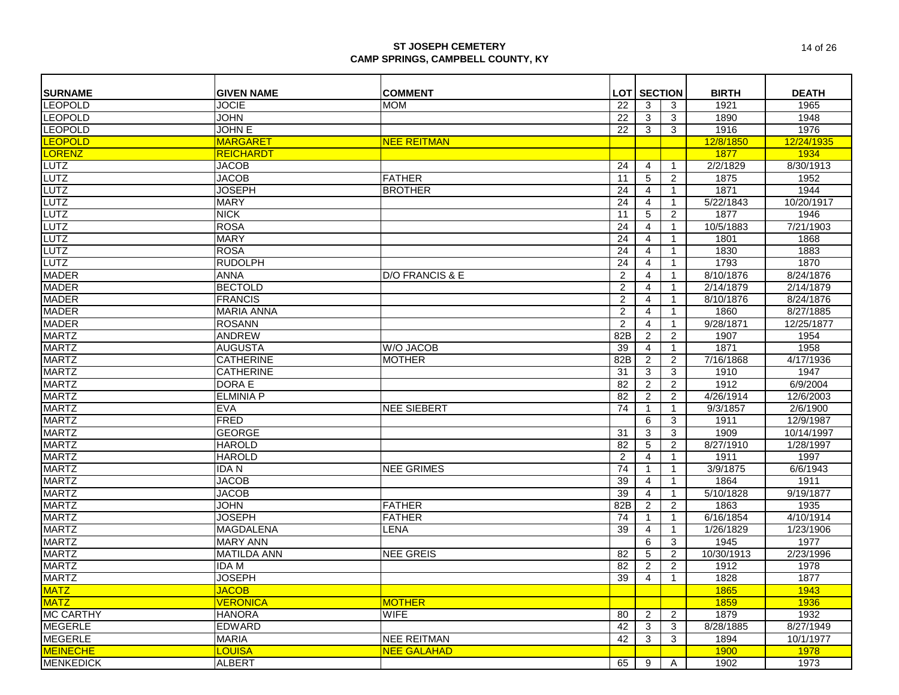| <b>LOT SECTION</b><br><b>LEOPOLD</b><br><b>JOCIE</b><br><b>MOM</b><br>1921<br>1965<br>22<br>3<br>3<br><b>LEOPOLD</b><br>1890<br><b>JOHN</b><br>22<br>3<br>1948<br>3<br><b>LEOPOLD</b><br><b>JOHN E</b><br>$\overline{3}$<br>1916<br>22<br>3<br>1976<br><b>LEOPOLD</b><br><b>MARGARET</b><br><b>NEE REITMAN</b><br>12/8/1850<br>12/24/1935<br>LORENZ<br><b>REICHARDT</b><br>1877<br>1934<br><b>LUTZ</b><br><b>JACOB</b><br>24<br>2/2/1829<br>8/30/1913<br>4<br>1<br><b>LUTZ</b><br><b>JACOB</b><br>5<br>$\overline{c}$<br>1875<br>1952<br><b>FATHER</b><br>11<br><b>LUTZ</b><br>LUTZ<br><b>JOSEPH</b><br>24<br>1871<br>1944<br><b>BROTHER</b><br>4<br>1<br><b>MARY</b><br>24<br>5/22/1843<br>10/20/1917<br>$\overline{4}$<br>$\mathbf{1}$<br><b>LUTZ</b><br><b>NICK</b><br>$\overline{5}$<br>$\overline{2}$<br>1877<br>1946<br>11<br><b>LUTZ</b><br><b>ROSA</b><br>24<br>10/5/1883<br>7/21/1903<br>4<br>$\mathbf{1}$<br><b>LUTZ</b><br><b>MARY</b><br>24<br>$\overline{4}$<br>1801<br>1868<br>$\mathbf{1}$<br><b>LUTZ</b><br><b>ROSA</b><br>24<br>1830<br>1883<br>$\overline{4}$<br>$\mathbf{1}$<br><b>LUTZ</b><br><b>RUDOLPH</b><br>1870<br>24<br>1793<br>$\overline{4}$<br>$\mathbf{1}$<br><b>MADER</b><br>8/10/1876<br><b>ANNA</b><br>D/O FRANCIS & E<br>$\overline{c}$<br>8/24/1876<br>$\overline{4}$<br>$\mathbf{1}$<br><b>MADER</b><br><b>BECTOLD</b><br>$\overline{c}$<br>2/14/1879<br>2/14/1879<br>$\overline{4}$<br>$\mathbf{1}$<br><b>MADER</b><br>8/24/1876<br><b>FRANCIS</b><br>$\overline{2}$<br>$\overline{4}$<br>8/10/1876<br>$\mathbf{1}$<br><b>MADER</b><br><b>MARIA ANNA</b><br>$\overline{c}$<br>$\overline{4}$<br>1860<br>8/27/1885<br>$\mathbf{1}$<br><b>MADER</b><br>9/28/1871<br><b>ROSANN</b><br>$\overline{2}$<br>$\overline{4}$<br>12/25/1877<br>$\mathbf{1}$<br><b>MARTZ</b><br>1954<br><b>ANDREW</b><br>82B<br>$\overline{c}$<br>1907<br>2<br><b>MARTZ</b><br>1871<br><b>AUGUSTA</b><br><b>W/O JACOB</b><br>39<br>1958<br>$\overline{4}$<br>$\mathbf{1}$<br><b>MARTZ</b><br>4/17/1936<br><b>CATHERINE</b><br><b>MOTHER</b><br>82B<br>$\overline{2}$<br>2<br>7/16/1868<br><b>MARTZ</b><br>3<br>1910<br>1947<br><b>CATHERINE</b><br>31<br>3<br><b>MARTZ</b><br>$\overline{2}$<br>1912<br>6/9/2004<br><b>DORA E</b><br>82<br>$\overline{c}$<br><b>MARTZ</b><br><b>ELMINIA P</b><br>82<br>$\overline{2}$<br>$\overline{2}$<br>4/26/1914<br>12/6/2003<br><b>MARTZ</b><br>2/6/1900<br><b>EVA</b><br><b>NEE SIEBERT</b><br>74<br>9/3/1857<br>$\mathbf 1$<br>1<br><b>MARTZ</b><br><b>FRED</b><br>6<br>3<br>1911<br>12/9/1987<br><b>MARTZ</b><br>1909<br><b>GEORGE</b><br>3<br>10/14/1997<br>31<br>3<br><b>MARTZ</b><br><b>HAROLD</b><br>82<br>$\sqrt{5}$<br>$\overline{\mathbf{c}}$<br>8/27/1910<br>1/28/1997<br><b>MARTZ</b><br><b>HAROLD</b><br>$\overline{2}$<br>4<br>1911<br>1997<br>$\mathbf{1}$<br><b>MARTZ</b><br>IDA N<br><b>NEE GRIMES</b><br>74<br>3/9/1875<br>6/6/1943<br>$\mathbf{1}$<br>$\mathbf{1}$<br><b>MARTZ</b><br><b>JACOB</b><br>39<br>1864<br>1911<br>4<br>$\mathbf{1}$<br><b>MARTZ</b><br><b>JACOB</b><br>39<br>$\overline{4}$<br>5/10/1828<br>9/19/1877<br>$\mathbf{1}$<br><b>MARTZ</b><br><b>FATHER</b><br>82B<br>1863<br>1935<br>JOHN<br>$\overline{2}$<br>$\overline{c}$<br><b>MARTZ</b><br><b>JOSEPH</b><br><b>FATHER</b><br>74<br>6/16/1854<br>4/10/1914<br>$\mathbf{1}$<br>$\mathbf{1}$<br><b>MARTZ</b><br><b>MAGDALENA</b><br>39<br>1/26/1829<br>1/23/1906<br><b>LENA</b><br>4<br>$\mathbf{1}$<br><b>MARTZ</b><br>$\overline{6}$<br>1945<br>1977<br><b>MARY ANN</b><br>3<br><b>MARTZ</b><br><b>NEE GREIS</b><br>5<br>10/30/1913<br>2/23/1996<br><b>MATILDA ANN</b><br>82<br>$\overline{c}$<br><b>MARTZ</b><br><b>IDAM</b><br>82<br>2<br>2<br>1912<br>1978<br><b>MARTZ</b><br><b>JOSEPH</b><br>39<br>1828<br>1877<br>$\overline{4}$<br>$\mathbf{1}$<br><b>JACOB</b><br>1865<br>1943<br><b>MATZ</b><br><b>VERONICA</b><br><b>MOTHER</b><br>1859<br>1936<br><b>MC CARTHY</b><br>1879<br>1932<br><b>HANORA</b><br><b>WIFE</b><br>$\overline{c}$<br>80<br>2<br><b>MEGERLE</b><br><b>EDWARD</b><br>8/28/1885<br>8/27/1949<br>42<br>3<br>3<br><b>MEGERLE</b><br>1894<br><b>MARIA</b><br><b>NEE REITMAN</b><br>42<br>3<br>3<br>10/1/1977<br><b>MEINECHE</b><br><b>LOUISA</b><br><b>NEE GALAHAD</b><br><b>1900</b><br><b>1978</b> | <b>SURNAME</b>   | <b>GIVEN NAME</b> | <b>COMMENT</b> |    |   |   | <b>BIRTH</b> | <b>DEATH</b> |
|---------------------------------------------------------------------------------------------------------------------------------------------------------------------------------------------------------------------------------------------------------------------------------------------------------------------------------------------------------------------------------------------------------------------------------------------------------------------------------------------------------------------------------------------------------------------------------------------------------------------------------------------------------------------------------------------------------------------------------------------------------------------------------------------------------------------------------------------------------------------------------------------------------------------------------------------------------------------------------------------------------------------------------------------------------------------------------------------------------------------------------------------------------------------------------------------------------------------------------------------------------------------------------------------------------------------------------------------------------------------------------------------------------------------------------------------------------------------------------------------------------------------------------------------------------------------------------------------------------------------------------------------------------------------------------------------------------------------------------------------------------------------------------------------------------------------------------------------------------------------------------------------------------------------------------------------------------------------------------------------------------------------------------------------------------------------------------------------------------------------------------------------------------------------------------------------------------------------------------------------------------------------------------------------------------------------------------------------------------------------------------------------------------------------------------------------------------------------------------------------------------------------------------------------------------------------------------------------------------------------------------------------------------------------------------------------------------------------------------------------------------------------------------------------------------------------------------------------------------------------------------------------------------------------------------------------------------------------------------------------------------------------------------------------------------------------------------------------------------------------------------------------------------------------------------------------------------------------------------------------------------------------------------------------------------------------------------------------------------------------------------------------------------------------------------------------------------------------------------------------------------------------------------------------------------------------------------------------------------------------------------------------------------------------------------------------------------------------------------------------------------------------------------------------------------------------------------------------------------------------------------------------------------------------------------------------------------------------------------------------------------------------------------------------------------------------------------------------------------------------------------------------------------------------------------------------------------------------------------------------------------------------------|------------------|-------------------|----------------|----|---|---|--------------|--------------|
|                                                                                                                                                                                                                                                                                                                                                                                                                                                                                                                                                                                                                                                                                                                                                                                                                                                                                                                                                                                                                                                                                                                                                                                                                                                                                                                                                                                                                                                                                                                                                                                                                                                                                                                                                                                                                                                                                                                                                                                                                                                                                                                                                                                                                                                                                                                                                                                                                                                                                                                                                                                                                                                                                                                                                                                                                                                                                                                                                                                                                                                                                                                                                                                                                                                                                                                                                                                                                                                                                                                                                                                                                                                                                                                                                                                                                                                                                                                                                                                                                                                                                                                                                                                                                                                                           |                  |                   |                |    |   |   |              |              |
|                                                                                                                                                                                                                                                                                                                                                                                                                                                                                                                                                                                                                                                                                                                                                                                                                                                                                                                                                                                                                                                                                                                                                                                                                                                                                                                                                                                                                                                                                                                                                                                                                                                                                                                                                                                                                                                                                                                                                                                                                                                                                                                                                                                                                                                                                                                                                                                                                                                                                                                                                                                                                                                                                                                                                                                                                                                                                                                                                                                                                                                                                                                                                                                                                                                                                                                                                                                                                                                                                                                                                                                                                                                                                                                                                                                                                                                                                                                                                                                                                                                                                                                                                                                                                                                                           |                  |                   |                |    |   |   |              |              |
|                                                                                                                                                                                                                                                                                                                                                                                                                                                                                                                                                                                                                                                                                                                                                                                                                                                                                                                                                                                                                                                                                                                                                                                                                                                                                                                                                                                                                                                                                                                                                                                                                                                                                                                                                                                                                                                                                                                                                                                                                                                                                                                                                                                                                                                                                                                                                                                                                                                                                                                                                                                                                                                                                                                                                                                                                                                                                                                                                                                                                                                                                                                                                                                                                                                                                                                                                                                                                                                                                                                                                                                                                                                                                                                                                                                                                                                                                                                                                                                                                                                                                                                                                                                                                                                                           |                  |                   |                |    |   |   |              |              |
|                                                                                                                                                                                                                                                                                                                                                                                                                                                                                                                                                                                                                                                                                                                                                                                                                                                                                                                                                                                                                                                                                                                                                                                                                                                                                                                                                                                                                                                                                                                                                                                                                                                                                                                                                                                                                                                                                                                                                                                                                                                                                                                                                                                                                                                                                                                                                                                                                                                                                                                                                                                                                                                                                                                                                                                                                                                                                                                                                                                                                                                                                                                                                                                                                                                                                                                                                                                                                                                                                                                                                                                                                                                                                                                                                                                                                                                                                                                                                                                                                                                                                                                                                                                                                                                                           |                  |                   |                |    |   |   |              |              |
|                                                                                                                                                                                                                                                                                                                                                                                                                                                                                                                                                                                                                                                                                                                                                                                                                                                                                                                                                                                                                                                                                                                                                                                                                                                                                                                                                                                                                                                                                                                                                                                                                                                                                                                                                                                                                                                                                                                                                                                                                                                                                                                                                                                                                                                                                                                                                                                                                                                                                                                                                                                                                                                                                                                                                                                                                                                                                                                                                                                                                                                                                                                                                                                                                                                                                                                                                                                                                                                                                                                                                                                                                                                                                                                                                                                                                                                                                                                                                                                                                                                                                                                                                                                                                                                                           |                  |                   |                |    |   |   |              |              |
|                                                                                                                                                                                                                                                                                                                                                                                                                                                                                                                                                                                                                                                                                                                                                                                                                                                                                                                                                                                                                                                                                                                                                                                                                                                                                                                                                                                                                                                                                                                                                                                                                                                                                                                                                                                                                                                                                                                                                                                                                                                                                                                                                                                                                                                                                                                                                                                                                                                                                                                                                                                                                                                                                                                                                                                                                                                                                                                                                                                                                                                                                                                                                                                                                                                                                                                                                                                                                                                                                                                                                                                                                                                                                                                                                                                                                                                                                                                                                                                                                                                                                                                                                                                                                                                                           |                  |                   |                |    |   |   |              |              |
|                                                                                                                                                                                                                                                                                                                                                                                                                                                                                                                                                                                                                                                                                                                                                                                                                                                                                                                                                                                                                                                                                                                                                                                                                                                                                                                                                                                                                                                                                                                                                                                                                                                                                                                                                                                                                                                                                                                                                                                                                                                                                                                                                                                                                                                                                                                                                                                                                                                                                                                                                                                                                                                                                                                                                                                                                                                                                                                                                                                                                                                                                                                                                                                                                                                                                                                                                                                                                                                                                                                                                                                                                                                                                                                                                                                                                                                                                                                                                                                                                                                                                                                                                                                                                                                                           |                  |                   |                |    |   |   |              |              |
|                                                                                                                                                                                                                                                                                                                                                                                                                                                                                                                                                                                                                                                                                                                                                                                                                                                                                                                                                                                                                                                                                                                                                                                                                                                                                                                                                                                                                                                                                                                                                                                                                                                                                                                                                                                                                                                                                                                                                                                                                                                                                                                                                                                                                                                                                                                                                                                                                                                                                                                                                                                                                                                                                                                                                                                                                                                                                                                                                                                                                                                                                                                                                                                                                                                                                                                                                                                                                                                                                                                                                                                                                                                                                                                                                                                                                                                                                                                                                                                                                                                                                                                                                                                                                                                                           |                  |                   |                |    |   |   |              |              |
|                                                                                                                                                                                                                                                                                                                                                                                                                                                                                                                                                                                                                                                                                                                                                                                                                                                                                                                                                                                                                                                                                                                                                                                                                                                                                                                                                                                                                                                                                                                                                                                                                                                                                                                                                                                                                                                                                                                                                                                                                                                                                                                                                                                                                                                                                                                                                                                                                                                                                                                                                                                                                                                                                                                                                                                                                                                                                                                                                                                                                                                                                                                                                                                                                                                                                                                                                                                                                                                                                                                                                                                                                                                                                                                                                                                                                                                                                                                                                                                                                                                                                                                                                                                                                                                                           |                  |                   |                |    |   |   |              |              |
|                                                                                                                                                                                                                                                                                                                                                                                                                                                                                                                                                                                                                                                                                                                                                                                                                                                                                                                                                                                                                                                                                                                                                                                                                                                                                                                                                                                                                                                                                                                                                                                                                                                                                                                                                                                                                                                                                                                                                                                                                                                                                                                                                                                                                                                                                                                                                                                                                                                                                                                                                                                                                                                                                                                                                                                                                                                                                                                                                                                                                                                                                                                                                                                                                                                                                                                                                                                                                                                                                                                                                                                                                                                                                                                                                                                                                                                                                                                                                                                                                                                                                                                                                                                                                                                                           |                  |                   |                |    |   |   |              |              |
|                                                                                                                                                                                                                                                                                                                                                                                                                                                                                                                                                                                                                                                                                                                                                                                                                                                                                                                                                                                                                                                                                                                                                                                                                                                                                                                                                                                                                                                                                                                                                                                                                                                                                                                                                                                                                                                                                                                                                                                                                                                                                                                                                                                                                                                                                                                                                                                                                                                                                                                                                                                                                                                                                                                                                                                                                                                                                                                                                                                                                                                                                                                                                                                                                                                                                                                                                                                                                                                                                                                                                                                                                                                                                                                                                                                                                                                                                                                                                                                                                                                                                                                                                                                                                                                                           |                  |                   |                |    |   |   |              |              |
|                                                                                                                                                                                                                                                                                                                                                                                                                                                                                                                                                                                                                                                                                                                                                                                                                                                                                                                                                                                                                                                                                                                                                                                                                                                                                                                                                                                                                                                                                                                                                                                                                                                                                                                                                                                                                                                                                                                                                                                                                                                                                                                                                                                                                                                                                                                                                                                                                                                                                                                                                                                                                                                                                                                                                                                                                                                                                                                                                                                                                                                                                                                                                                                                                                                                                                                                                                                                                                                                                                                                                                                                                                                                                                                                                                                                                                                                                                                                                                                                                                                                                                                                                                                                                                                                           |                  |                   |                |    |   |   |              |              |
|                                                                                                                                                                                                                                                                                                                                                                                                                                                                                                                                                                                                                                                                                                                                                                                                                                                                                                                                                                                                                                                                                                                                                                                                                                                                                                                                                                                                                                                                                                                                                                                                                                                                                                                                                                                                                                                                                                                                                                                                                                                                                                                                                                                                                                                                                                                                                                                                                                                                                                                                                                                                                                                                                                                                                                                                                                                                                                                                                                                                                                                                                                                                                                                                                                                                                                                                                                                                                                                                                                                                                                                                                                                                                                                                                                                                                                                                                                                                                                                                                                                                                                                                                                                                                                                                           |                  |                   |                |    |   |   |              |              |
|                                                                                                                                                                                                                                                                                                                                                                                                                                                                                                                                                                                                                                                                                                                                                                                                                                                                                                                                                                                                                                                                                                                                                                                                                                                                                                                                                                                                                                                                                                                                                                                                                                                                                                                                                                                                                                                                                                                                                                                                                                                                                                                                                                                                                                                                                                                                                                                                                                                                                                                                                                                                                                                                                                                                                                                                                                                                                                                                                                                                                                                                                                                                                                                                                                                                                                                                                                                                                                                                                                                                                                                                                                                                                                                                                                                                                                                                                                                                                                                                                                                                                                                                                                                                                                                                           |                  |                   |                |    |   |   |              |              |
|                                                                                                                                                                                                                                                                                                                                                                                                                                                                                                                                                                                                                                                                                                                                                                                                                                                                                                                                                                                                                                                                                                                                                                                                                                                                                                                                                                                                                                                                                                                                                                                                                                                                                                                                                                                                                                                                                                                                                                                                                                                                                                                                                                                                                                                                                                                                                                                                                                                                                                                                                                                                                                                                                                                                                                                                                                                                                                                                                                                                                                                                                                                                                                                                                                                                                                                                                                                                                                                                                                                                                                                                                                                                                                                                                                                                                                                                                                                                                                                                                                                                                                                                                                                                                                                                           |                  |                   |                |    |   |   |              |              |
|                                                                                                                                                                                                                                                                                                                                                                                                                                                                                                                                                                                                                                                                                                                                                                                                                                                                                                                                                                                                                                                                                                                                                                                                                                                                                                                                                                                                                                                                                                                                                                                                                                                                                                                                                                                                                                                                                                                                                                                                                                                                                                                                                                                                                                                                                                                                                                                                                                                                                                                                                                                                                                                                                                                                                                                                                                                                                                                                                                                                                                                                                                                                                                                                                                                                                                                                                                                                                                                                                                                                                                                                                                                                                                                                                                                                                                                                                                                                                                                                                                                                                                                                                                                                                                                                           |                  |                   |                |    |   |   |              |              |
|                                                                                                                                                                                                                                                                                                                                                                                                                                                                                                                                                                                                                                                                                                                                                                                                                                                                                                                                                                                                                                                                                                                                                                                                                                                                                                                                                                                                                                                                                                                                                                                                                                                                                                                                                                                                                                                                                                                                                                                                                                                                                                                                                                                                                                                                                                                                                                                                                                                                                                                                                                                                                                                                                                                                                                                                                                                                                                                                                                                                                                                                                                                                                                                                                                                                                                                                                                                                                                                                                                                                                                                                                                                                                                                                                                                                                                                                                                                                                                                                                                                                                                                                                                                                                                                                           |                  |                   |                |    |   |   |              |              |
|                                                                                                                                                                                                                                                                                                                                                                                                                                                                                                                                                                                                                                                                                                                                                                                                                                                                                                                                                                                                                                                                                                                                                                                                                                                                                                                                                                                                                                                                                                                                                                                                                                                                                                                                                                                                                                                                                                                                                                                                                                                                                                                                                                                                                                                                                                                                                                                                                                                                                                                                                                                                                                                                                                                                                                                                                                                                                                                                                                                                                                                                                                                                                                                                                                                                                                                                                                                                                                                                                                                                                                                                                                                                                                                                                                                                                                                                                                                                                                                                                                                                                                                                                                                                                                                                           |                  |                   |                |    |   |   |              |              |
|                                                                                                                                                                                                                                                                                                                                                                                                                                                                                                                                                                                                                                                                                                                                                                                                                                                                                                                                                                                                                                                                                                                                                                                                                                                                                                                                                                                                                                                                                                                                                                                                                                                                                                                                                                                                                                                                                                                                                                                                                                                                                                                                                                                                                                                                                                                                                                                                                                                                                                                                                                                                                                                                                                                                                                                                                                                                                                                                                                                                                                                                                                                                                                                                                                                                                                                                                                                                                                                                                                                                                                                                                                                                                                                                                                                                                                                                                                                                                                                                                                                                                                                                                                                                                                                                           |                  |                   |                |    |   |   |              |              |
|                                                                                                                                                                                                                                                                                                                                                                                                                                                                                                                                                                                                                                                                                                                                                                                                                                                                                                                                                                                                                                                                                                                                                                                                                                                                                                                                                                                                                                                                                                                                                                                                                                                                                                                                                                                                                                                                                                                                                                                                                                                                                                                                                                                                                                                                                                                                                                                                                                                                                                                                                                                                                                                                                                                                                                                                                                                                                                                                                                                                                                                                                                                                                                                                                                                                                                                                                                                                                                                                                                                                                                                                                                                                                                                                                                                                                                                                                                                                                                                                                                                                                                                                                                                                                                                                           |                  |                   |                |    |   |   |              |              |
|                                                                                                                                                                                                                                                                                                                                                                                                                                                                                                                                                                                                                                                                                                                                                                                                                                                                                                                                                                                                                                                                                                                                                                                                                                                                                                                                                                                                                                                                                                                                                                                                                                                                                                                                                                                                                                                                                                                                                                                                                                                                                                                                                                                                                                                                                                                                                                                                                                                                                                                                                                                                                                                                                                                                                                                                                                                                                                                                                                                                                                                                                                                                                                                                                                                                                                                                                                                                                                                                                                                                                                                                                                                                                                                                                                                                                                                                                                                                                                                                                                                                                                                                                                                                                                                                           |                  |                   |                |    |   |   |              |              |
|                                                                                                                                                                                                                                                                                                                                                                                                                                                                                                                                                                                                                                                                                                                                                                                                                                                                                                                                                                                                                                                                                                                                                                                                                                                                                                                                                                                                                                                                                                                                                                                                                                                                                                                                                                                                                                                                                                                                                                                                                                                                                                                                                                                                                                                                                                                                                                                                                                                                                                                                                                                                                                                                                                                                                                                                                                                                                                                                                                                                                                                                                                                                                                                                                                                                                                                                                                                                                                                                                                                                                                                                                                                                                                                                                                                                                                                                                                                                                                                                                                                                                                                                                                                                                                                                           |                  |                   |                |    |   |   |              |              |
|                                                                                                                                                                                                                                                                                                                                                                                                                                                                                                                                                                                                                                                                                                                                                                                                                                                                                                                                                                                                                                                                                                                                                                                                                                                                                                                                                                                                                                                                                                                                                                                                                                                                                                                                                                                                                                                                                                                                                                                                                                                                                                                                                                                                                                                                                                                                                                                                                                                                                                                                                                                                                                                                                                                                                                                                                                                                                                                                                                                                                                                                                                                                                                                                                                                                                                                                                                                                                                                                                                                                                                                                                                                                                                                                                                                                                                                                                                                                                                                                                                                                                                                                                                                                                                                                           |                  |                   |                |    |   |   |              |              |
|                                                                                                                                                                                                                                                                                                                                                                                                                                                                                                                                                                                                                                                                                                                                                                                                                                                                                                                                                                                                                                                                                                                                                                                                                                                                                                                                                                                                                                                                                                                                                                                                                                                                                                                                                                                                                                                                                                                                                                                                                                                                                                                                                                                                                                                                                                                                                                                                                                                                                                                                                                                                                                                                                                                                                                                                                                                                                                                                                                                                                                                                                                                                                                                                                                                                                                                                                                                                                                                                                                                                                                                                                                                                                                                                                                                                                                                                                                                                                                                                                                                                                                                                                                                                                                                                           |                  |                   |                |    |   |   |              |              |
|                                                                                                                                                                                                                                                                                                                                                                                                                                                                                                                                                                                                                                                                                                                                                                                                                                                                                                                                                                                                                                                                                                                                                                                                                                                                                                                                                                                                                                                                                                                                                                                                                                                                                                                                                                                                                                                                                                                                                                                                                                                                                                                                                                                                                                                                                                                                                                                                                                                                                                                                                                                                                                                                                                                                                                                                                                                                                                                                                                                                                                                                                                                                                                                                                                                                                                                                                                                                                                                                                                                                                                                                                                                                                                                                                                                                                                                                                                                                                                                                                                                                                                                                                                                                                                                                           |                  |                   |                |    |   |   |              |              |
|                                                                                                                                                                                                                                                                                                                                                                                                                                                                                                                                                                                                                                                                                                                                                                                                                                                                                                                                                                                                                                                                                                                                                                                                                                                                                                                                                                                                                                                                                                                                                                                                                                                                                                                                                                                                                                                                                                                                                                                                                                                                                                                                                                                                                                                                                                                                                                                                                                                                                                                                                                                                                                                                                                                                                                                                                                                                                                                                                                                                                                                                                                                                                                                                                                                                                                                                                                                                                                                                                                                                                                                                                                                                                                                                                                                                                                                                                                                                                                                                                                                                                                                                                                                                                                                                           |                  |                   |                |    |   |   |              |              |
|                                                                                                                                                                                                                                                                                                                                                                                                                                                                                                                                                                                                                                                                                                                                                                                                                                                                                                                                                                                                                                                                                                                                                                                                                                                                                                                                                                                                                                                                                                                                                                                                                                                                                                                                                                                                                                                                                                                                                                                                                                                                                                                                                                                                                                                                                                                                                                                                                                                                                                                                                                                                                                                                                                                                                                                                                                                                                                                                                                                                                                                                                                                                                                                                                                                                                                                                                                                                                                                                                                                                                                                                                                                                                                                                                                                                                                                                                                                                                                                                                                                                                                                                                                                                                                                                           |                  |                   |                |    |   |   |              |              |
|                                                                                                                                                                                                                                                                                                                                                                                                                                                                                                                                                                                                                                                                                                                                                                                                                                                                                                                                                                                                                                                                                                                                                                                                                                                                                                                                                                                                                                                                                                                                                                                                                                                                                                                                                                                                                                                                                                                                                                                                                                                                                                                                                                                                                                                                                                                                                                                                                                                                                                                                                                                                                                                                                                                                                                                                                                                                                                                                                                                                                                                                                                                                                                                                                                                                                                                                                                                                                                                                                                                                                                                                                                                                                                                                                                                                                                                                                                                                                                                                                                                                                                                                                                                                                                                                           |                  |                   |                |    |   |   |              |              |
|                                                                                                                                                                                                                                                                                                                                                                                                                                                                                                                                                                                                                                                                                                                                                                                                                                                                                                                                                                                                                                                                                                                                                                                                                                                                                                                                                                                                                                                                                                                                                                                                                                                                                                                                                                                                                                                                                                                                                                                                                                                                                                                                                                                                                                                                                                                                                                                                                                                                                                                                                                                                                                                                                                                                                                                                                                                                                                                                                                                                                                                                                                                                                                                                                                                                                                                                                                                                                                                                                                                                                                                                                                                                                                                                                                                                                                                                                                                                                                                                                                                                                                                                                                                                                                                                           |                  |                   |                |    |   |   |              |              |
|                                                                                                                                                                                                                                                                                                                                                                                                                                                                                                                                                                                                                                                                                                                                                                                                                                                                                                                                                                                                                                                                                                                                                                                                                                                                                                                                                                                                                                                                                                                                                                                                                                                                                                                                                                                                                                                                                                                                                                                                                                                                                                                                                                                                                                                                                                                                                                                                                                                                                                                                                                                                                                                                                                                                                                                                                                                                                                                                                                                                                                                                                                                                                                                                                                                                                                                                                                                                                                                                                                                                                                                                                                                                                                                                                                                                                                                                                                                                                                                                                                                                                                                                                                                                                                                                           |                  |                   |                |    |   |   |              |              |
|                                                                                                                                                                                                                                                                                                                                                                                                                                                                                                                                                                                                                                                                                                                                                                                                                                                                                                                                                                                                                                                                                                                                                                                                                                                                                                                                                                                                                                                                                                                                                                                                                                                                                                                                                                                                                                                                                                                                                                                                                                                                                                                                                                                                                                                                                                                                                                                                                                                                                                                                                                                                                                                                                                                                                                                                                                                                                                                                                                                                                                                                                                                                                                                                                                                                                                                                                                                                                                                                                                                                                                                                                                                                                                                                                                                                                                                                                                                                                                                                                                                                                                                                                                                                                                                                           |                  |                   |                |    |   |   |              |              |
|                                                                                                                                                                                                                                                                                                                                                                                                                                                                                                                                                                                                                                                                                                                                                                                                                                                                                                                                                                                                                                                                                                                                                                                                                                                                                                                                                                                                                                                                                                                                                                                                                                                                                                                                                                                                                                                                                                                                                                                                                                                                                                                                                                                                                                                                                                                                                                                                                                                                                                                                                                                                                                                                                                                                                                                                                                                                                                                                                                                                                                                                                                                                                                                                                                                                                                                                                                                                                                                                                                                                                                                                                                                                                                                                                                                                                                                                                                                                                                                                                                                                                                                                                                                                                                                                           |                  |                   |                |    |   |   |              |              |
|                                                                                                                                                                                                                                                                                                                                                                                                                                                                                                                                                                                                                                                                                                                                                                                                                                                                                                                                                                                                                                                                                                                                                                                                                                                                                                                                                                                                                                                                                                                                                                                                                                                                                                                                                                                                                                                                                                                                                                                                                                                                                                                                                                                                                                                                                                                                                                                                                                                                                                                                                                                                                                                                                                                                                                                                                                                                                                                                                                                                                                                                                                                                                                                                                                                                                                                                                                                                                                                                                                                                                                                                                                                                                                                                                                                                                                                                                                                                                                                                                                                                                                                                                                                                                                                                           |                  |                   |                |    |   |   |              |              |
|                                                                                                                                                                                                                                                                                                                                                                                                                                                                                                                                                                                                                                                                                                                                                                                                                                                                                                                                                                                                                                                                                                                                                                                                                                                                                                                                                                                                                                                                                                                                                                                                                                                                                                                                                                                                                                                                                                                                                                                                                                                                                                                                                                                                                                                                                                                                                                                                                                                                                                                                                                                                                                                                                                                                                                                                                                                                                                                                                                                                                                                                                                                                                                                                                                                                                                                                                                                                                                                                                                                                                                                                                                                                                                                                                                                                                                                                                                                                                                                                                                                                                                                                                                                                                                                                           |                  |                   |                |    |   |   |              |              |
|                                                                                                                                                                                                                                                                                                                                                                                                                                                                                                                                                                                                                                                                                                                                                                                                                                                                                                                                                                                                                                                                                                                                                                                                                                                                                                                                                                                                                                                                                                                                                                                                                                                                                                                                                                                                                                                                                                                                                                                                                                                                                                                                                                                                                                                                                                                                                                                                                                                                                                                                                                                                                                                                                                                                                                                                                                                                                                                                                                                                                                                                                                                                                                                                                                                                                                                                                                                                                                                                                                                                                                                                                                                                                                                                                                                                                                                                                                                                                                                                                                                                                                                                                                                                                                                                           |                  |                   |                |    |   |   |              |              |
|                                                                                                                                                                                                                                                                                                                                                                                                                                                                                                                                                                                                                                                                                                                                                                                                                                                                                                                                                                                                                                                                                                                                                                                                                                                                                                                                                                                                                                                                                                                                                                                                                                                                                                                                                                                                                                                                                                                                                                                                                                                                                                                                                                                                                                                                                                                                                                                                                                                                                                                                                                                                                                                                                                                                                                                                                                                                                                                                                                                                                                                                                                                                                                                                                                                                                                                                                                                                                                                                                                                                                                                                                                                                                                                                                                                                                                                                                                                                                                                                                                                                                                                                                                                                                                                                           |                  |                   |                |    |   |   |              |              |
|                                                                                                                                                                                                                                                                                                                                                                                                                                                                                                                                                                                                                                                                                                                                                                                                                                                                                                                                                                                                                                                                                                                                                                                                                                                                                                                                                                                                                                                                                                                                                                                                                                                                                                                                                                                                                                                                                                                                                                                                                                                                                                                                                                                                                                                                                                                                                                                                                                                                                                                                                                                                                                                                                                                                                                                                                                                                                                                                                                                                                                                                                                                                                                                                                                                                                                                                                                                                                                                                                                                                                                                                                                                                                                                                                                                                                                                                                                                                                                                                                                                                                                                                                                                                                                                                           |                  |                   |                |    |   |   |              |              |
|                                                                                                                                                                                                                                                                                                                                                                                                                                                                                                                                                                                                                                                                                                                                                                                                                                                                                                                                                                                                                                                                                                                                                                                                                                                                                                                                                                                                                                                                                                                                                                                                                                                                                                                                                                                                                                                                                                                                                                                                                                                                                                                                                                                                                                                                                                                                                                                                                                                                                                                                                                                                                                                                                                                                                                                                                                                                                                                                                                                                                                                                                                                                                                                                                                                                                                                                                                                                                                                                                                                                                                                                                                                                                                                                                                                                                                                                                                                                                                                                                                                                                                                                                                                                                                                                           |                  |                   |                |    |   |   |              |              |
|                                                                                                                                                                                                                                                                                                                                                                                                                                                                                                                                                                                                                                                                                                                                                                                                                                                                                                                                                                                                                                                                                                                                                                                                                                                                                                                                                                                                                                                                                                                                                                                                                                                                                                                                                                                                                                                                                                                                                                                                                                                                                                                                                                                                                                                                                                                                                                                                                                                                                                                                                                                                                                                                                                                                                                                                                                                                                                                                                                                                                                                                                                                                                                                                                                                                                                                                                                                                                                                                                                                                                                                                                                                                                                                                                                                                                                                                                                                                                                                                                                                                                                                                                                                                                                                                           |                  |                   |                |    |   |   |              |              |
|                                                                                                                                                                                                                                                                                                                                                                                                                                                                                                                                                                                                                                                                                                                                                                                                                                                                                                                                                                                                                                                                                                                                                                                                                                                                                                                                                                                                                                                                                                                                                                                                                                                                                                                                                                                                                                                                                                                                                                                                                                                                                                                                                                                                                                                                                                                                                                                                                                                                                                                                                                                                                                                                                                                                                                                                                                                                                                                                                                                                                                                                                                                                                                                                                                                                                                                                                                                                                                                                                                                                                                                                                                                                                                                                                                                                                                                                                                                                                                                                                                                                                                                                                                                                                                                                           |                  |                   |                |    |   |   |              |              |
|                                                                                                                                                                                                                                                                                                                                                                                                                                                                                                                                                                                                                                                                                                                                                                                                                                                                                                                                                                                                                                                                                                                                                                                                                                                                                                                                                                                                                                                                                                                                                                                                                                                                                                                                                                                                                                                                                                                                                                                                                                                                                                                                                                                                                                                                                                                                                                                                                                                                                                                                                                                                                                                                                                                                                                                                                                                                                                                                                                                                                                                                                                                                                                                                                                                                                                                                                                                                                                                                                                                                                                                                                                                                                                                                                                                                                                                                                                                                                                                                                                                                                                                                                                                                                                                                           | <b>MATZ</b>      |                   |                |    |   |   |              |              |
|                                                                                                                                                                                                                                                                                                                                                                                                                                                                                                                                                                                                                                                                                                                                                                                                                                                                                                                                                                                                                                                                                                                                                                                                                                                                                                                                                                                                                                                                                                                                                                                                                                                                                                                                                                                                                                                                                                                                                                                                                                                                                                                                                                                                                                                                                                                                                                                                                                                                                                                                                                                                                                                                                                                                                                                                                                                                                                                                                                                                                                                                                                                                                                                                                                                                                                                                                                                                                                                                                                                                                                                                                                                                                                                                                                                                                                                                                                                                                                                                                                                                                                                                                                                                                                                                           |                  |                   |                |    |   |   |              |              |
|                                                                                                                                                                                                                                                                                                                                                                                                                                                                                                                                                                                                                                                                                                                                                                                                                                                                                                                                                                                                                                                                                                                                                                                                                                                                                                                                                                                                                                                                                                                                                                                                                                                                                                                                                                                                                                                                                                                                                                                                                                                                                                                                                                                                                                                                                                                                                                                                                                                                                                                                                                                                                                                                                                                                                                                                                                                                                                                                                                                                                                                                                                                                                                                                                                                                                                                                                                                                                                                                                                                                                                                                                                                                                                                                                                                                                                                                                                                                                                                                                                                                                                                                                                                                                                                                           |                  |                   |                |    |   |   |              |              |
|                                                                                                                                                                                                                                                                                                                                                                                                                                                                                                                                                                                                                                                                                                                                                                                                                                                                                                                                                                                                                                                                                                                                                                                                                                                                                                                                                                                                                                                                                                                                                                                                                                                                                                                                                                                                                                                                                                                                                                                                                                                                                                                                                                                                                                                                                                                                                                                                                                                                                                                                                                                                                                                                                                                                                                                                                                                                                                                                                                                                                                                                                                                                                                                                                                                                                                                                                                                                                                                                                                                                                                                                                                                                                                                                                                                                                                                                                                                                                                                                                                                                                                                                                                                                                                                                           |                  |                   |                |    |   |   |              |              |
|                                                                                                                                                                                                                                                                                                                                                                                                                                                                                                                                                                                                                                                                                                                                                                                                                                                                                                                                                                                                                                                                                                                                                                                                                                                                                                                                                                                                                                                                                                                                                                                                                                                                                                                                                                                                                                                                                                                                                                                                                                                                                                                                                                                                                                                                                                                                                                                                                                                                                                                                                                                                                                                                                                                                                                                                                                                                                                                                                                                                                                                                                                                                                                                                                                                                                                                                                                                                                                                                                                                                                                                                                                                                                                                                                                                                                                                                                                                                                                                                                                                                                                                                                                                                                                                                           |                  |                   |                |    |   |   |              |              |
|                                                                                                                                                                                                                                                                                                                                                                                                                                                                                                                                                                                                                                                                                                                                                                                                                                                                                                                                                                                                                                                                                                                                                                                                                                                                                                                                                                                                                                                                                                                                                                                                                                                                                                                                                                                                                                                                                                                                                                                                                                                                                                                                                                                                                                                                                                                                                                                                                                                                                                                                                                                                                                                                                                                                                                                                                                                                                                                                                                                                                                                                                                                                                                                                                                                                                                                                                                                                                                                                                                                                                                                                                                                                                                                                                                                                                                                                                                                                                                                                                                                                                                                                                                                                                                                                           |                  |                   |                |    |   |   |              |              |
|                                                                                                                                                                                                                                                                                                                                                                                                                                                                                                                                                                                                                                                                                                                                                                                                                                                                                                                                                                                                                                                                                                                                                                                                                                                                                                                                                                                                                                                                                                                                                                                                                                                                                                                                                                                                                                                                                                                                                                                                                                                                                                                                                                                                                                                                                                                                                                                                                                                                                                                                                                                                                                                                                                                                                                                                                                                                                                                                                                                                                                                                                                                                                                                                                                                                                                                                                                                                                                                                                                                                                                                                                                                                                                                                                                                                                                                                                                                                                                                                                                                                                                                                                                                                                                                                           | <b>MENKEDICK</b> | <b>ALBERT</b>     |                | 65 | 9 | A | 1902         | 1973         |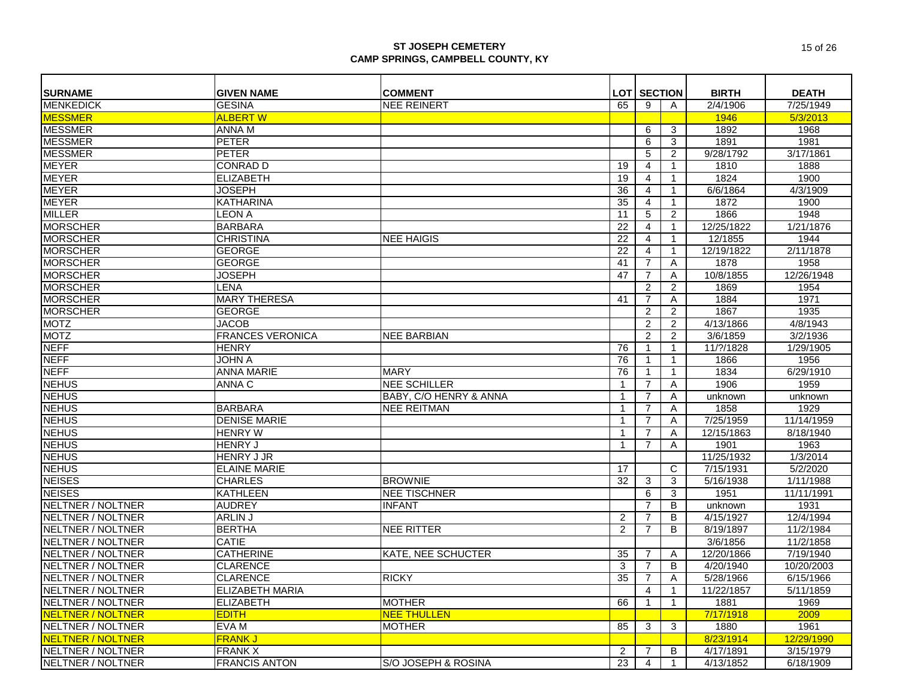| <b>SURNAME</b>           | <b>GIVEN NAME</b>       | <b>COMMENT</b>            |                         | <b>LOT SECTION</b> |              | <b>BIRTH</b> | <b>DEATH</b> |
|--------------------------|-------------------------|---------------------------|-------------------------|--------------------|--------------|--------------|--------------|
| <b>MENKEDICK</b>         | <b>GESINA</b>           | <b>NEE REINERT</b>        | 65                      | 9                  | A            | 2/4/1906     | 7/25/1949    |
| <b>MESSMER</b>           | <b>ALBERT W</b>         |                           |                         |                    |              | 1946         | 5/3/2013     |
| <b>MESSMER</b>           | ANNA M                  |                           |                         | 6                  | 3            | 1892         | 1968         |
| <b>MESSMER</b>           | <b>PETER</b>            |                           |                         | 6                  | 3            | 1891         | 1981         |
| <b>MESSMER</b>           | <b>PETER</b>            |                           |                         | 5                  | 2            | 9/28/1792    | 3/17/1861    |
| <b>MEYER</b>             | <b>CONRAD D</b>         |                           |                         |                    | 1            |              |              |
| <b>MEYER</b>             |                         |                           | 19                      | 4                  |              | 1810         | 1888         |
|                          | <b>ELIZABETH</b>        |                           | 19                      | 4                  |              | 1824         | 1900         |
| <b>MEYER</b>             | <b>JOSEPH</b>           |                           | 36                      | 4                  |              | 6/6/1864     | 4/3/1909     |
| <b>MEYER</b>             | <b>KATHARINA</b>        |                           | 35                      | $\overline{4}$     | $\mathbf{1}$ | 1872         | 1900         |
| <b>MILLER</b>            | <b>LEON A</b>           |                           | 11                      | 5                  | 2            | 1866         | 1948         |
| <b>MORSCHER</b>          | <b>BARBARA</b>          |                           | 22                      | 4                  | $\mathbf{1}$ | 12/25/1822   | 1/21/1876    |
| <b>MORSCHER</b>          | <b>CHRISTINA</b>        | <b>NEE HAIGIS</b>         | 22                      | $\overline{4}$     | $\mathbf{1}$ | 12/1855      | 1944         |
| <b>MORSCHER</b>          | <b>GEORGE</b>           |                           | 22                      | $\overline{4}$     | $\mathbf{1}$ | 12/19/1822   | 2/11/1878    |
| <b>MORSCHER</b>          | <b>GEORGE</b>           |                           | 41                      | $\overline{7}$     | Α            | 1878         | 1958         |
| <b>MORSCHER</b>          | JOSEPH                  |                           | 47                      | $\overline{7}$     | Α            | 10/8/1855    | 12/26/1948   |
| <b>MORSCHER</b>          | LENA                    |                           |                         | $\overline{2}$     | 2            | 1869         | 1954         |
| <b>MORSCHER</b>          | <b>MARY THERESA</b>     |                           | 41                      | $\overline{7}$     | Α            | 1884         | 1971         |
| <b>MORSCHER</b>          | <b>GEORGE</b>           |                           |                         | $\overline{2}$     | 2            | 1867         | 1935         |
| <b>MOTZ</b>              | <b>JACOB</b>            |                           |                         | 2                  | 2            | 4/13/1866    | 4/8/1943     |
| <b>MOTZ</b>              | <b>FRANCES VERONICA</b> | <b>NEE BARBIAN</b>        |                         | 2                  | 2            | 3/6/1859     | 3/2/1936     |
| <b>NEFF</b>              | <b>HENRY</b>            |                           | 76                      | $\mathbf{1}$       | $\mathbf{1}$ | 11/?/1828    | 1/29/1905    |
| <b>NEFF</b>              | <b>JOHN A</b>           |                           | 76                      | $\mathbf{1}$       | $\mathbf{1}$ | 1866         | 1956         |
| <b>NEFF</b>              | <b>ANNA MARIE</b>       | <b>MARY</b>               | 76                      | $\mathbf{1}$       | $\mathbf{1}$ | 1834         | 6/29/1910    |
| <b>NEHUS</b>             | ANNA C                  | <b>NEE SCHILLER</b>       | -1                      | $\overline{7}$     | A            | 1906         | 1959         |
| <b>NEHUS</b>             |                         | BABY, C/O HENRY & ANNA    | $\overline{\mathbf{1}}$ | $\overline{7}$     | Α            | unknown      | unknown      |
| <b>NEHUS</b>             | <b>BARBARA</b>          | <b>NEE REITMAN</b>        | -1                      | 7                  | Α            | 1858         | 1929         |
| <b>NEHUS</b>             | <b>DENISE MARIE</b>     |                           | $\overline{1}$          | $\overline{7}$     | A            | 7/25/1959    | 11/14/1959   |
| <b>NEHUS</b>             | <b>HENRY W</b>          |                           | $\overline{\mathbf{1}}$ | 7                  | A            | 12/15/1863   | 8/18/1940    |
| <b>NEHUS</b>             | <b>HENRY J</b>          |                           | $\mathbf{1}$            | $\overline{7}$     | Α            | 1901         | 1963         |
| <b>NEHUS</b>             | <b>HENRY J JR</b>       |                           |                         |                    |              | 11/25/1932   | 1/3/2014     |
| <b>NEHUS</b>             | <b>ELAINE MARIE</b>     |                           | 17                      |                    | C            | 7/15/1931    | 5/2/2020     |
| <b>NEISES</b>            | <b>CHARLES</b>          | <b>BROWNIE</b>            | 32                      | 3                  | 3            | 5/16/1938    | 1/11/1988    |
| <b>NEISES</b>            | <b>KATHLEEN</b>         | <b>NEE TISCHNER</b>       |                         | 6                  | 3            | 1951         | 11/11/1991   |
| NELTNER / NOLTNER        | <b>AUDREY</b>           | <b>INFANT</b>             |                         | $\overline{7}$     | B            | unknown      | 1931         |
| <b>NELTNER / NOLTNER</b> | ARLIN J                 |                           | $\overline{2}$          | $\overline{7}$     | B            | 4/15/1927    | 12/4/1994    |
| <b>NELTNER / NOLTNER</b> | <b>BERTHA</b>           | <b>NEE RITTER</b>         | 2                       | $\overline{7}$     | B            | 8/19/1897    | 11/2/1984    |
| NELTNER / NOLTNER        | CATIE                   |                           |                         |                    |              | 3/6/1856     | 11/2/1858    |
| NELTNER / NOLTNER        | <b>CATHERINE</b>        | <b>KATE, NEE SCHUCTER</b> | 35                      | 7                  | Α            | 12/20/1866   | 7/19/1940    |
| NELTNER / NOLTNER        | <b>CLARENCE</b>         |                           | 3                       | $\overline{7}$     | B            | 4/20/1940    | 10/20/2003   |
| NELTNER / NOLTNER        | <b>CLARENCE</b>         | <b>RICKY</b>              | 35                      | $\overline{7}$     | A            | 5/28/1966    | 6/15/1966    |
| NELTNER / NOLTNER        | <b>ELIZABETH MARIA</b>  |                           |                         | $\overline{4}$     | $\mathbf{1}$ | 11/22/1857   | 5/11/1859    |
| NELTNER / NOLTNER        | <b>ELIZABETH</b>        | <b>MOTHER</b>             | 66                      | $\mathbf{1}$       | $\mathbf{1}$ | 1881         | 1969         |
| <b>NELTNER / NOLTNER</b> | <b>EDITH</b>            | <b>NEE THULLEN</b>        |                         |                    |              | 7/17/1918    | 2009         |
| <b>NELTNER / NOLTNER</b> | EVA M                   | <b>MOTHER</b>             | 85                      | 3                  | 3            | 1880         | 1961         |
| <b>NELTNER / NOLTNER</b> | <b>FRANK J</b>          |                           |                         |                    |              | 8/23/1914    | 12/29/1990   |
| <b>NELTNER / NOLTNER</b> | <b>FRANK X</b>          |                           | 2                       | 7                  | B            | 4/17/1891    | 3/15/1979    |
| NELTNER / NOLTNER        | <b>FRANCIS ANTON</b>    | S/O JOSEPH & ROSINA       | 23                      | $\overline{4}$     | $\mathbf{1}$ | 4/13/1852    | 6/18/1909    |
|                          |                         |                           |                         |                    |              |              |              |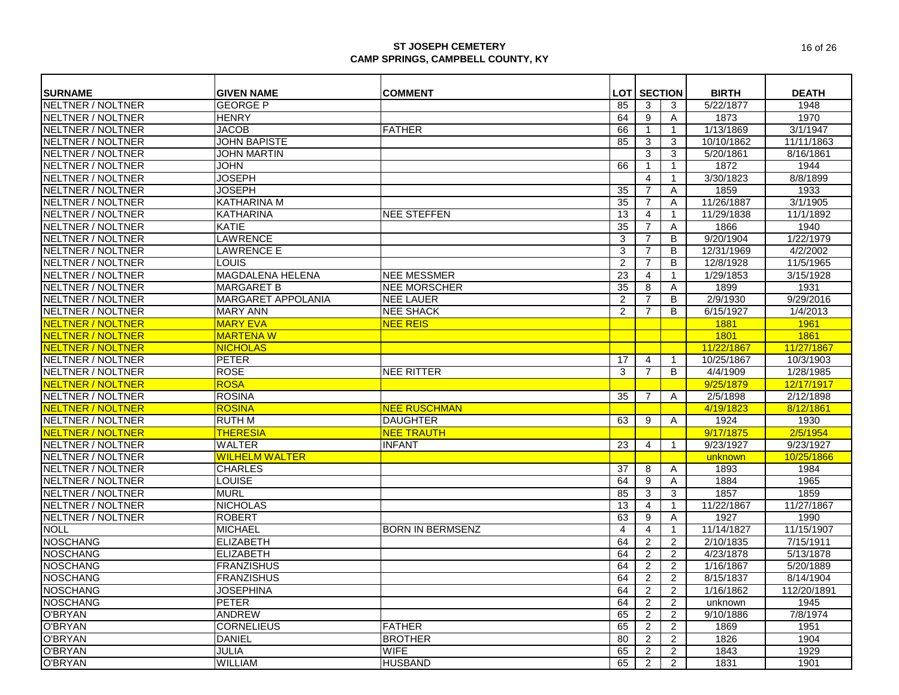| <b>SURNAME</b>           | <b>GIVEN NAME</b>         | <b>COMMENT</b>            |                | <b>LOT SECTION</b> |                | <b>BIRTH</b> | <b>DEATH</b> |
|--------------------------|---------------------------|---------------------------|----------------|--------------------|----------------|--------------|--------------|
| <b>NELTNER / NOLTNER</b> | <b>GEORGE P</b>           |                           | 85             | 3                  | 3              | 5/22/1877    | 1948         |
| NELTNER / NOLTNER        | <b>HENRY</b>              |                           | 64             | 9                  | A              | 1873         | 1970         |
| <b>NELTNER / NOLTNER</b> | <b>JACOB</b>              | <b>FATHER</b>             | 66             | $\mathbf{1}$       | $\mathbf{1}$   | 1/13/1869    | 3/1/1947     |
| NELTNER / NOLTNER        | <b>JOHN BAPISTE</b>       |                           | 85             | 3                  | 3              | 10/10/1862   | 11/11/1863   |
| NELTNER / NOLTNER        | <b>JOHN MARTIN</b>        |                           |                | 3                  | 3              | 5/20/1861    | 8/16/1861    |
| <b>NELTNER / NOLTNER</b> | <b>JOHN</b>               |                           | 66             | $\mathbf{1}$       | $\mathbf{1}$   | 1872         | 1944         |
| NELTNER / NOLTNER        | <b>JOSEPH</b>             |                           |                | $\overline{4}$     | $\mathbf{1}$   | 3/30/1823    | 8/8/1899     |
| <b>NELTNER / NOLTNER</b> | <b>JOSEPH</b>             |                           | 35             | $\overline{7}$     | A              | 1859         | 1933         |
| <b>NELTNER / NOLTNER</b> | KATHARINA M               |                           | 35             | $\overline{7}$     | A              | 11/26/1887   | 3/1/1905     |
| <b>NELTNER / NOLTNER</b> | <b>KATHARINA</b>          | <b>NEE STEFFEN</b>        | 13             | 4                  | $\mathbf 1$    | 11/29/1838   | 11/1/1892    |
| NELTNER / NOLTNER        | KATIE                     |                           | 35             | $\overline{7}$     | A              | 1866         | 1940         |
| NELTNER / NOLTNER        | <b>LAWRENCE</b>           |                           | 3              | $\overline{7}$     | B              | 9/20/1904    | 1/22/1979    |
| NELTNER / NOLTNER        | LAWRENCE E                |                           | 3              | $\overline{7}$     | B              | 12/31/1969   | 4/2/2002     |
| NELTNER / NOLTNER        | LOUIS                     |                           | $\overline{2}$ | $\overline{7}$     | B              | 12/8/1928    | 11/5/1965    |
| NELTNER / NOLTNER        | MAGDALENA HELENA          | <b>NEE MESSMER</b>        | 23             | 4                  | $\mathbf{1}$   | 1/29/1853    | 3/15/1928    |
| NELTNER / NOLTNER        | <b>MARGARET B</b>         | <b>NEE MORSCHER</b>       | 35             | 8                  | Α              | 1899         | 1931         |
| NELTNER / NOLTNER        | <b>MARGARET APPOLANIA</b> | <b>NEE LAUER</b>          | $\overline{2}$ | $\overline{7}$     | B              | 2/9/1930     | 9/29/2016    |
| NELTNER / NOLTNER        | <b>MARY ANN</b>           | <b>NEE SHACK</b>          | $\mathcal{P}$  | $\overline{7}$     | <sub>B</sub>   | 6/15/1927    | 1/4/2013     |
| <b>NELTNER / NOLTNER</b> | <b>MARY EVA</b>           | <b>NEE REIS</b>           |                |                    |                | 1881         | 1961         |
| NELTNER / NOLTNER        | <b>MARTENAW</b>           |                           |                |                    |                | 1801         | 1861         |
| <b>NELTNER / NOLTNER</b> | <b>NICHOLAS</b>           |                           |                |                    |                | 11/22/1867   | 11/27/1867   |
| <b>NELTNER / NOLTNER</b> | <b>PETER</b>              |                           | 17             | 4                  | $\mathbf{1}$   | 10/25/1867   | 10/3/1903    |
| NELTNER / NOLTNER        | <b>ROSE</b>               | <b>NEE RITTER</b>         | 3              | $\overline{7}$     | B              | 4/4/1909     | 1/28/1985    |
| <b>NELTNER / NOLTNER</b> | <b>ROSA</b>               |                           |                |                    |                | 9/25/1879    | 12/17/1917   |
| NELTNER / NOLTNER        | <b>ROSINA</b>             |                           | 35             | 7                  | A              | 2/5/1898     | 2/12/1898    |
| <b>NELTNER / NOLTNER</b> | <b>ROSINA</b>             | <mark>NEE RUSCHMAN</mark> |                |                    |                | 4/19/1823    | 8/12/1861    |
| <b>NELTNER / NOLTNER</b> | <b>RUTH M</b>             | <b>DAUGHTER</b>           | 63             | 9                  | Α              | 1924         | 1930         |
| <b>NELTNER / NOLTNER</b> | <b>THERESIA</b>           | <b>NEE TRAUTH</b>         |                |                    |                | 9/17/1875    | 2/5/1954     |
| <b>NELTNER / NOLTNER</b> | <b>WALTER</b>             | <b>INFANT</b>             | 23             | $\overline{4}$     | $\mathbf{1}$   | 9/23/1927    | 9/23/1927    |
| <b>NELTNER / NOLTNER</b> | <b>WILHELM WALTER</b>     |                           |                |                    |                | unknown      | 10/25/1866   |
| <b>NELTNER / NOLTNER</b> | <b>CHARLES</b>            |                           | 37             | 8                  | A              | 1893         | 1984         |
| NELTNER / NOLTNER        | LOUISE                    |                           | 64             | 9                  | A              | 1884         | 1965         |
| NELTNER / NOLTNER        | <b>MURL</b>               |                           | 85             | 3                  | 3              | 1857         | 1859         |
| NELTNER / NOLTNER        | <b>NICHOLAS</b>           |                           | 13             | 4                  | $\mathbf{1}$   | 11/22/1867   | 11/27/1867   |
| <b>NELTNER / NOLTNER</b> | <b>ROBERT</b>             |                           | 63             | 9                  | Α              | 1927         | 1990         |
| <b>NOLL</b>              | <b>MICHAEL</b>            | <b>BORN IN BERMSENZ</b>   | $\overline{4}$ | $\overline{4}$     | $\mathbf{1}$   | 11/14/1827   | 11/15/1907   |
| <b>NOSCHANG</b>          | <b>ELIZABETH</b>          |                           | 64             | $\overline{2}$     | 2              | 2/10/1835    | 7/15/1911    |
| <b>NOSCHANG</b>          | <b>ELIZABETH</b>          |                           | 64             | $\overline{2}$     | $\overline{2}$ | 4/23/1878    | 5/13/1878    |
| <b>NOSCHANG</b>          | <b>FRANZISHUS</b>         |                           | 64             | 2                  | 2              | 1/16/1867    | 5/20/1889    |
| <b>NOSCHANG</b>          | <b>FRANZISHUS</b>         |                           | 64             | $\overline{2}$     | 2              | 8/15/1837    | 8/14/1904    |
| <b>NOSCHANG</b>          | <b>JOSEPHINA</b>          |                           | 64             | 2                  | 2              | 1/16/1862    | 112/20/1891  |
| <b>NOSCHANG</b>          | <b>PETER</b>              |                           | 64             | 2                  | $\overline{2}$ | unknown      | 1945         |
| <b>O'BRYAN</b>           | <b>ANDREW</b>             |                           | 65             | 2                  | 2              | 9/10/1886    | 7/8/1974     |
| <b>O'BRYAN</b>           | <b>CORNELIEUS</b>         | <b>FATHER</b>             | 65             | $\overline{c}$     | $\overline{c}$ | 1869         | 1951         |
| <b>O'BRYAN</b>           | <b>DANIEL</b>             | <b>BROTHER</b>            | 80             | $\overline{c}$     | $\overline{c}$ | 1826         | 1904         |
| <b>O'BRYAN</b>           | <b>JULIA</b>              | <b>WIFE</b>               | 65             | $\overline{2}$     | $\overline{c}$ | 1843         | 1929         |
| <b>O'BRYAN</b>           | <b>WILLIAM</b>            | <b>HUSBAND</b>            | 65             | $\overline{2}$     | 2              | 1831         | 1901         |
|                          |                           |                           |                |                    |                |              |              |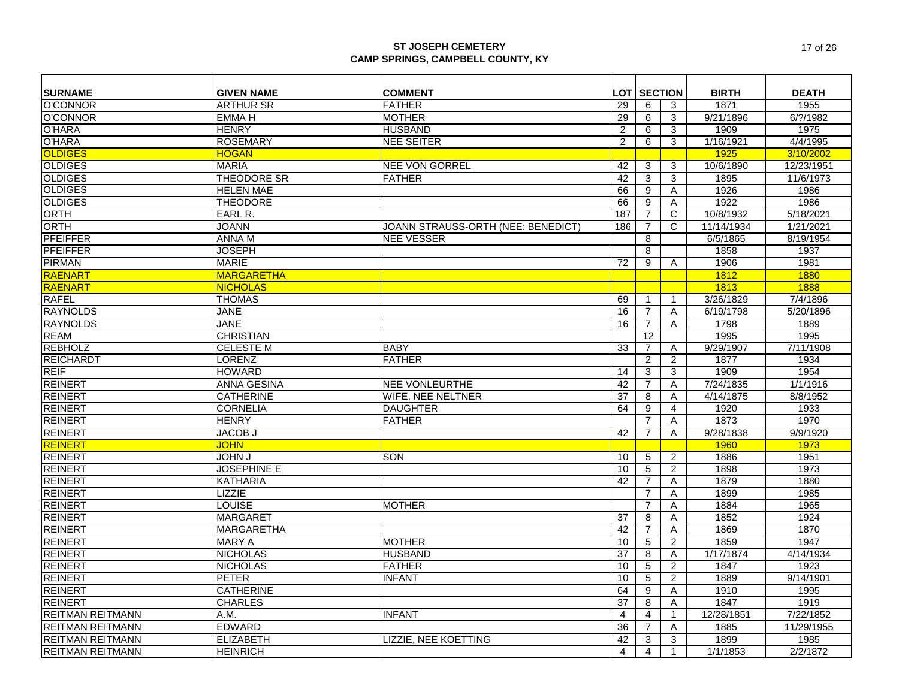| <b>SURNAME</b>          | <b>GIVEN NAME</b>  | <b>COMMENT</b>                     |                | <b>LOT   SECTION</b> |                | <b>BIRTH</b> | <b>DEATH</b> |
|-------------------------|--------------------|------------------------------------|----------------|----------------------|----------------|--------------|--------------|
| <b>O'CONNOR</b>         | <b>ARTHUR SR</b>   | <b>FATHER</b>                      | 29             | 6                    | 3              | 1871         | 1955         |
| <b>O'CONNOR</b>         | <b>EMMA H</b>      | <b>MOTHER</b>                      | 29             | 6                    | 3              | 9/21/1896    | 6/? / 1982   |
| <b>O'HARA</b>           | <b>HENRY</b>       | <b>HUSBAND</b>                     | 2              | 6                    | 3              | 1909         | 1975         |
| <b>O'HARA</b>           | <b>ROSEMARY</b>    | <b>NEE SEITER</b>                  | $\overline{2}$ | $\overline{6}$       | 3              | 1/16/1921    | 4/4/1995     |
| <b>OLDIGES</b>          | <b>HOGAN</b>       |                                    |                |                      |                | 1925         | 3/10/2002    |
| <b>OLDIGES</b>          | <b>MARIA</b>       | <b>NEE VON GORREL</b>              | 42             | 3                    | 3              | 10/6/1890    | 12/23/1951   |
| <b>OLDIGES</b>          | THEODORE SR        | FATHER                             | 42             | 3                    | 3              | 1895         | 11/6/1973    |
| <b>OLDIGES</b>          | <b>HELEN MAE</b>   |                                    | 66             | $\overline{9}$       | $\overline{A}$ | 1926         | 1986         |
| <b>OLDIGES</b>          | THEODORE           |                                    | 66             | 9                    | $\overline{A}$ | 1922         | 1986         |
| <b>ORTH</b>             | EARL R.            |                                    | 187            | $\overline{7}$       | C              | 10/8/1932    | 5/18/2021    |
| <b>ORTH</b>             | <b>JOANN</b>       | JOANN STRAUSS-ORTH (NEE: BENEDICT) | 186            | $\overline{7}$       | C              | 11/14/1934   | 1/21/2021    |
| <b>PFEIFFER</b>         | <b>ANNAM</b>       | <b>NEE VESSER</b>                  |                | 8                    |                | 6/5/1865     | 8/19/1954    |
| <b>PFEIFFER</b>         | <b>JOSEPH</b>      |                                    |                | 8                    |                | 1858         | 1937         |
| <b>PIRMAN</b>           | <b>MARIE</b>       |                                    | 72             | 9                    | A              | 1906         | 1981         |
| <b>RAENART</b>          | <b>MARGARETHA</b>  |                                    |                |                      |                | 1812         | 1880         |
| RAENART                 | <b>NICHOLAS</b>    |                                    |                |                      |                | 1813         | 1888         |
| <b>RAFEL</b>            | <b>THOMAS</b>      |                                    | 69             | $\overline{1}$       | $\mathbf{1}$   | 3/26/1829    | 7/4/1896     |
| <b>RAYNOLDS</b>         | <b>JANE</b>        |                                    | 16             | $\overline{7}$       | A              | 6/19/1798    | 5/20/1896    |
| <b>RAYNOLDS</b>         | <b>JANE</b>        |                                    | 16             | $\overline{7}$       | A              | 1798         | 1889         |
| <b>REAM</b>             | <b>CHRISTIAN</b>   |                                    |                | 12                   |                | 1995         | 1995         |
| <b>REBHOLZ</b>          | <b>CELESTE M</b>   | <b>BABY</b>                        | 33             | $\overline{7}$       | A              | 9/29/1907    | 7/11/1908    |
| <b>REICHARDT</b>        | <b>LORENZ</b>      | <b>FATHER</b>                      |                | $\overline{2}$       | $\overline{2}$ | 1877         | 1934         |
| <b>REIF</b>             | <b>HOWARD</b>      |                                    | 14             | 3                    | 3              | 1909         | 1954         |
| <b>REINERT</b>          | <b>ANNA GESINA</b> | <b>NEE VONLEURTHE</b>              | 42             | $\overline{7}$       | A              | 7/24/1835    | 1/1/1916     |
| <b>REINERT</b>          | <b>CATHERINE</b>   | <b>WIFE, NEE NELTNER</b>           | 37             | 8                    | A              | 4/14/1875    | 8/8/1952     |
| <b>REINERT</b>          |                    |                                    | 64             | 9                    | $\overline{4}$ |              | 1933         |
|                         | <b>CORNELIA</b>    | <b>DAUGHTER</b>                    |                | $\overline{7}$       |                | 1920         |              |
| <b>REINERT</b>          | <b>HENRY</b>       | <b>FATHER</b>                      |                |                      | A              | 1873         | 1970         |
| <b>REINERT</b>          | <b>JACOB J</b>     |                                    | 42             | $\overline{7}$       | $\overline{A}$ | 9/28/1838    | 9/9/1920     |
| REINERT                 | <b>JOHN</b>        |                                    |                |                      |                | 1960         | 1973         |
| <b>REINERT</b>          | <b>L NHOL</b>      | SON                                | 10             | 5                    | 2              | 1886         | 1951         |
| <b>REINERT</b>          | <b>JOSEPHINE E</b> |                                    | 10             | $\overline{5}$       | $\overline{2}$ | 1898         | 1973         |
| <b>REINERT</b>          | <b>KATHARIA</b>    |                                    | 42             | $\overline{7}$       | A              | 1879         | 1880         |
| <b>REINERT</b>          | <b>LIZZIE</b>      |                                    |                | $\overline{7}$       | A              | 1899         | 1985         |
| <b>REINERT</b>          | <b>LOUISE</b>      | <b>MOTHER</b>                      |                | 7                    | A              | 1884         | 1965         |
| <b>REINERT</b>          | <b>MARGARET</b>    |                                    | 37             | 8                    | Α              | 1852         | 1924         |
| <b>REINERT</b>          | <b>MARGARETHA</b>  |                                    | 42             | $\overline{7}$       | A              | 1869         | 1870         |
| <b>REINERT</b>          | <b>MARY A</b>      | <b>MOTHER</b>                      | 10             | $\overline{5}$       | $\overline{2}$ | 1859         | 1947         |
| <b>REINERT</b>          | <b>NICHOLAS</b>    | <b>HUSBAND</b>                     | 37             | 8                    | Α              | 1/17/1874    | 4/14/1934    |
| <b>REINERT</b>          | <b>NICHOLAS</b>    | <b>FATHER</b>                      | 10             | 5                    | $\overline{2}$ | 1847         | 1923         |
| <b>REINERT</b>          | <b>PETER</b>       | <b>INFANT</b>                      | 10             | $\overline{5}$       | $\overline{c}$ | 1889         | 9/14/1901    |
| <b>REINERT</b>          | <b>CATHERINE</b>   |                                    | 64             | 9                    | A              | 1910         | 1995         |
| <b>REINERT</b>          | <b>CHARLES</b>     |                                    | 37             | 8                    | A              | 1847         | 1919         |
| <b>REITMAN REITMANN</b> | A.M.               | <b>INFANT</b>                      | $\overline{4}$ | $\overline{4}$       | 1              | 12/28/1851   | 7/22/1852    |
| <b>REITMAN REITMANN</b> | <b>EDWARD</b>      |                                    | 36             | $\overline{7}$       | Α              | 1885         | 11/29/1955   |
| <b>REITMAN REITMANN</b> | <b>ELIZABETH</b>   | LIZZIE, NEE KOETTING               | 42             | 3                    | 3              | 1899         | 1985         |
| REITMAN REITMANN        | <b>HEINRICH</b>    |                                    | $\overline{4}$ | $\overline{4}$       | $\mathbf{1}$   | 1/1/1853     | 2/2/1872     |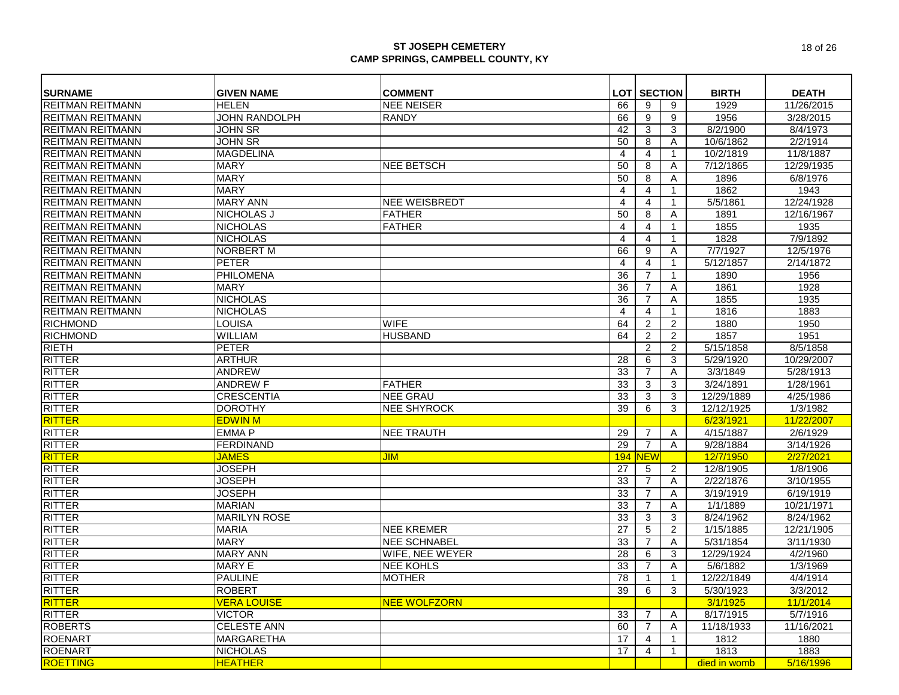| <b>SURNAME</b>          | <b>GIVEN NAME</b>    | <b>COMMENT</b>       |                         | <b>LOT SECTION</b> |                | <b>BIRTH</b> | <b>DEATH</b> |
|-------------------------|----------------------|----------------------|-------------------------|--------------------|----------------|--------------|--------------|
| <b>REITMAN REITMANN</b> | <b>HELEN</b>         | <b>NEE NEISER</b>    | 66                      | 9                  | 9              | 1929         | 11/26/2015   |
| <b>REITMAN REITMANN</b> | <b>JOHN RANDOLPH</b> | <b>RANDY</b>         | 66                      | 9                  | 9              | 1956         | 3/28/2015    |
| <b>REITMAN REITMANN</b> | <b>JOHN SR</b>       |                      | 42                      | 3                  | 3              | 8/2/1900     | 8/4/1973     |
| <b>REITMAN REITMANN</b> | <b>JOHN SR</b>       |                      | 50                      | 8                  | Α              | 10/6/1862    | 2/2/1914     |
| <b>REITMAN REITMANN</b> | <b>MAGDELINA</b>     |                      | 4                       | $\overline{4}$     | $\mathbf{1}$   | 10/2/1819    | 11/8/1887    |
| <b>REITMAN REITMANN</b> | <b>MARY</b>          | <b>NEE BETSCH</b>    | 50                      | 8                  | Α              | 7/12/1865    | 12/29/1935   |
| <b>REITMAN REITMANN</b> | <b>MARY</b>          |                      | 50                      | 8                  | Α              | 1896         | 6/8/1976     |
| <b>REITMAN REITMANN</b> | <b>MARY</b>          |                      | 4                       | 4                  | $\mathbf{1}$   | 1862         | 1943         |
| <b>REITMAN REITMANN</b> | <b>MARY ANN</b>      | <b>NEE WEISBREDT</b> | $\overline{4}$          | 4                  | $\mathbf{1}$   | 5/5/1861     | 12/24/1928   |
| <b>REITMAN REITMANN</b> | NICHOLAS J           | <b>FATHER</b>        | 50                      | 8                  | A              | 1891         | 12/16/1967   |
| <b>REITMAN REITMANN</b> | <b>NICHOLAS</b>      | <b>FATHER</b>        | 4                       | 4                  | 1              | 1855         | 1935         |
| <b>REITMAN REITMANN</b> | <b>NICHOLAS</b>      |                      | $\overline{4}$          | $\overline{4}$     | $\mathbf 1$    | 1828         | 7/9/1892     |
| <b>REITMAN REITMANN</b> | <b>NORBERT M</b>     |                      | 66                      | 9                  | A              | 7/7/1927     | 12/5/1976    |
| <b>REITMAN REITMANN</b> | <b>PETER</b>         |                      | $\overline{\mathbf{4}}$ | $\overline{4}$     | $\mathbf{1}$   | 5/12/1857    | 2/14/1872    |
| <b>REITMAN REITMANN</b> | PHILOMENA            |                      | 36                      | 7                  | $\mathbf{1}$   | 1890         | 1956         |
| <b>REITMAN REITMANN</b> | <b>MARY</b>          |                      | 36                      | 7                  | A              | 1861         | 1928         |
| <b>REITMAN REITMANN</b> | <b>NICHOLAS</b>      |                      | 36                      | $\overline{7}$     | A              | 1855         | 1935         |
| <b>REITMAN REITMANN</b> | <b>NICHOLAS</b>      |                      | 4                       | 4                  | $\mathbf{1}$   | 1816         | 1883         |
| <b>RICHMOND</b>         | <b>LOUISA</b>        | <b>WIFE</b>          | 64                      | 2                  | $\overline{2}$ | 1880         | 1950         |
| <b>RICHMOND</b>         | <b>WILLIAM</b>       | <b>HUSBAND</b>       | 64                      | $\overline{2}$     | $\overline{2}$ | 1857         | 1951         |
| <b>RIETH</b>            | <b>PETER</b>         |                      |                         | 2                  | 2              | 5/15/1858    | 8/5/1858     |
| <b>RITTER</b>           | <b>ARTHUR</b>        |                      | 28                      | 6                  | 3              | 5/29/1920    | 10/29/2007   |
| <b>RITTER</b>           | <b>ANDREW</b>        |                      | 33                      | $\overline{7}$     | A              | 3/3/1849     | 5/28/1913    |
| <b>RITTER</b>           | <b>ANDREW F</b>      | <b>FATHER</b>        | 33                      | 3                  | 3              | 3/24/1891    | 1/28/1961    |
| <b>RITTER</b>           | <b>CRESCENTIA</b>    | <b>NEE GRAU</b>      | 33                      | 3                  | 3              | 12/29/1889   | 4/25/1986    |
| <b>RITTER</b>           | <b>DOROTHY</b>       | <b>NEE SHYROCK</b>   | 39                      | 6                  | 3              | 12/12/1925   | 1/3/1982     |
| RITTER                  | <b>EDWIN M</b>       |                      |                         |                    |                | 6/23/1921    | 11/22/2007   |
| <b>RITTER</b>           | <b>EMMA P</b>        | <b>NEE TRAUTH</b>    | 29                      | 7                  | A              | 4/15/1887    | 2/6/1929     |
| <b>RITTER</b>           | <b>FERDINAND</b>     |                      | 29                      | $\overline{7}$     | A              | 9/28/1884    | 3/14/1926    |
| <b>RITTER</b>           | <b>JAMES</b>         | <b>JIM</b>           | 194                     | <b>NEW</b>         |                | 12/7/1950    | 2/27/2021    |
| <b>RITTER</b>           | <b>JOSEPH</b>        |                      | 27                      | 5                  | $\overline{2}$ | 12/8/1905    | 1/8/1906     |
| <b>RITTER</b>           | <b>JOSEPH</b>        |                      | 33                      | $\overline{7}$     | A              | 2/22/1876    | 3/10/1955    |
| <b>RITTER</b>           | <b>JOSEPH</b>        |                      | 33                      | $\overline{7}$     | Α              | 3/19/1919    | 6/19/1919    |
| <b>RITTER</b>           | <b>MARIAN</b>        |                      | 33                      | 7                  | A              | 1/1/1889     | 10/21/1971   |
| <b>RITTER</b>           | <b>MARILYN ROSE</b>  |                      | 33                      | 3                  | 3              | 8/24/1962    | 8/24/1962    |
| <b>RITTER</b>           | <b>MARIA</b>         | <b>NEE KREMER</b>    | $\overline{27}$         | 5                  | $\overline{2}$ | 1/15/1885    | 12/21/1905   |
| <b>RITTER</b>           | <b>MARY</b>          | <b>NEE SCHNABEL</b>  | 33                      | $\overline{7}$     | A              | 5/31/1854    | 3/11/1930    |
| <b>RITTER</b>           | <b>MARY ANN</b>      | WIFE, NEE WEYER      | 28                      | 6                  | 3              | 12/29/1924   | 4/2/1960     |
| <b>RITTER</b>           | <b>MARY E</b>        | <b>NEE KOHLS</b>     | 33                      | 7                  | A              | 5/6/1882     | 1/3/1969     |
| <b>RITTER</b>           | <b>PAULINE</b>       | <b>MOTHER</b>        | 78                      |                    | $\mathbf{1}$   | 12/22/1849   | 4/4/1914     |
| <b>RITTER</b>           | <b>ROBERT</b>        |                      | 39                      | 6                  | 3              | 5/30/1923    | 3/3/2012     |
| <b>RITTER</b>           | <b>VERA LOUISE</b>   | <b>NEE WOLFZORN</b>  |                         |                    |                | 3/1/1925     | 11/1/2014    |
| <b>RITTER</b>           | <b>VICTOR</b>        |                      | 33                      | 7                  | Α              | 8/17/1915    | 5/7/1916     |
| <b>ROBERTS</b>          | <b>CELESTE ANN</b>   |                      | 60                      | 7                  | Α              | 11/18/1933   | 11/16/2021   |
| <b>ROENART</b>          | <b>MARGARETHA</b>    |                      | 17                      | 4                  | 1              | 1812         | 1880         |
| <b>ROENART</b>          | <b>NICHOLAS</b>      |                      | 17                      | 4                  | $\mathbf{1}$   | 1813         | 1883         |
| ROETTING                | <b>HEATHER</b>       |                      |                         |                    |                | died in womb | 5/16/1996    |
|                         |                      |                      |                         |                    |                |              |              |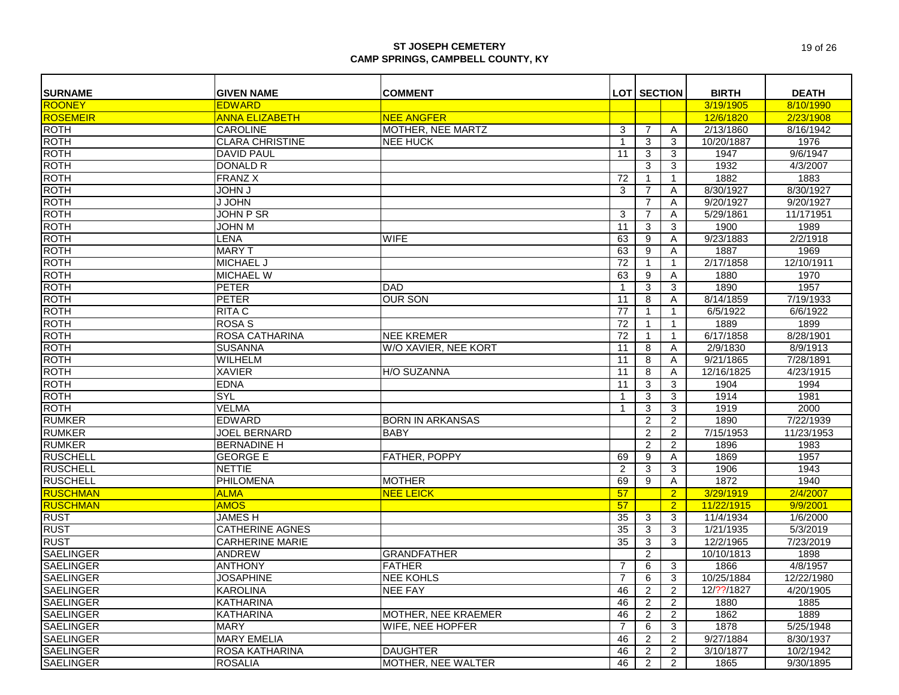| <b>SURNAME</b>   | <b>GIVEN NAME</b>      | <b>COMMENT</b>            |                | <b>LOT SECTION</b> |                | <b>BIRTH</b> | <b>DEATH</b> |
|------------------|------------------------|---------------------------|----------------|--------------------|----------------|--------------|--------------|
| <b>ROONEY</b>    | <b>EDWARD</b>          |                           |                |                    |                | 3/19/1905    | 8/10/1990    |
| <b>ROSEMEIR</b>  | <b>ANNA ELIZABETH</b>  | <b>NEE ANGFER</b>         |                |                    |                | 12/6/1820    | 2/23/1908    |
| <b>ROTH</b>      | <b>CAROLINE</b>        | MOTHER, NEE MARTZ         | 3              | 7                  | A              | 2/13/1860    | 8/16/1942    |
| <b>ROTH</b>      | <b>CLARA CHRISTINE</b> | <b>NEE HUCK</b>           | $\overline{1}$ | 3                  | 3              | 10/20/1887   | 1976         |
| <b>ROTH</b>      |                        |                           |                |                    |                |              |              |
|                  | <b>DAVID PAUL</b>      |                           | 11             | 3                  | 3              | 1947         | 9/6/1947     |
| <b>ROTH</b>      | <b>DONALD R</b>        |                           |                | $\overline{3}$     | 3              | 1932         | 4/3/2007     |
| <b>ROTH</b>      | <b>FRANZ X</b>         |                           | 72             | $\mathbf 1$        | $\mathbf{1}$   | 1882         | 1883         |
| <b>ROTH</b>      | <b>JOHN J</b>          |                           | 3              | $\overline{7}$     | A              | 8/30/1927    | 8/30/1927    |
| <b>ROTH</b>      | J JOHN                 |                           |                | $\overline{7}$     | Α              | 9/20/1927    | 9/20/1927    |
| <b>ROTH</b>      | JOHN P SR              |                           | 3              | $\overline{7}$     | Α              | 5/29/1861    | 11/171951    |
| <b>ROTH</b>      | <b>M NHOL</b>          |                           | 11             | 3                  | 3              | 1900         | 1989         |
| <b>ROTH</b>      | <b>LENA</b>            | <b>WIFE</b>               | 63             | 9                  | Α              | 9/23/1883    | 2/2/1918     |
| <b>ROTH</b>      | <b>MARY T</b>          |                           | 63             | 9                  | Α              | 1887         | 1969         |
| <b>ROTH</b>      | MICHAEL J              |                           | 72             | $\mathbf{1}$       | $\mathbf{1}$   | 2/17/1858    | 12/10/1911   |
| <b>ROTH</b>      | <b>MICHAEL W</b>       |                           | 63             | 9                  | A              | 1880         | 1970         |
| <b>ROTH</b>      | <b>PETER</b>           | <b>DAD</b>                | $\overline{1}$ | 3                  | 3              | 1890         | 1957         |
| <b>ROTH</b>      | <b>PETER</b>           | <b>OUR SON</b>            | 11             | 8                  | A              | 8/14/1859    | 7/19/1933    |
| <b>ROTH</b>      | <b>RITA C</b>          |                           | 77             | $\mathbf{1}$       | $\mathbf{1}$   | 6/5/1922     | 6/6/1922     |
| <b>ROTH</b>      | <b>ROSA S</b>          |                           | 72             | $\mathbf{1}$       | $\mathbf{1}$   | 1889         | 1899         |
| <b>ROTH</b>      | <b>ROSA CATHARINA</b>  | <b>NEE KREMER</b>         | 72             | $\mathbf{1}$       | $\mathbf{1}$   | 6/17/1858    | 8/28/1901    |
| <b>ROTH</b>      | <b>SUSANNA</b>         | W/O XAVIER, NEE KORT      | 11             | 8                  | A              | 2/9/1830     | 8/9/1913     |
| <b>ROTH</b>      | <b>WILHELM</b>         |                           | 11             | $\overline{8}$     | A              | 9/21/1865    | 7/28/1891    |
| <b>ROTH</b>      | <b>XAVIER</b>          | <b>H/O SUZANNA</b>        | 11             | 8                  | Α              | 12/16/1825   | 4/23/1915    |
| <b>ROTH</b>      | <b>EDNA</b>            |                           | 11             | 3                  | 3              | 1904         | 1994         |
| <b>ROTH</b>      | <b>SYL</b>             |                           | $\overline{1}$ | $\mathbf{3}$       | 3              | 1914         | 1981         |
| <b>ROTH</b>      | <b>VELMA</b>           |                           | 1              | 3                  | 3              | 1919         | 2000         |
| <b>RUMKER</b>    | <b>EDWARD</b>          | <b>BORN IN ARKANSAS</b>   |                | $\overline{2}$     | $\overline{c}$ | 1890         | 7/22/1939    |
| <b>RUMKER</b>    | <b>JOEL BERNARD</b>    | <b>BABY</b>               |                | $\overline{2}$     | 2              | 7/15/1953    | 11/23/1953   |
| <b>RUMKER</b>    | <b>BERNADINE H</b>     |                           |                | $\overline{2}$     | $\overline{2}$ | 1896         | 1983         |
| <b>RUSCHELL</b>  | <b>GEORGE E</b>        | FATHER, POPPY             | 69             | 9                  | Α              | 1869         | 1957         |
| <b>RUSCHELL</b>  | <b>NETTIE</b>          |                           | 2              | 3                  | 3              | 1906         | 1943         |
| <b>RUSCHELL</b>  | PHILOMENA              | <b>MOTHER</b>             | 69             | 9                  | Α              | 1872         | 1940         |
| <b>RUSCHMAN</b>  | <b>ALMA</b>            | <b>NEE LEICK</b>          | 57             |                    | $\overline{2}$ | 3/29/1919    | 2/4/2007     |
| <b>RUSCHMAN</b>  | <b>AMOS</b>            |                           | 57             |                    | $\overline{2}$ | 11/22/1915   | 9/9/2001     |
| <b>RUST</b>      | <b>JAMESH</b>          |                           | 35             | 3                  | 3              | 11/4/1934    | 1/6/2000     |
| <b>RUST</b>      | <b>CATHERINE AGNES</b> |                           | 35             | 3                  | 3              | 1/21/1935    | 5/3/2019     |
| <b>RUST</b>      | <b>CARHERINE MARIE</b> |                           | 35             | 3                  | 3              | 12/2/1965    | 7/23/2019    |
| <b>SAELINGER</b> | <b>ANDREW</b>          | <b>GRANDFATHER</b>        |                | 2                  |                | 10/10/1813   | 1898         |
| <b>SAELINGER</b> | <b>ANTHONY</b>         | <b>FATHER</b>             | $\overline{7}$ | 6                  | 3              | 1866         | 4/8/1957     |
| <b>SAELINGER</b> | <b>JOSAPHINE</b>       | <b>NEE KOHLS</b>          | $\overline{7}$ | 6                  | 3              | 10/25/1884   | 12/22/1980   |
| <b>SAELINGER</b> | <b>KAROLINA</b>        | <b>NEE FAY</b>            | 46             | $\overline{c}$     | $\overline{2}$ | 12/??/1827   | 4/20/1905    |
| <b>SAELINGER</b> | <b>KATHARINA</b>       |                           | 46             | $\overline{2}$     | $\overline{2}$ | 1880         | 1885         |
| <b>SAELINGER</b> | <b>KATHARINA</b>       | MOTHER, NEE KRAEMER       | 46             | $\overline{2}$     | 2              | 1862         | 1889         |
| <b>SAELINGER</b> | <b>MARY</b>            | WIFE, NEE HOPFER          | $\overline{7}$ | 6                  | 3              | 1878         | 5/25/1948    |
| <b>SAELINGER</b> | <b>MARY EMELIA</b>     |                           | 46             | $\overline{2}$     | 2              | 9/27/1884    | 8/30/1937    |
| <b>SAELINGER</b> | ROSA KATHARINA         | <b>DAUGHTER</b>           | 46             | $\overline{2}$     | $\overline{2}$ | 3/10/1877    | 10/2/1942    |
| <b>SAELINGER</b> | <b>ROSALIA</b>         | <b>MOTHER, NEE WALTER</b> | 46             | $\overline{2}$     | $\overline{2}$ | 1865         | 9/30/1895    |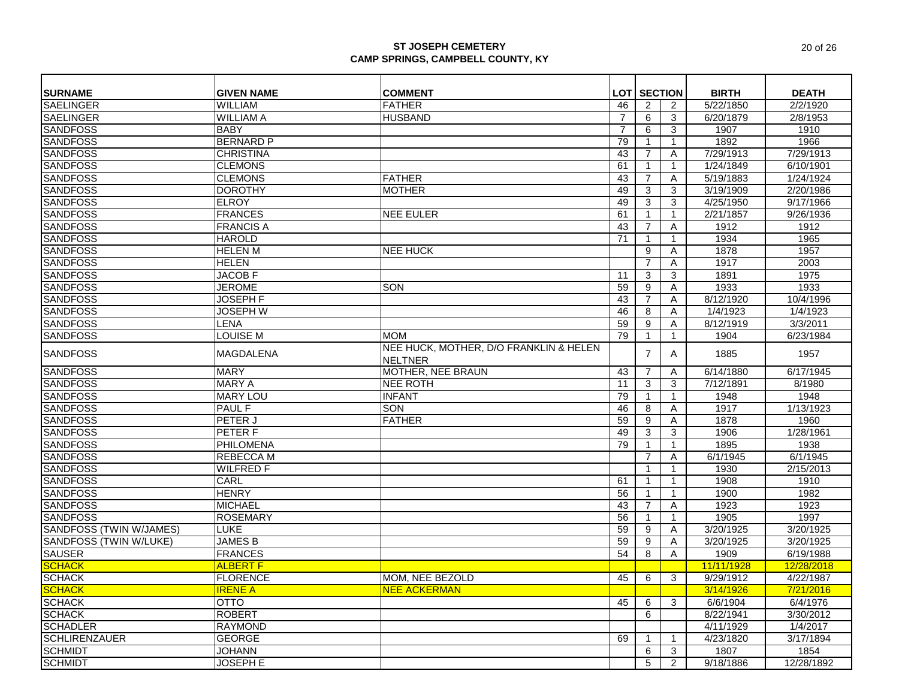| <b>SURNAME</b>                     | <b>GIVEN NAME</b>              | <b>COMMENT</b>                                           |          | <b>LOT SECTION</b> |              | <b>BIRTH</b> | <b>DEATH</b>          |
|------------------------------------|--------------------------------|----------------------------------------------------------|----------|--------------------|--------------|--------------|-----------------------|
| <b>SAELINGER</b>                   | <b>WILLIAM</b>                 | <b>FATHER</b>                                            | 46       | 2                  | 2            | 5/22/1850    | 2/2/1920              |
| <b>SAELINGER</b>                   | <b>WILLIAM A</b>               | <b>HUSBAND</b>                                           | 7        | 6                  | 3            | 6/20/1879    | 2/8/1953              |
| <b>SANDFOSS</b>                    | <b>BABY</b>                    |                                                          | 7        | 6                  | 3            | 1907         | 1910                  |
| <b>SANDFOSS</b>                    | <b>BERNARD P</b>               |                                                          | 79       |                    | $\mathbf{1}$ | 1892         | 1966                  |
| <b>SANDFOSS</b>                    | <b>CHRISTINA</b>               |                                                          | 43       | 7                  | Α            | 7/29/1913    | 7/29/1913             |
| <b>SANDFOSS</b>                    | <b>CLEMONS</b>                 |                                                          | 61       |                    | $\mathbf{1}$ | 1/24/1849    | 6/10/1901             |
| <b>SANDFOSS</b>                    | <b>CLEMONS</b>                 | <b>FATHER</b>                                            | 43       | 7                  | Α            | 5/19/1883    | 1/24/1924             |
| <b>SANDFOSS</b>                    | <b>DOROTHY</b>                 | <b>MOTHER</b>                                            | 49       | 3                  | 3            | 3/19/1909    | 2/20/1986             |
| <b>SANDFOSS</b>                    | <b>ELROY</b>                   |                                                          | 49       | 3                  | 3            | 4/25/1950    | 9/17/1966             |
| <b>SANDFOSS</b>                    | <b>FRANCES</b>                 | <b>NEE EULER</b>                                         | 61       | $\mathbf 1$        | $\mathbf{1}$ | 2/21/1857    | 9/26/1936             |
|                                    | <b>FRANCIS A</b>               |                                                          | 43       | $\overline{7}$     | Α            | 1912         | 1912                  |
| <b>SANDFOSS</b><br><b>SANDFOSS</b> | <b>HAROLD</b>                  |                                                          | 71       |                    | $\mathbf{1}$ | 1934         | 1965                  |
| <b>SANDFOSS</b>                    | <b>HELEN M</b>                 | <b>NEE HUCK</b>                                          |          | 9                  | A            | 1878         | 1957                  |
| <b>SANDFOSS</b>                    | <b>HELEN</b>                   |                                                          |          | $\overline{7}$     | Α            | 1917         | 2003                  |
| <b>SANDFOSS</b>                    | <b>JACOB F</b>                 |                                                          | 11       |                    |              | 1891         | 1975                  |
|                                    | <b>JEROME</b>                  | SON                                                      | 59       | 3<br>9             | 3            | 1933         | 1933                  |
| <b>SANDFOSS</b><br><b>SANDFOSS</b> | <b>JOSEPH F</b>                |                                                          |          | $\overline{7}$     | Α            | 8/12/1920    | 10/4/1996             |
| <b>SANDFOSS</b>                    |                                |                                                          | 43<br>46 |                    | A            |              | 1/4/1923              |
|                                    | <b>JOSEPH W</b>                |                                                          |          | 8                  | A            | 1/4/1923     |                       |
| <b>SANDFOSS</b><br><b>SANDFOSS</b> | <b>LENA</b><br><b>LOUISE M</b> | <b>MOM</b>                                               | 59       | 9                  | Α            | 8/12/1919    | 3/3/2011<br>6/23/1984 |
|                                    |                                |                                                          | 79       |                    | 1            | 1904         |                       |
| <b>SANDFOSS</b>                    | <b>MAGDALENA</b>               | NEE HUCK, MOTHER, D/O FRANKLIN & HELEN<br><b>NELTNER</b> |          | 7                  | A            | 1885         | 1957                  |
| <b>SANDFOSS</b>                    | <b>MARY</b>                    | <b>MOTHER, NEE BRAUN</b>                                 | 43       | 7                  | Α            | 6/14/1880    | 6/17/1945             |
| <b>SANDFOSS</b>                    | <b>MARY A</b>                  | <b>NEE ROTH</b>                                          | 11       | 3                  | 3            | 7/12/1891    | 8/1980                |
| <b>SANDFOSS</b>                    | <b>MARY LOU</b>                | <b>INFANT</b>                                            | 79       |                    | $\mathbf{1}$ | 1948         | 1948                  |
| <b>SANDFOSS</b>                    | <b>PAUL F</b>                  | SON                                                      | 46       | 8                  | Α            | 1917         | 1/13/1923             |
| <b>SANDFOSS</b>                    | PETER J                        | <b>FATHER</b>                                            | 59       | 9                  | A            | 1878         | 1960                  |
| <b>SANDFOSS</b>                    | <b>PETERF</b>                  |                                                          | 49       | 3                  | 3            | 1906         | 1/28/1961             |
| <b>SANDFOSS</b>                    | <b>PHILOMENA</b>               |                                                          | 79       |                    | $\mathbf{1}$ | 1895         | 1938                  |
| <b>SANDFOSS</b>                    | <b>REBECCA M</b>               |                                                          |          | $\overline{7}$     | A            | 6/1/1945     | 6/1/1945              |
| <b>SANDFOSS</b>                    | <b>WILFRED F</b>               |                                                          |          |                    | $\mathbf{1}$ | 1930         | 2/15/2013             |
| <b>SANDFOSS</b>                    | CARL                           |                                                          | 61       |                    | $\mathbf{1}$ | 1908         | 1910                  |
| <b>SANDFOSS</b>                    | <b>HENRY</b>                   |                                                          | 56       |                    | $\mathbf{1}$ | 1900         | 1982                  |
| <b>SANDFOSS</b>                    | <b>MICHAEL</b>                 |                                                          | 43       | 7                  | A            | 1923         | 1923                  |
| <b>SANDFOSS</b>                    | <b>ROSEMARY</b>                |                                                          | 56       |                    | $\mathbf{1}$ | 1905         | 1997                  |
| <b>SANDFOSS (TWIN W/JAMES)</b>     | <b>LUKE</b>                    |                                                          | 59       | 9                  | A            | 3/20/1925    | 3/20/1925             |
| <b>SANDFOSS (TWIN W/LUKE)</b>      | <b>JAMES B</b>                 |                                                          | 59       | 9                  | Α            | 3/20/1925    | 3/20/1925             |
| <b>SAUSER</b>                      | <b>FRANCES</b>                 |                                                          | 54       | 8                  | A            | 1909         | 6/19/1988             |
| <b>SCHACK</b>                      | <b>ALBERT F</b>                |                                                          |          |                    |              | 11/11/1928   | 12/28/2018            |
| <b>SCHACK</b>                      | <b>FLORENCE</b>                | MOM, NEE BEZOLD                                          | 45       | 6                  | 3            | 9/29/1912    | 4/22/1987             |
| <b>SCHACK</b>                      | <b>IRENE A</b>                 | <b>NEE ACKERMAN</b>                                      |          |                    |              | 3/14/1926    | 7/21/2016             |
| <b>SCHACK</b>                      | <b>OTTO</b>                    |                                                          | 45       | 6                  | 3            | 6/6/1904     | 6/4/1976              |
|                                    | <b>ROBERT</b>                  |                                                          |          | 6                  |              | 8/22/1941    | 3/30/2012             |
| SCHACK<br>SCHADLER                 | <b>RAYMOND</b>                 |                                                          |          |                    |              | 4/11/1929    | 1/4/2017              |
| <b>SCHLIRENZAUER</b>               | <b>GEORGE</b>                  |                                                          | 69       |                    | $\mathbf{1}$ | 4/23/1820    | 3/17/1894             |
| <b>SCHMIDT</b>                     | <b>JOHANN</b>                  |                                                          |          | 6                  | 3            | 1807         | 1854                  |
| <b>SCHMIDT</b>                     | <b>JOSEPH E</b>                |                                                          |          | 5                  | 2            | 9/18/1886    | 12/28/1892            |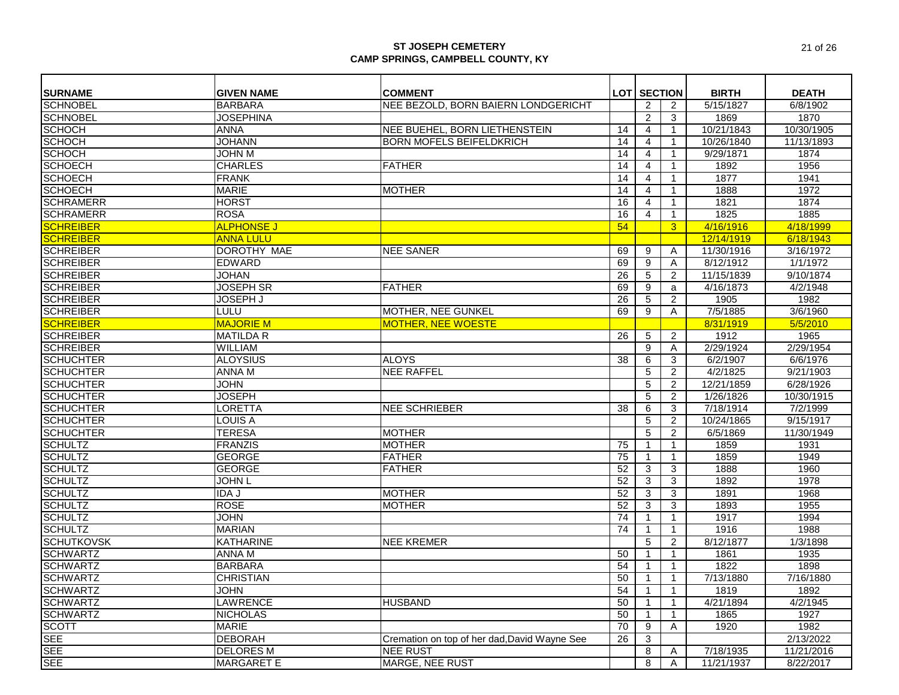| <b>SURNAME</b>    | <b>GIVEN NAME</b> | <b>COMMENT</b>                               |                 | <b>LOT SECTION</b> |                | <b>BIRTH</b> | <b>DEATH</b> |
|-------------------|-------------------|----------------------------------------------|-----------------|--------------------|----------------|--------------|--------------|
| <b>SCHNOBEL</b>   | <b>BARBARA</b>    | NEE BEZOLD. BORN BAIERN LONDGERICHT          |                 | 2                  | 2              | 5/15/1827    | 6/8/1902     |
| <b>SCHNOBEL</b>   | <b>JOSEPHINA</b>  |                                              |                 | 2                  | 3              | 1869         | 1870         |
| <b>SCHOCH</b>     | ANNA              | NEE BUEHEL, BORN LIETHENSTEIN                | 14              | $\overline{4}$     | $\mathbf{1}$   | 10/21/1843   | 10/30/1905   |
| <b>SCHOCH</b>     | <b>JOHANN</b>     | <b>BORN MOFELS BEIFELDKRICH</b>              | 14              | 4                  | $\mathbf{1}$   | 10/26/1840   | 11/13/1893   |
| <b>SCHOCH</b>     | <b>JOHN M</b>     |                                              | 14              | $\overline{4}$     | $\mathbf{1}$   | 9/29/1871    | 1874         |
| <b>SCHOECH</b>    | <b>CHARLES</b>    | <b>FATHER</b>                                | 14              | 4                  | 1              | 1892         | 1956         |
| <b>SCHOECH</b>    | <b>FRANK</b>      |                                              | 14              | $\overline{4}$     | $\mathbf{1}$   | 1877         | 1941         |
| <b>SCHOECH</b>    | <b>MARIE</b>      | <b>MOTHER</b>                                | 14              | 4                  | 1              | 1888         | 1972         |
| <b>SCHRAMERR</b>  | <b>HORST</b>      |                                              | 16              | $\overline{4}$     | $\mathbf{1}$   | 1821         | 1874         |
| <b>SCHRAMERR</b>  | <b>ROSA</b>       |                                              | 16              | 4                  | $\mathbf{1}$   | 1825         | 1885         |
| <b>SCHREIBER</b>  | <b>ALPHONSE J</b> |                                              | 54              |                    | 3 <sup>5</sup> | 4/16/1916    | 4/18/1999    |
| <b>SCHREIBER</b>  | <b>ANNA LULU</b>  |                                              |                 |                    |                | 12/14/1919   | 6/18/1943    |
| <b>SCHREIBER</b>  | DOROTHY MAE       | <b>NEE SANER</b>                             | 69              | 9                  | Α              | 11/30/1916   | 3/16/1972    |
| <b>SCHREIBER</b>  | <b>EDWARD</b>     |                                              | 69              | 9                  | Α              | 8/12/1912    | 1/1/1972     |
| <b>SCHREIBER</b>  | <b>JOHAN</b>      |                                              | 26              | 5                  | 2              | 11/15/1839   | 9/10/1874    |
| <b>SCHREIBER</b>  | <b>JOSEPH SR</b>  | <b>FATHER</b>                                | 69              | 9                  | a              | 4/16/1873    | 4/2/1948     |
| <b>SCHREIBER</b>  | <b>JOSEPH J</b>   |                                              | 26              | 5                  | $\overline{2}$ | 1905         | 1982         |
| <b>SCHREIBER</b>  | <b>LULU</b>       | MOTHER, NEE GUNKEL                           | 69              | 9                  | A              | 7/5/1885     | 3/6/1960     |
| <b>SCHREIBER</b>  | <b>MAJORIE M</b>  | <b>MOTHER, NEE WOESTE</b>                    |                 |                    |                | 8/31/1919    | 5/5/2010     |
| <b>SCHREIBER</b>  | <b>MATILDA R</b>  |                                              | 26              | 5                  | $\overline{2}$ | 1912         | 1965         |
| <b>SCHREIBER</b>  | WILLIAM           |                                              |                 | 9                  | Α              | 2/29/1924    | 2/29/1954    |
| <b>SCHUCHTER</b>  | <b>ALOYSIUS</b>   | <b>ALOYS</b>                                 | 38              | 6                  | 3              | 6/2/1907     | 6/6/1976     |
| <b>SCHUCHTER</b>  | <b>ANNA M</b>     | <b>NEE RAFFEL</b>                            |                 | 5                  | 2              | 4/2/1825     | 9/21/1903    |
| <b>SCHUCHTER</b>  | <b>JOHN</b>       |                                              |                 | 5                  | 2              | 12/21/1859   | 6/28/1926    |
| <b>SCHUCHTER</b>  | <b>JOSEPH</b>     |                                              |                 | 5                  | $\overline{2}$ | 1/26/1826    | 10/30/1915   |
| <b>SCHUCHTER</b>  | <b>LORETTA</b>    | <b>NEE SCHRIEBER</b>                         | 38              | 6                  | 3              | 7/18/1914    | 7/2/1999     |
| <b>SCHUCHTER</b>  | <b>LOUIS A</b>    |                                              |                 | 5                  | $\overline{2}$ | 10/24/1865   | 9/15/1917    |
| <b>SCHUCHTER</b>  | <b>TERESA</b>     | <b>MOTHER</b>                                |                 | 5                  | 2              | 6/5/1869     | 11/30/1949   |
| <b>SCHULTZ</b>    | FRANZIS           | <b>MOTHER</b>                                | 75              |                    | $\mathbf{1}$   | 1859         | 1931         |
| <b>SCHULTZ</b>    | <b>GEORGE</b>     | <b>FATHER</b>                                | 75              |                    | $\mathbf{1}$   | 1859         | 1949         |
| <b>SCHULTZ</b>    | <b>GEORGE</b>     | <b>FATHER</b>                                | 52              | 3                  | 3              | 1888         | 1960         |
| <b>SCHULTZ</b>    | <b>JOHN L</b>     |                                              | 52              | 3                  | 3              | 1892         | 1978         |
| <b>SCHULTZ</b>    | <b>IDAJ</b>       | <b>MOTHER</b>                                | 52              | 3                  | 3              | 1891         | 1968         |
| <b>SCHULTZ</b>    | <b>ROSE</b>       | <b>MOTHER</b>                                | 52              | 3                  | 3              | 1893         | 1955         |
| <b>SCHULTZ</b>    | <b>JOHN</b>       |                                              | 74              |                    | $\mathbf{1}$   | 1917         | 1994         |
| <b>SCHULTZ</b>    | <b>MARIAN</b>     |                                              | 74              |                    | $\mathbf{1}$   | 1916         | 1988         |
| <b>SCHUTKOVSK</b> | <b>KATHARINE</b>  | <b>NEE KREMER</b>                            |                 | 5                  | 2              | 8/12/1877    | 1/3/1898     |
| <b>SCHWARTZ</b>   | <b>ANNA M</b>     |                                              | 50              |                    | $\mathbf{1}$   | 1861         | 1935         |
| <b>SCHWARTZ</b>   | <b>BARBARA</b>    |                                              | 54              |                    | $\mathbf{1}$   | 1822         | 1898         |
| <b>SCHWARTZ</b>   | <b>CHRISTIAN</b>  |                                              | 50              | -1                 | $\mathbf{1}$   | 7/13/1880    | 7/16/1880    |
| <b>SCHWARTZ</b>   | <b>JOHN</b>       |                                              | 54              | $\mathbf{1}$       | $\mathbf{1}$   | 1819         | 1892         |
| <b>SCHWARTZ</b>   | <b>LAWRENCE</b>   | <b>HUSBAND</b>                               | 50              |                    | $\mathbf{1}$   | 4/21/1894    | 4/2/1945     |
| <b>SCHWARTZ</b>   | <b>NICHOLAS</b>   |                                              | 50              |                    | 1              | 1865         | 1927         |
| <b>SCOTT</b>      | <b>MARIE</b>      |                                              | $\overline{70}$ | 9                  | A              | 1920         | 1982         |
| <b>SEE</b>        | <b>DEBORAH</b>    | Cremation on top of her dad, David Wayne See | 26              | 3                  |                |              | 2/13/2022    |
| <b>SEE</b>        | <b>DELORES M</b>  | <b>NEE RUST</b>                              |                 | 8                  | A              | 7/18/1935    | 11/21/2016   |
| <b>SEE</b>        | <b>MARGARET E</b> | MARGE, NEE RUST                              |                 | 8                  | Α              | 11/21/1937   | 8/22/2017    |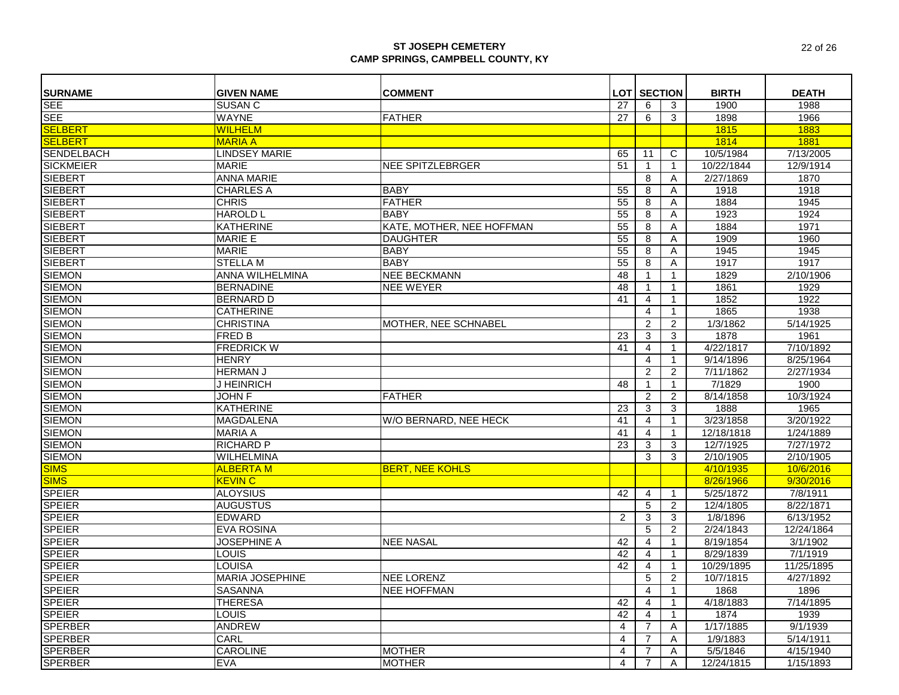| <b>SURNAME</b>    | <b>GIVEN NAME</b>      | <b>COMMENT</b>            |    | <b>LOT SECTION</b> |                | <b>BIRTH</b> | <b>DEATH</b>           |
|-------------------|------------------------|---------------------------|----|--------------------|----------------|--------------|------------------------|
| <b>SEE</b>        | <b>SUSAN C</b>         |                           | 27 | 6                  | 3              | 1900         | 1988                   |
| <b>SEE</b>        | <b>WAYNE</b>           | <b>FATHER</b>             | 27 | 6                  | 3              | 1898         | 1966                   |
| <b>SELBERT</b>    | <b>WILHELM</b>         |                           |    |                    |                | 1815         | 1883                   |
| <b>SELBERT</b>    | <b>MARIA A</b>         |                           |    |                    |                | 1814         | 1881                   |
| <b>SENDELBACH</b> | <b>LINDSEY MARIE</b>   |                           | 65 | 11                 | C              | 10/5/1984    | 7/13/2005              |
| <b>SICKMEIER</b>  | <b>MARIE</b>           | <b>NEE SPITZLEBRGER</b>   | 51 | $\mathbf 1$        | $\mathbf 1$    | 10/22/1844   | 12/9/1914              |
| <b>SIEBERT</b>    | <b>ANNA MARIE</b>      |                           |    | 8                  | A              | 2/27/1869    | 1870                   |
| <b>SIEBERT</b>    | <b>CHARLES A</b>       | <b>BABY</b>               | 55 | 8                  | Α              | 1918         | 1918                   |
| <b>SIEBERT</b>    | <b>CHRIS</b>           | <b>FATHER</b>             | 55 | 8                  | Α              | 1884         | 1945                   |
| <b>SIEBERT</b>    | <b>HAROLD L</b>        | <b>BABY</b>               | 55 | 8                  | Α              | 1923         | 1924                   |
| <b>SIEBERT</b>    | <b>KATHERINE</b>       | KATE, MOTHER, NEE HOFFMAN | 55 | 8                  | A              | 1884         | 1971                   |
| <b>SIEBERT</b>    | <b>MARIE E</b>         | <b>DAUGHTER</b>           | 55 | 8                  | Α              | 1909         | 1960                   |
| <b>SIEBERT</b>    | <b>MARIE</b>           | <b>BABY</b>               | 55 | 8                  | A              | 1945         | 1945                   |
| <b>SIEBERT</b>    | <b>STELLA M</b>        | <b>BABY</b>               | 55 | 8                  | Α              | 1917         | 1917                   |
| <b>SIEMON</b>     | ANNA WILHELMINA        | <b>NEE BECKMANN</b>       | 48 | $\mathbf{1}$       | 1              | 1829         | $\overline{2/10/1906}$ |
| <b>SIEMON</b>     | <b>BERNADINE</b>       | <b>NEE WEYER</b>          | 48 | -1                 | -1             | 1861         | 1929                   |
| <b>SIEMON</b>     | <b>BERNARD D</b>       |                           | 41 | 4                  | 1              | 1852         | 1922                   |
| <b>SIEMON</b>     | <b>CATHERINE</b>       |                           |    | 4                  | $\overline{1}$ | 1865         | 1938                   |
| <b>SIEMON</b>     | <b>CHRISTINA</b>       | MOTHER, NEE SCHNABEL      |    | $\overline{2}$     | $\overline{c}$ | 1/3/1862     | 5/14/1925              |
| <b>SIEMON</b>     | <b>FRED B</b>          |                           | 23 | 3                  | 3              | 1878         | 1961                   |
| <b>SIEMON</b>     | <b>FREDRICK W</b>      |                           | 41 | $\overline{4}$     | $\mathbf 1$    | 4/22/1817    | 7/10/1892              |
| <b>SIEMON</b>     | <b>HENRY</b>           |                           |    | 4                  | $\mathbf{1}$   | 9/14/1896    | 8/25/1964              |
| <b>SIEMON</b>     | <b>HERMAN J</b>        |                           |    | 2                  | 2              | 7/11/1862    | 2/27/1934              |
| <b>SIEMON</b>     | J HEINRICH             |                           | 48 | $\mathbf{1}$       | 1              | 7/1829       | 1900                   |
| <b>SIEMON</b>     | <b>JOHN F</b>          | <b>FATHER</b>             |    | 2                  | $\overline{2}$ | 8/14/1858    | 10/3/1924              |
| <b>SIEMON</b>     | <b>KATHERINE</b>       |                           | 23 | 3                  | 3              | 1888         | 1965                   |
| <b>SIEMON</b>     | <b>MAGDALENA</b>       | W/O BERNARD, NEE HECK     | 41 | $\overline{4}$     | $\overline{1}$ | 3/23/1858    | 3/20/1922              |
| <b>SIEMON</b>     | <b>MARIA A</b>         |                           | 41 | $\overline{4}$     | 1              | 12/18/1818   | 1/24/1889              |
| <b>SIEMON</b>     | <b>RICHARD P</b>       |                           | 23 | 3                  | 3              | 12/7/1925    | 7/27/1972              |
| <b>SIEMON</b>     | WILHELMINA             |                           |    | 3                  | 3              | 2/10/1905    | 2/10/1905              |
| <b>SIMS</b>       | <b>ALBERTAM</b>        | <b>BERT, NEE KOHLS</b>    |    |                    |                | 4/10/1935    | 10/6/2016              |
| <b>SIMS</b>       | <b>KEVIN C</b>         |                           |    |                    |                | 8/26/1966    | 9/30/2016              |
| <b>SPEIER</b>     | <b>ALOYSIUS</b>        |                           | 42 | 4                  | $\mathbf{1}$   | 5/25/1872    | 7/8/1911               |
| <b>SPEIER</b>     | <b>AUGUSTUS</b>        |                           |    | 5                  | $\overline{2}$ | 12/4/1805    | 8/22/1871              |
| <b>SPEIER</b>     | <b>EDWARD</b>          |                           | 2  | 3                  | 3              | 1/8/1896     | 6/13/1952              |
| <b>SPEIER</b>     | <b>EVA ROSINA</b>      |                           |    | 5                  | 2              | 2/24/1843    | 12/24/1864             |
| <b>SPEIER</b>     | <b>JOSEPHINE A</b>     | <b>NEE NASAL</b>          | 42 | $\overline{4}$     | $\mathbf{1}$   | 8/19/1854    | 3/1/1902               |
| <b>SPEIER</b>     | LOUIS                  |                           | 42 | 4                  | 1              | 8/29/1839    | 7/1/1919               |
| <b>SPEIER</b>     | LOUISA                 |                           | 42 | 4                  | -1             | 10/29/1895   | 11/25/1895             |
| <b>SPEIER</b>     | <b>MARIA JOSEPHINE</b> | <b>NEE LORENZ</b>         |    | 5                  | $\overline{2}$ | 10/7/1815    | 4/27/1892              |
| <b>SPEIER</b>     | <b>SASANNA</b>         | <b>NEE HOFFMAN</b>        |    | 4                  | $\overline{1}$ | 1868         | 1896                   |
| <b>SPEIER</b>     | <b>THERESA</b>         |                           | 42 | 4                  | -1             | 4/18/1883    | 7/14/1895              |
| <b>SPEIER</b>     | LOUIS                  |                           | 42 | 4                  | 1              | 1874         | 1939                   |
| <b>SPERBER</b>    | <b>ANDREW</b>          |                           | 4  | 7                  | Α              | 1/17/1885    | 9/1/1939               |
| <b>SPERBER</b>    | CARL                   |                           | 4  | 7                  | Α              | 1/9/1883     | 5/14/1911              |
| <b>SPERBER</b>    | <b>CAROLINE</b>        | <b>MOTHER</b>             | 4  | 7                  |                | 5/5/1846     | 4/15/1940              |
| <b>SPERBER</b>    | <b>EVA</b>             | <b>MOTHER</b>             | 4  | 7                  | Α<br>Α         | 12/24/1815   | 1/15/1893              |
|                   |                        |                           |    |                    |                |              |                        |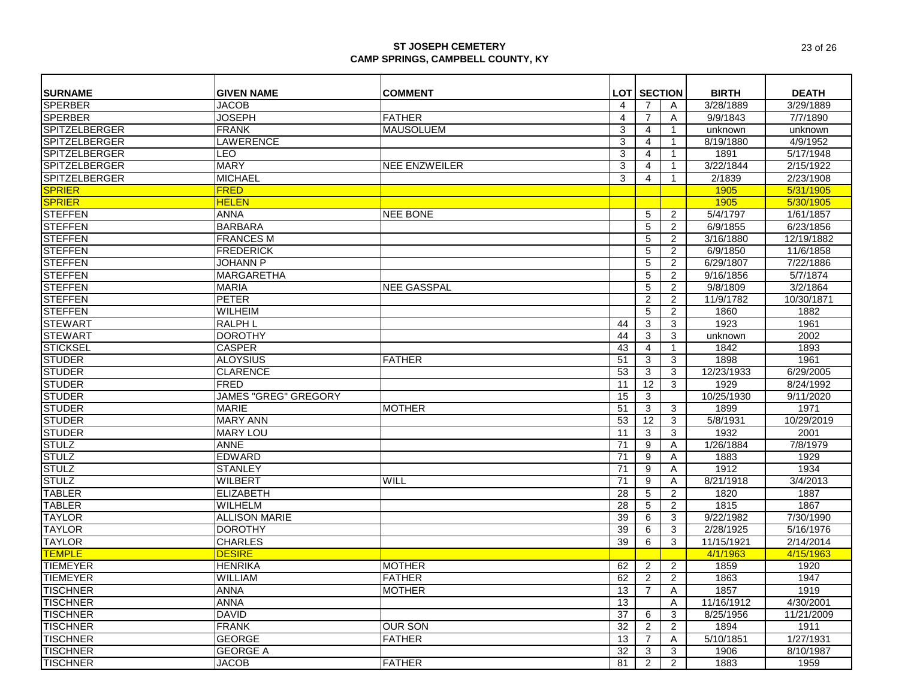| <b>SURNAME</b>                   | <b>GIVEN NAME</b>                  | <b>COMMENT</b>       |                | <b>LOT SECTION</b> |                | <b>BIRTH</b>          | <b>DEATH</b>            |
|----------------------------------|------------------------------------|----------------------|----------------|--------------------|----------------|-----------------------|-------------------------|
| <b>SPERBER</b>                   | <b>JACOB</b>                       |                      | $\overline{4}$ | 7                  | A              | 3/28/1889             | 3/29/1889               |
| <b>SPERBER</b>                   | <b>JOSEPH</b>                      | <b>FATHER</b>        | $\overline{4}$ | $\overline{7}$     | A              | 9/9/1843              | 7/7/1890                |
| SPITZELBERGER                    | <b>FRANK</b>                       | <b>MAUSOLUEM</b>     | 3              | $\overline{4}$     | $\mathbf{1}$   | unknown               | unknown                 |
| SPITZELBERGER                    | <b>LAWERENCE</b>                   |                      | 3              | $\overline{4}$     | $\mathbf{1}$   | 8/19/1880             | 4/9/1952                |
| <b>SPITZELBERGER</b>             | LEO                                |                      | 3              | 4                  | $\mathbf{1}$   | 1891                  | 5/17/1948               |
| <b>SPITZELBERGER</b>             | <b>MARY</b>                        | <b>NEE ENZWEILER</b> | 3              | 4                  | $\mathbf{1}$   | 3/22/1844             | 2/15/1922               |
| <b>SPITZELBERGER</b>             | <b>MICHAEL</b>                     |                      | 3              | 4                  | $\mathbf{1}$   | 2/1839                | 2/23/1908               |
| <b>SPRIER</b>                    | <b>FRED</b>                        |                      |                |                    |                | 1905                  | 5/31/1905               |
| <b>SPRIER</b>                    | <b>HELEN</b>                       |                      |                |                    |                |                       | 5/30/1905               |
| <b>STEFFEN</b>                   | ANNA                               | <b>NEE BONE</b>      |                |                    |                | 1905<br>5/4/1797      | 1/61/1857               |
|                                  |                                    |                      |                | 5                  | 2              |                       |                         |
| <b>STEFFEN</b><br><b>STEFFEN</b> | <b>BARBARA</b><br><b>FRANCES M</b> |                      |                | 5                  | 2              | 6/9/1855<br>3/16/1880 | 6/23/1856<br>12/19/1882 |
|                                  |                                    |                      |                | 5                  | $\overline{c}$ |                       |                         |
| <b>STEFFEN</b>                   | <b>FREDERICK</b>                   |                      |                | 5                  | $\overline{2}$ | 6/9/1850              | 11/6/1858               |
| <b>STEFFEN</b>                   | <b>JOHANN P</b>                    |                      |                | 5                  | $\overline{2}$ | 6/29/1807             | 7/22/1886               |
| <b>STEFFEN</b>                   | <b>MARGARETHA</b>                  |                      |                | 5                  | $\overline{2}$ | 9/16/1856             | 5/7/1874                |
| <b>STEFFEN</b>                   | <b>MARIA</b>                       | <b>NEE GASSPAL</b>   |                | 5                  | $\overline{2}$ | 9/8/1809              | 3/2/1864                |
| <b>STEFFEN</b>                   | <b>PETER</b>                       |                      |                | $\overline{c}$     | $\overline{2}$ | 11/9/1782             | 10/30/1871              |
| <b>STEFFEN</b>                   | <b>WILHEIM</b>                     |                      |                | 5                  | $\overline{2}$ | 1860                  | 1882                    |
| <b>STEWART</b>                   | <b>RALPH L</b>                     |                      | 44             | 3                  | 3              | 1923                  | 1961                    |
| <b>STEWART</b>                   | <b>DOROTHY</b>                     |                      | 44             | 3                  | 3              | unknown               | 2002                    |
| <b>STICKSEL</b>                  | <b>CASPER</b>                      |                      | 43             | $\overline{4}$     | $\mathbf{1}$   | 1842                  | 1893                    |
| <b>STUDER</b>                    | <b>ALOYSIUS</b>                    | <b>FATHER</b>        | 51             | 3                  | 3              | 1898                  | 1961                    |
| <b>STUDER</b>                    | <b>CLARENCE</b>                    |                      | 53             | 3                  | 3              | 12/23/1933            | 6/29/2005               |
| <b>STUDER</b>                    | <b>FRED</b>                        |                      | 11             | $\overline{12}$    | 3              | 1929                  | 8/24/1992               |
| <b>STUDER</b>                    | <b>JAMES "GREG" GREGORY</b>        |                      | 15             | 3                  |                | 10/25/1930            | 9/11/2020               |
| <b>STUDER</b>                    | <b>MARIE</b>                       | <b>MOTHER</b>        | 51             | 3                  | 3              | 1899                  | 1971                    |
| <b>STUDER</b>                    | <b>MARY ANN</b>                    |                      | 53             | 12                 | 3              | 5/8/1931              | 10/29/2019              |
| <b>STUDER</b>                    | <b>MARY LOU</b>                    |                      | 11             | 3                  | 3              | 1932                  | 2001                    |
| <b>STULZ</b>                     | <b>ANNE</b>                        |                      | 71             | 9                  | Α              | 1/26/1884             | 7/8/1979                |
| <b>STULZ</b>                     | <b>EDWARD</b>                      |                      | 71             | 9                  | A              | 1883                  | 1929                    |
| <b>STULZ</b>                     | <b>STANLEY</b>                     |                      | 71             | 9                  | A              | 1912                  | 1934                    |
| <b>STULZ</b>                     | WILBERT                            | WILL                 | 71             | 9                  | A              | 8/21/1918             | 3/4/2013                |
| <b>TABLER</b>                    | <b>ELIZABETH</b>                   |                      | 28             | 5                  | $\overline{2}$ | 1820                  | 1887                    |
| <b>TABLER</b>                    | WILHELM                            |                      | 28             | 5                  | $\overline{2}$ | 1815                  | 1867                    |
| <b>TAYLOR</b>                    | <b>ALLISON MARIE</b>               |                      | 39             | 6                  | 3              | 9/22/1982             | 7/30/1990               |
| <b>TAYLOR</b>                    | <b>DOROTHY</b>                     |                      | 39             | 6                  | 3              | 2/28/1925             | 5/16/1976               |
| <b>TAYLOR</b>                    | <b>CHARLES</b>                     |                      | 39             | 6                  | 3              | 11/15/1921            | 2/14/2014               |
| <b>TEMPLE</b>                    | <b>DESIRE</b>                      |                      |                |                    |                | 4/1/1963              | 4/15/1963               |
| <b>TIEMEYER</b>                  | <b>HENRIKA</b>                     | <b>MOTHER</b>        | 62             | $\overline{2}$     | 2              | 1859                  | 1920                    |
| <b>TIEMEYER</b>                  | WILLIAM                            | <b>FATHER</b>        | 62             | $\overline{2}$     | $\overline{2}$ | 1863                  | 1947                    |
| <b>TISCHNER</b>                  | <b>ANNA</b>                        | <b>MOTHER</b>        | 13             | $\overline{7}$     | A              | 1857                  | 1919                    |
| <b>TISCHNER</b>                  | <b>ANNA</b>                        |                      | 13             |                    | A              | 11/16/1912            | 4/30/2001               |
| <b>TISCHNER</b>                  | <b>DAVID</b>                       |                      | 37             | 6                  | 3              | 8/25/1956             | 11/21/2009              |
| <b>TISCHNER</b>                  | <b>FRANK</b>                       | <b>OUR SON</b>       | 32             | $\overline{2}$     | $\overline{2}$ | 1894                  | 1911                    |
| <b>TISCHNER</b>                  | <b>GEORGE</b>                      | <b>FATHER</b>        | 13             | 7                  | A              | 5/10/1851             | 1/27/1931               |
| <b>TISCHNER</b>                  | <b>GEORGE A</b>                    |                      | 32             | 3                  | 3              | 1906                  | 8/10/1987               |
| <b>TISCHNER</b>                  | <b>JACOB</b>                       | <b>FATHER</b>        | 81             | $\overline{2}$     | 2              | 1883                  | 1959                    |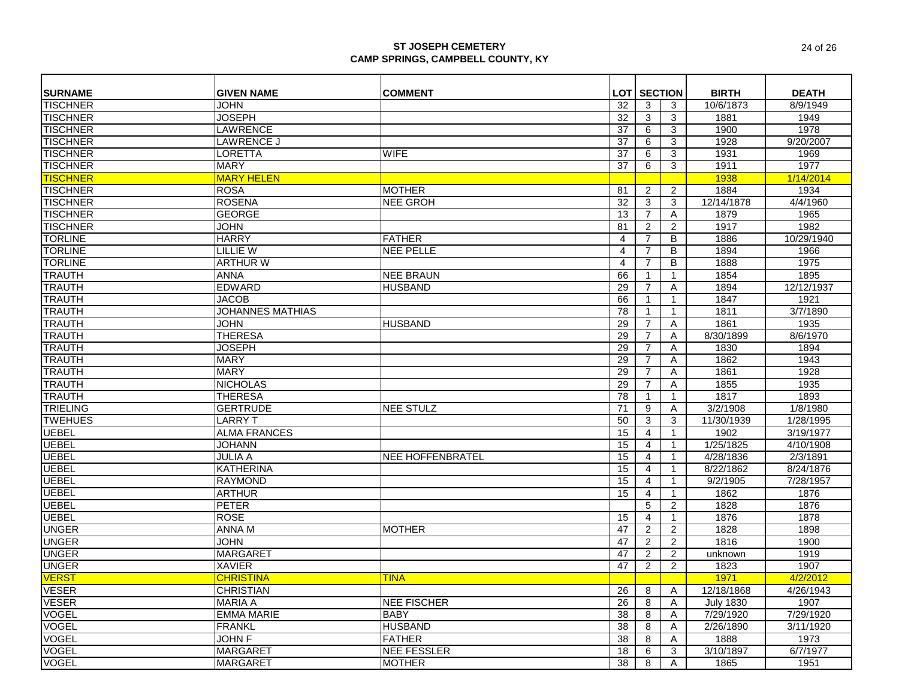|                                   | <b>GIVEN NAME</b>       |                         |                |                      |                |                  |              |
|-----------------------------------|-------------------------|-------------------------|----------------|----------------------|----------------|------------------|--------------|
| <b>SURNAME</b><br><b>TISCHNER</b> |                         | <b>COMMENT</b>          |                | <b>LOT   SECTION</b> |                | <b>BIRTH</b>     | <b>DEATH</b> |
|                                   | <b>JOHN</b>             |                         | 32             | 3                    | 3              | 10/6/1873        | 8/9/1949     |
| <b>TISCHNER</b>                   | <b>JOSEPH</b>           |                         | 32             | 3                    | 3              | 1881             | 1949         |
| <b>TISCHNER</b>                   | <b>LAWRENCE</b>         |                         | 37             | 6                    | 3              | 1900             | 1978         |
| <b>TISCHNER</b>                   | <b>LAWRENCE J</b>       |                         | 37             | 6                    | 3              | 1928             | 9/20/2007    |
| <b>TISCHNER</b>                   | <b>LORETTA</b>          | <b>WIFE</b>             | 37             | 6                    | 3              | 1931             | 1969         |
| <b>TISCHNER</b>                   | <b>MARY</b>             |                         | 37             | 6                    | 3              | 1911             | 1977         |
| <b>TISCHNER</b>                   | <b>MARY HELEN</b>       |                         |                |                      |                | 1938             | 1/14/2014    |
| <b>TISCHNER</b>                   | <b>ROSA</b>             | <b>MOTHER</b>           | 81             | 2                    | $\overline{2}$ | 1884             | 1934         |
| <b>TISCHNER</b>                   | <b>ROSENA</b>           | <b>NEE GROH</b>         | 32             | 3                    | 3              | 12/14/1878       | 4/4/1960     |
| <b>TISCHNER</b>                   | <b>GEORGE</b>           |                         | 13             | $\overline{7}$       | Α              | 1879             | 1965         |
| <b>TISCHNER</b>                   | <b>JOHN</b>             |                         | 81             | 2                    | $\overline{2}$ | 1917             | 1982         |
| <b>TORLINE</b>                    | <b>HARRY</b>            | <b>FATHER</b>           | $\overline{4}$ | $\overline{7}$       | B              | 1886             | 10/29/1940   |
| <b>TORLINE</b>                    | <b>LILLIE W</b>         | <b>NEE PELLE</b>        | $\overline{4}$ | $\overline{7}$       | B              | 1894             | 1966         |
| <b>TORLINE</b>                    | <b>ARTHUR W</b>         |                         | $\overline{4}$ | $\overline{7}$       | B              | 1888             | 1975         |
| <b>TRAUTH</b>                     | <b>ANNA</b>             | <b>NEE BRAUN</b>        | 66             | 1                    | $\mathbf{1}$   | 1854             | 1895         |
| <b>TRAUTH</b>                     | <b>EDWARD</b>           | <b>HUSBAND</b>          | 29             | $\overline{7}$       | A              | 1894             | 12/12/1937   |
| <b>TRAUTH</b>                     | <b>JACOB</b>            |                         | 66             | $\mathbf{1}$         | $\mathbf{1}$   | 1847             | 1921         |
| <b>TRAUTH</b>                     | <b>JOHANNES MATHIAS</b> |                         | 78             | $\mathbf 1$          | $\mathbf{1}$   | 1811             | 3/7/1890     |
| <b>TRAUTH</b>                     | <b>JOHN</b>             | <b>HUSBAND</b>          | 29             | $\overline{7}$       | Α              | 1861             | 1935         |
| <b>TRAUTH</b>                     | <b>THERESA</b>          |                         | 29             | $\overline{7}$       | Α              | 8/30/1899        | 8/6/1970     |
| <b>TRAUTH</b>                     | <b>JOSEPH</b>           |                         | 29             | $\overline{7}$       | Α              | 1830             | 1894         |
| <b>TRAUTH</b>                     | <b>MARY</b>             |                         | 29             | $\overline{7}$       | A              | 1862             | 1943         |
| <b>TRAUTH</b>                     | <b>MARY</b>             |                         | 29             | $\overline{7}$       | Α              | 1861             | 1928         |
| <b>TRAUTH</b>                     | <b>NICHOLAS</b>         |                         | 29             | $\overline{7}$       | Α              | 1855             | 1935         |
| <b>TRAUTH</b>                     | <b>THERESA</b>          |                         | 78             |                      | 1              | 1817             | 1893         |
| <b>TRIELING</b>                   | <b>GERTRUDE</b>         | <b>NEE STULZ</b>        | 71             | 9                    | Α              | 3/2/1908         | 1/8/1980     |
| <b>TWEHUES</b>                    | <b>LARRY T</b>          |                         | 50             | $\overline{\omega}$  | 3              | 11/30/1939       | 1/28/1995    |
| <b>UEBEL</b>                      | <b>ALMA FRANCES</b>     |                         | 15             | $\overline{4}$       | $\mathbf{1}$   | 1902             | 3/19/1977    |
| <b>UEBEL</b>                      | <b>JOHANN</b>           |                         | 15             | $\overline{4}$       | $\mathbf{1}$   | 1/25/1825        | 4/10/1908    |
| <b>UEBEL</b>                      | <b>JULIA A</b>          | <b>NEE HOFFENBRATEL</b> | 15             | $\overline{4}$       | $\mathbf{1}$   | 4/28/1836        | 2/3/1891     |
| <b>UEBEL</b>                      | <b>KATHERINA</b>        |                         | 15             | $\overline{4}$       | $\mathbf{1}$   | 8/22/1862        | 8/24/1876    |
| <b>UEBEL</b>                      | <b>RAYMOND</b>          |                         | 15             | $\overline{4}$       | $\mathbf{1}$   | 9/2/1905         | 7/28/1957    |
| <b>UEBEL</b>                      | <b>ARTHUR</b>           |                         | 15             | $\overline{4}$       | $\mathbf{1}$   | 1862             | 1876         |
| <b>UEBEL</b>                      | <b>PETER</b>            |                         |                | 5                    | 2              | 1828             | 1876         |
| <b>UEBEL</b>                      | <b>ROSE</b>             |                         | 15             | $\overline{4}$       | $\mathbf{1}$   | 1876             | 1878         |
| <b>UNGER</b>                      | ANNA M                  | <b>MOTHER</b>           | 47             | 2                    | $\overline{2}$ | 1828             | 1898         |
| <b>UNGER</b>                      | <b>JOHN</b>             |                         | 47             | 2                    | 2              | 1816             | 1900         |
| <b>UNGER</b>                      | <b>MARGARET</b>         |                         | 47             | 2                    | $\overline{2}$ | unknown          | 1919         |
| <b>UNGER</b>                      | <b>XAVIER</b>           |                         | 47             | 2                    | $\overline{2}$ | 1823             | 1907         |
| <b>VERST</b>                      | <b>CHRISTINA</b>        | <b>TINA</b>             |                |                      |                | 1971             | 4/2/2012     |
| <b>VESER</b>                      | <b>CHRISTIAN</b>        |                         | 26             | 8                    | A              | 12/18/1868       | 4/26/1943    |
| <b>VESER</b>                      | <b>MARIA A</b>          | <b>NEE FISCHER</b>      | 26             | 8                    | A              | <b>July 1830</b> | 1907         |
| <b>VOGEL</b>                      | <b>EMMA MARIE</b>       | <b>BABY</b>             | 38             | 8                    | A              | 7/29/1920        | 7/29/1920    |
| <b>VOGEL</b>                      | <b>FRANKL</b>           | <b>HUSBAND</b>          | 38             | 8                    | Α              | 2/26/1890        | 3/11/1920    |
| <b>VOGEL</b>                      | <b>JOHN F</b>           | <b>FATHER</b>           | 38             | 8                    | A              | 1888             | 1973         |
| <b>VOGEL</b>                      | <b>MARGARET</b>         | <b>NEE FESSLER</b>      | 18             | 6                    | 3              | 3/10/1897        | 6/7/1977     |
| <b>VOGEL</b>                      | <b>MARGARET</b>         | <b>MOTHER</b>           | 38             | 8                    | A              | 1865             | 1951         |
|                                   |                         |                         |                |                      |                |                  |              |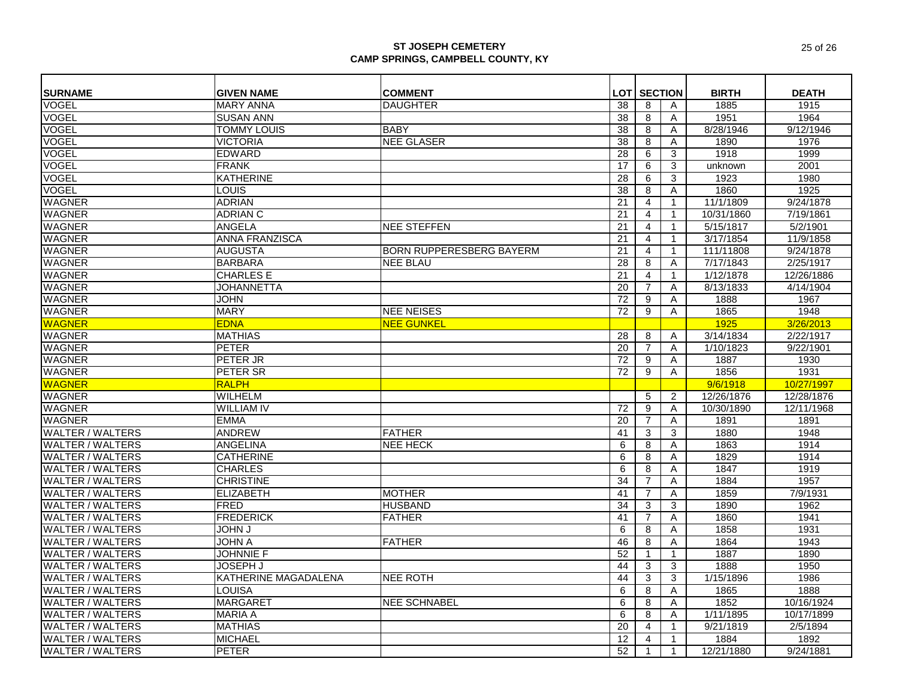| <b>SURNAME</b>          | <b>GIVEN NAME</b>     | <b>COMMENT</b>                  |    | <b>LOT SECTION</b> |              | <b>BIRTH</b> | <b>DEATH</b> |
|-------------------------|-----------------------|---------------------------------|----|--------------------|--------------|--------------|--------------|
| VOGEL                   | <b>MARY ANNA</b>      | <b>DAUGHTER</b>                 | 38 | 8                  | Α            | 1885         | 1915         |
| <b>VOGEL</b>            | <b>SUSAN ANN</b>      |                                 | 38 | 8                  | Α            | 1951         | 1964         |
| <b>VOGEL</b>            | <b>TOMMY LOUIS</b>    | <b>BABY</b>                     | 38 | 8                  | A            | 8/28/1946    | 9/12/1946    |
| <b>VOGEL</b>            | <b>VICTORIA</b>       | <b>NEE GLASER</b>               | 38 | 8                  | Α            | 1890         | 1976         |
| <b>VOGEL</b>            | <b>EDWARD</b>         |                                 | 28 | 6                  | 3            | 1918         | 1999         |
| <b>VOGEL</b>            | <b>FRANK</b>          |                                 | 17 | 6                  | 3            | unknown      | 2001         |
| <b>VOGEL</b>            | KATHERINE             |                                 | 28 | 6                  | 3            | 1923         | 1980         |
| <b>VOGEL</b>            | LOUIS                 |                                 | 38 | 8                  | A            | 1860         | 1925         |
| <b>WAGNER</b>           | <b>ADRIAN</b>         |                                 | 21 | $\overline{4}$     | $\mathbf{1}$ | 11/1/1809    | 9/24/1878    |
| <b>WAGNER</b>           | <b>ADRIAN C</b>       |                                 | 21 | 4                  | $\mathbf{1}$ | 10/31/1860   | 7/19/1861    |
| <b>WAGNER</b>           | ANGELA                | <b>NEE STEFFEN</b>              | 21 | $\overline{4}$     | $\mathbf{1}$ | 5/15/1817    | 5/2/1901     |
| <b>WAGNER</b>           | <b>ANNA FRANZISCA</b> |                                 | 21 | 4                  | $\mathbf{1}$ | 3/17/1854    | 11/9/1858    |
| <b>WAGNER</b>           | <b>AUGUSTA</b>        | <b>BORN RUPPERESBERG BAYERM</b> | 21 | $\overline{4}$     | $\mathbf{1}$ | 111/11808    | 9/24/1878    |
| <b>WAGNER</b>           | <b>BARBARA</b>        | <b>NEE BLAU</b>                 | 28 | 8                  | Α            | 7/17/1843    | 2/25/1917    |
| <b>WAGNER</b>           | <b>CHARLES E</b>      |                                 | 21 | $\overline{4}$     | $\mathbf{1}$ | 1/12/1878    | 12/26/1886   |
| <b>WAGNER</b>           | <b>JOHANNETTA</b>     |                                 | 20 | $\overline{7}$     | Α            | 8/13/1833    | 4/14/1904    |
| <b>WAGNER</b>           | <b>JOHN</b>           |                                 | 72 | 9                  | Α            | 1888         | 1967         |
| <b>WAGNER</b>           | <b>MARY</b>           | <b>NEE NEISES</b>               | 72 | 9                  | A            | 1865         | 1948         |
| <b>WAGNER</b>           | <b>EDNA</b>           | <b>NEE GUNKEL</b>               |    |                    |              | 1925         | 3/26/2013    |
| <b>WAGNER</b>           | <b>MATHIAS</b>        |                                 | 28 | 8                  | Α            | 3/14/1834    | 2/22/1917    |
| <b>WAGNER</b>           | <b>PETER</b>          |                                 | 20 | $\overline{7}$     | A            | 1/10/1823    | 9/22/1901    |
| <b>WAGNER</b>           | PETER JR              |                                 | 72 | 9                  | Α            | 1887         | 1930         |
| <b>WAGNER</b>           | PETER SR              |                                 | 72 | 9                  | Α            | 1856         | 1931         |
| <b>WAGNER</b>           | <b>RALPH</b>          |                                 |    |                    |              | 9/6/1918     | 10/27/1997   |
| <b>WAGNER</b>           | <b>WILHELM</b>        |                                 |    | 5                  | 2            | 12/26/1876   | 12/28/1876   |
| <b>WAGNER</b>           | <b>WILLIAM IV</b>     |                                 | 72 | 9                  | Α            | 10/30/1890   | 12/11/1968   |
| <b>WAGNER</b>           | <b>EMMA</b>           |                                 | 20 | $\overline{7}$     | A            | 1891         | 1891         |
| <b>WALTER / WALTERS</b> | <b>ANDREW</b>         | <b>FATHER</b>                   | 41 | 3                  | 3            | 1880         | 1948         |
| <b>WALTER / WALTERS</b> | ANGELINA              | <b>NEE HECK</b>                 | 6  | 8                  | Α            | 1863         | 1914         |
| <b>WALTER / WALTERS</b> | <b>CATHERINE</b>      |                                 | 6  | 8                  | A            | 1829         | 1914         |
| <b>WALTER / WALTERS</b> | <b>CHARLES</b>        |                                 | 6  | 8                  | Α            | 1847         | 1919         |
| <b>WALTER / WALTERS</b> | <b>CHRISTINE</b>      |                                 | 34 | 7                  | Α            | 1884         | 1957         |
| <b>WALTER / WALTERS</b> | <b>ELIZABETH</b>      | <b>MOTHER</b>                   | 41 | $\overline{7}$     | A            | 1859         | 7/9/1931     |
| <b>WALTER / WALTERS</b> | <b>FRED</b>           | <b>HUSBAND</b>                  | 34 | 3                  | 3            | 1890         | 1962         |
| <b>WALTER / WALTERS</b> | <b>FREDERICK</b>      | <b>FATHER</b>                   | 41 | $\overline{7}$     | Α            | 1860         | 1941         |
| <b>WALTER / WALTERS</b> | U MHOL                |                                 | 6  | 8                  | A            | 1858         | 1931         |
| <b>WALTER / WALTERS</b> | <b>JOHN A</b>         | <b>FATHER</b>                   | 46 | 8                  | A            | 1864         | 1943         |
| <b>WALTER / WALTERS</b> | <b>JOHNNIE F</b>      |                                 | 52 | $\mathbf{1}$       | $\mathbf{1}$ | 1887         | 1890         |
| <b>WALTER / WALTERS</b> | <b>JOSEPH J</b>       |                                 | 44 | 3                  | 3            | 1888         | 1950         |
| <b>WALTER / WALTERS</b> | KATHERINE MAGADALENA  | <b>NEE ROTH</b>                 | 44 | 3                  | 3            | 1/15/1896    | 1986         |
| <b>WALTER / WALTERS</b> | LOUISA                |                                 | 6  | 8                  | A            | 1865         | 1888         |
| <b>WALTER / WALTERS</b> | <b>MARGARET</b>       | <b>NEE SCHNABEL</b>             | 6  | 8                  | A            | 1852         | 10/16/1924   |
| <b>WALTER / WALTERS</b> | <b>MARIA A</b>        |                                 | 6  | 8                  | Α            | 1/11/1895    | 10/17/1899   |
| <b>WALTER / WALTERS</b> | <b>MATHIAS</b>        |                                 | 20 | $\overline{4}$     | $\mathbf{1}$ | 9/21/1819    | 2/5/1894     |
| <b>WALTER / WALTERS</b> | <b>MICHAEL</b>        |                                 | 12 | 4                  |              | 1884         | 1892         |
|                         |                       |                                 |    |                    | -1           |              |              |
| <b>WALTER / WALTERS</b> | <b>PETER</b>          |                                 | 52 | $\mathbf 1$        | $\mathbf{1}$ | 12/21/1880   | 9/24/1881    |